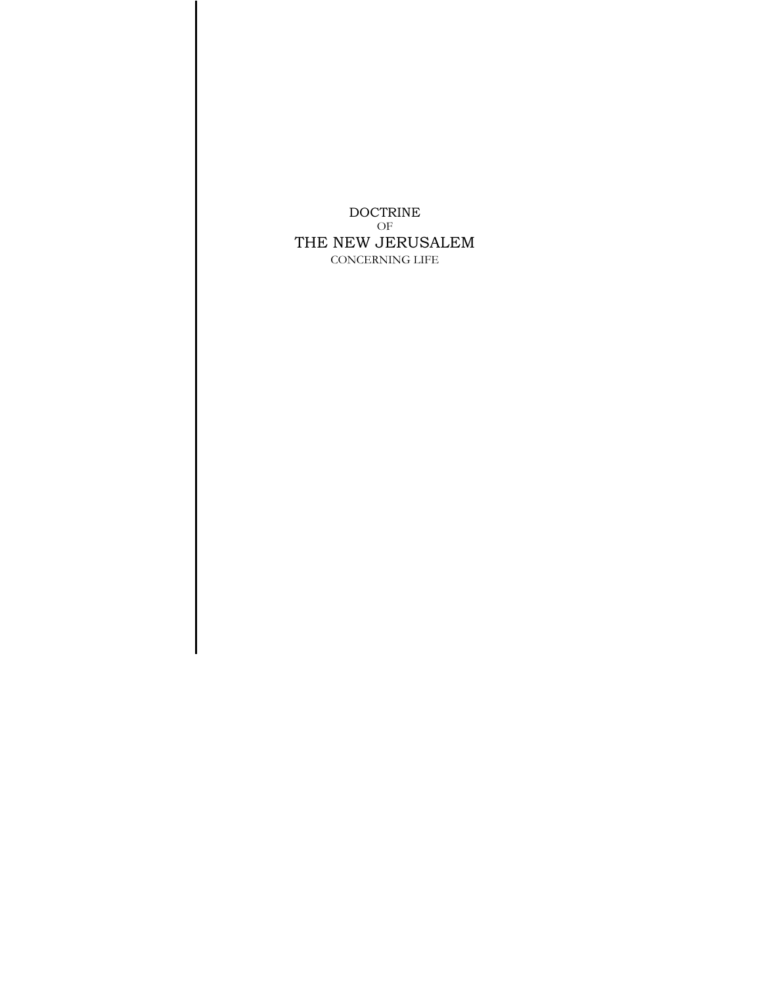DOCTRINE OF THE NEW JERUSALEM CONCERNING LIFE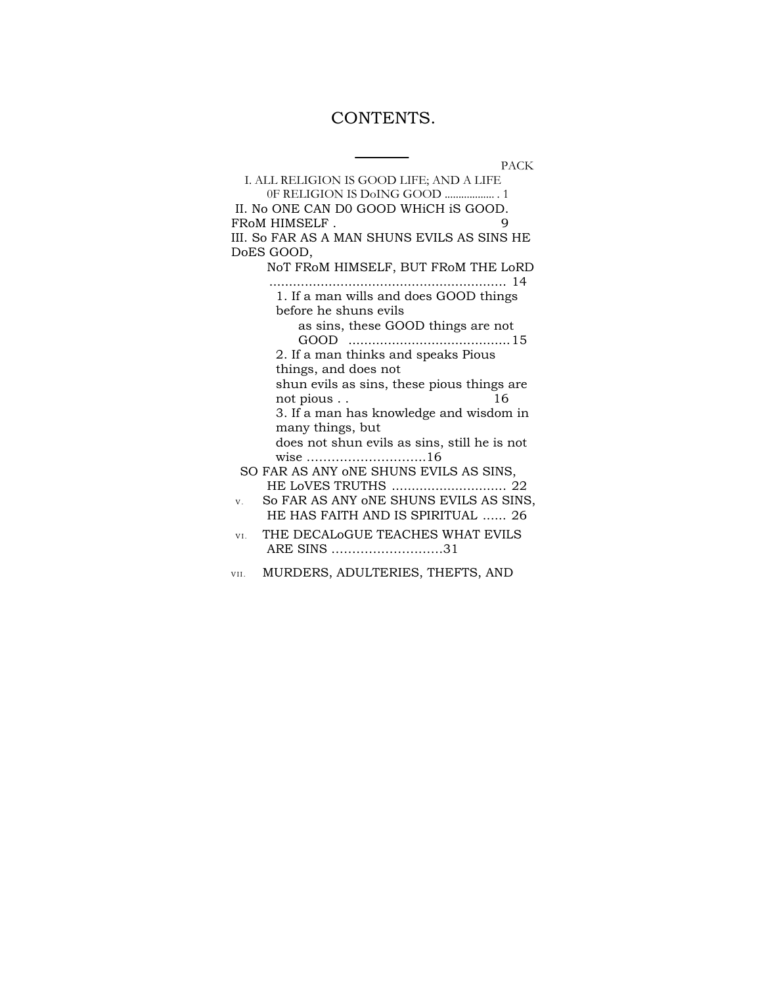# CONTENTS.

PACK

I. ALL RELIGION IS GOOD LIFE; AND A LIFE 0F RELIGION IS DoING GOOD .................. . 1 II. No ONE CAN D0 GOOD WHiCH iS GOOD. FROM HIMSELF. 9 III. So FAR AS A MAN SHUNS EVILS AS SINS HE DoES GOOD, NoT FRoM HIMSELF, BUT FRoM THE LoRD ............................................................ 14 1. If a man wills and does GOOD things before he shuns evils as sins, these GOOD things are not GOOD .........................................15 2. If a man thinks and speaks Pious things, and does not shun evils as sins, these pious things are not pious . . 16 3. If a man has knowledge and wisdom in many things, but does not shun evils as sins, still he is not wise ………………………..16 [SO](http://iv.so/) FAR AS ANY oNE SHUNS EVILS AS SINS, HE LoVES TRUTHS ............................. 22 V. So FAR AS ANY oNE SHUNS EVILS AS SINS, HE HAS FAITH AND IS SPIRITUAL ...... 26 VI. THE DECALoGUE TEACHES WHAT EVILS ARE SINS ………………………31

VII. MURDERS, ADULTERIES, THEFTS, AND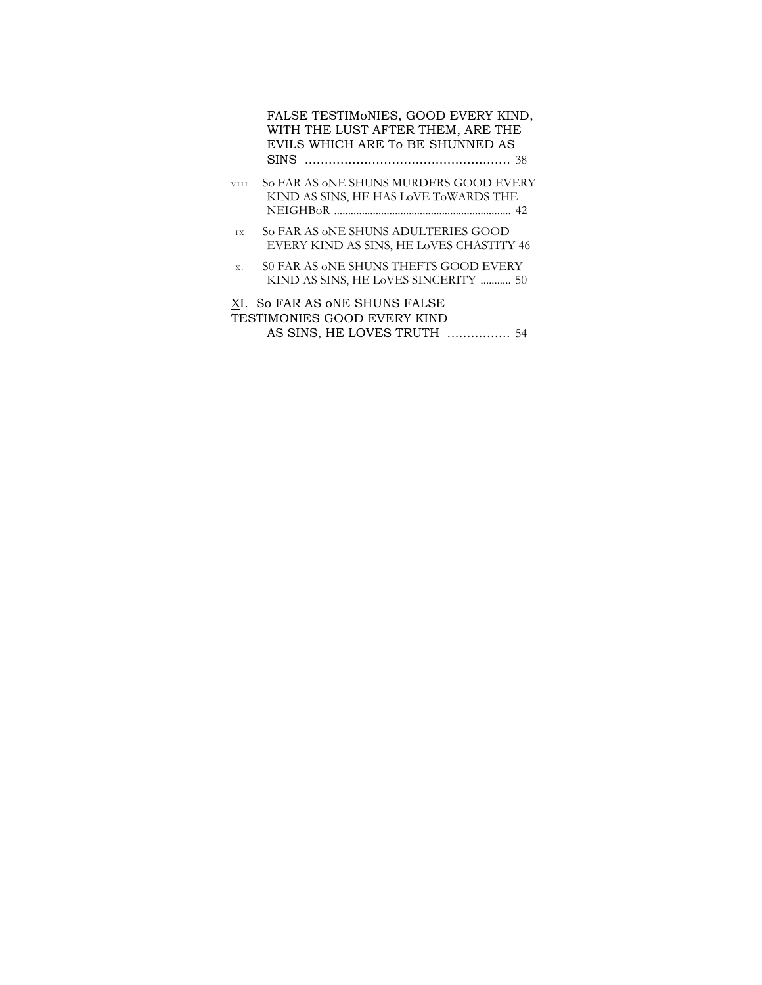FALSE TESTIMoNIES, GOOD EVERY KIND, WITH THE LUST AFTER THEM, ARE THE EVILS WHICH ARE To BE SHUNNED AS SINS .................................................... 38

- VIII. So FAR AS ONE SHUNS MURDERS GOOD EVERY KIND AS SINS, HE HAS LoVE ToWARDS THE NEIGHBoR ................................................................ 42
- IX. So FAR AS ONE SHUNS ADULTERIES GOOD EVERY KIND AS SINS, HE LoVES CHASTITY 46
- X . S0 FAR AS oNE SHUNS THEFTS GOOD EVERY KIND AS SINS, HE LoVES SINCERITY ........... 50

[XI. So](http://xi.so/) FAR AS oNE SHUNS FALSE TESTIMONIES GOOD EVERY KIND AS SINS, HE LOVES TRUTH ................ 54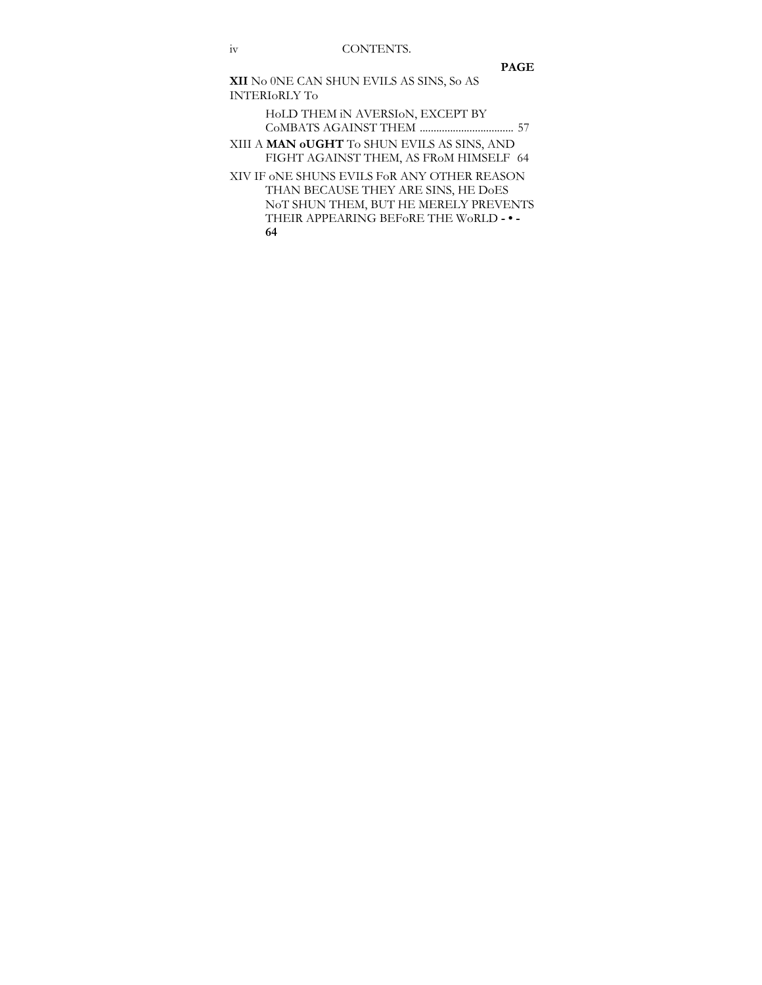**XII** No 0NE CAN SHUN EVILS AS SINS, So AS INTERIoRLY To HoLD THEM iN AVERSIoN, EXCEPT BY CoMBATS AGAINST THEM .................................. 57 XIII A **MAN oUGHT** To SHUN EVILS AS SINS, AND FIGHT AGAINST THEM, AS FRoM HIMSELF 64 XIV IF oNE SHUNS EVILS FoR ANY OTHER REASON THAN BECAUSE THEY ARE SINS, HE DoES NoT SHUN THEM, BUT HE MERELY PREVENTS

THEIR APPEARING BEFoRE THE WoRLD **- • - 64**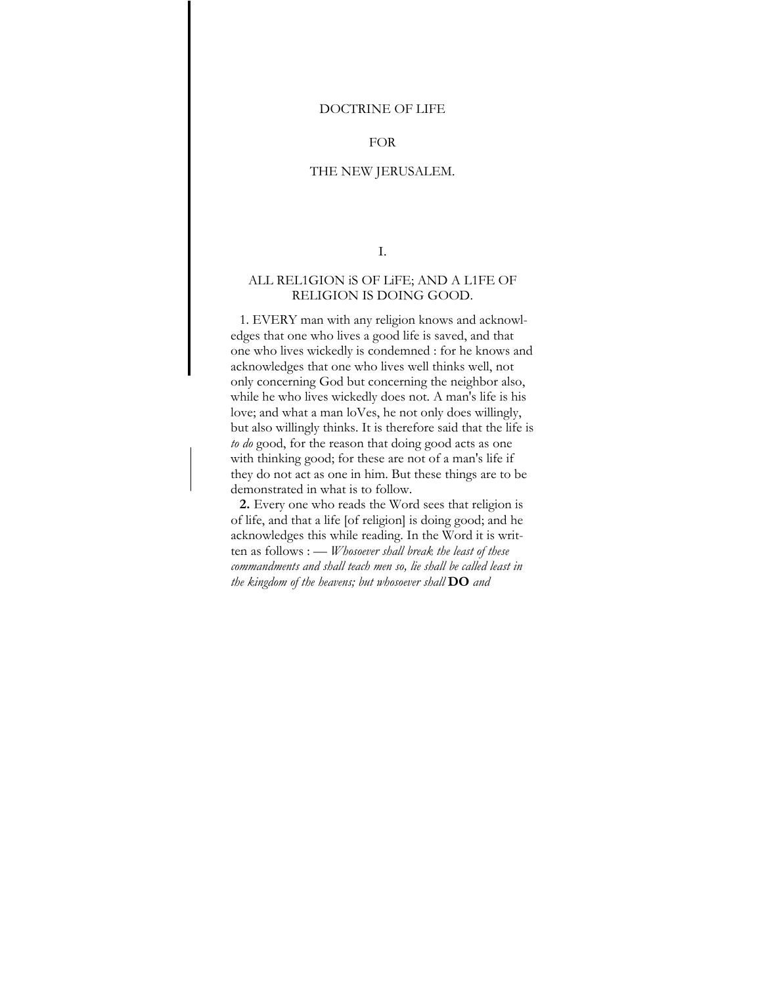# DOCTRINE OF LIFE

# FOR

### THE NEW JERUSALEM.

#### I.

# ALL REL1GION iS OF LiFE; AND A L1FE OF RELIGION IS DOING GOOD.

1. EVERY man with any religion knows and acknowledges that one who lives a good life is saved, and that one who lives wickedly is condemned : for he knows and acknowledges that one who lives well thinks well, not only concerning God but concerning the neighbor also, while he who lives wickedly does not. A man's life is his love; and what a man loVes, he not only does willingly, but also willingly thinks. It is therefore said that the life is *to do* good, for the reason that doing good acts as one with thinking good; for these are not of a man's life if they do not act as one in him. But these things are to be demonstrated in what is to follow.

**2.** Every one who reads the Word sees that religion is of life, and that a life [of religion] is doing good; and he acknowledges this while reading. In the Word it is written as follows : — *Whosoever shall break the least of these commandments and shall teach men so, lie shall be called least in the kingdom of the heavens; but whosoever shall* **DO** *and*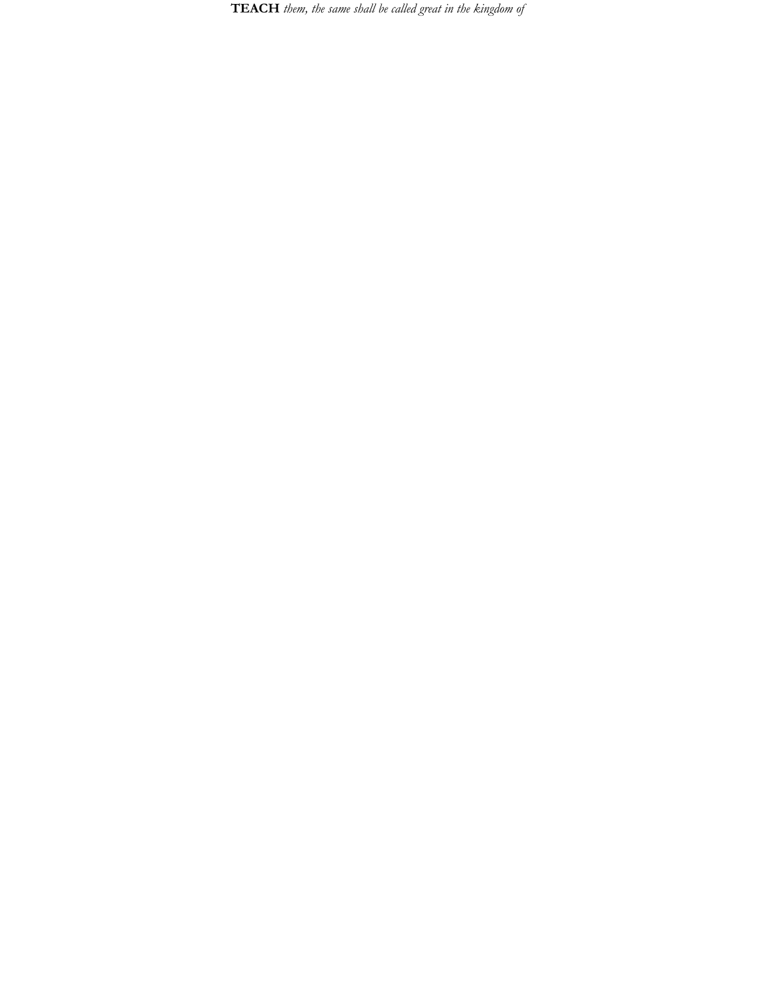**TEACH** *them, the same shall be called great in the kingdom of*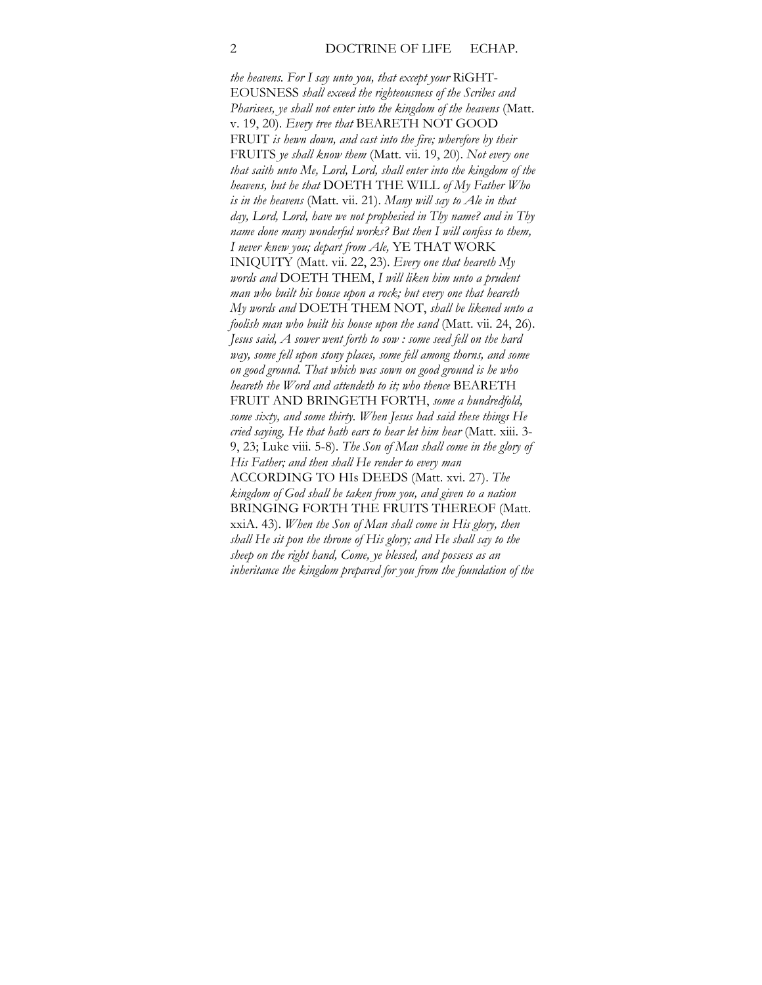*the heavens. For I say unto you, that except your* RiGHT-EOUSNESS *shall exceed the righteousness of the Scribes and Pharisees, ye shall not enter into the kingdom of the heavens* (Matt. v. 19, 20). *Every tree that* BEARETH NOT GOOD FRUIT *is hewn down, and cast into the fire; wherefore by their*  FRUITS *ye shall know them* (Matt. vii. 19, 20). *Not every one that saith unto Me, Lord, Lord, shall enter into the kingdom of the heavens, but he that* DOETH THE WILL *of My Father Who is in the heavens* (Matt. vii. 21). *Many will say to Ale in that day, Lord, Lord, have we not prophesied in Thy name? and in Thy name done many wonderful works? But then I will confess to them, I never knew you; depart from Ale,* YE THAT WORK INIQUITY (Matt. vii. 22, 23). *Every one that heareth My words and* DOETH THEM, *I will liken him unto a prudent man who built his house upon a rock; but every one that heareth My words and* DOETH THEM NOT, *shall be likened unto a foolish man who built his house upon the sand* (Matt. vii. 24, 26). *Jesus said, A sower went forth to sow : some seed fell on the hard way, some fell upon stony places, some fell among thorns, and some on good ground. That which was sown on good ground is he who heareth the Word and attendeth to it; who thence* BEARETH FRUIT AND BRINGETH FORTH, *some a hundredfold, some sixty, and some thirty. When Jesus had said these things He cried saying, He that hath ears to hear let him hear* (Matt. xiii. 3- 9, 23; Luke viii. 5-8). *The Son of Man shall come in the glory of His Father; and then shall He render to every man*  ACCORDING TO HIs DEEDS (Matt. xvi. 27). *The kingdom of God shall he taken from you, and given to a nation*  BRINGING FORTH THE FRUITS THEREOF (Matt. xxiA. 43). *When the Son of Man shall come in His glory, then shall He sit pon the throne of His glory; and He shall say to the sheep on the right hand, Come, ye blessed, and possess as an inheritance the kingdom prepared for you from the foundation of the*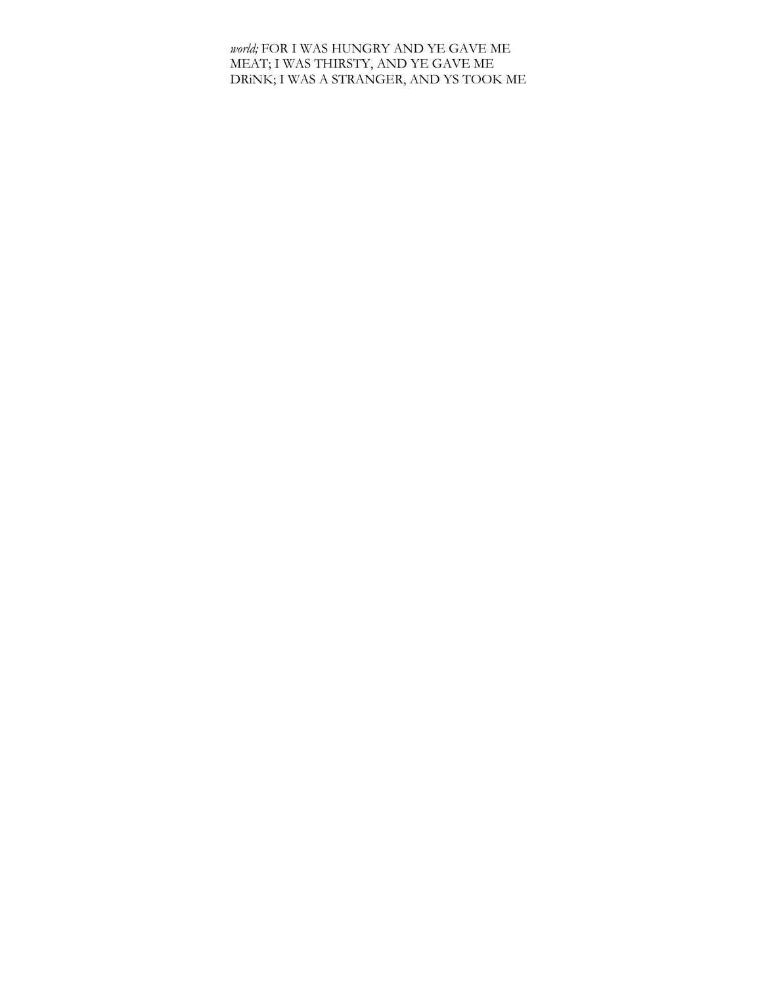# *world;* FOR I WAS HUNGRY AND YE GAVE ME MEAT; I WAS THIRSTY, AND YE GAVE ME DRiNK; I WAS A STRANGER, AND YS TOOK ME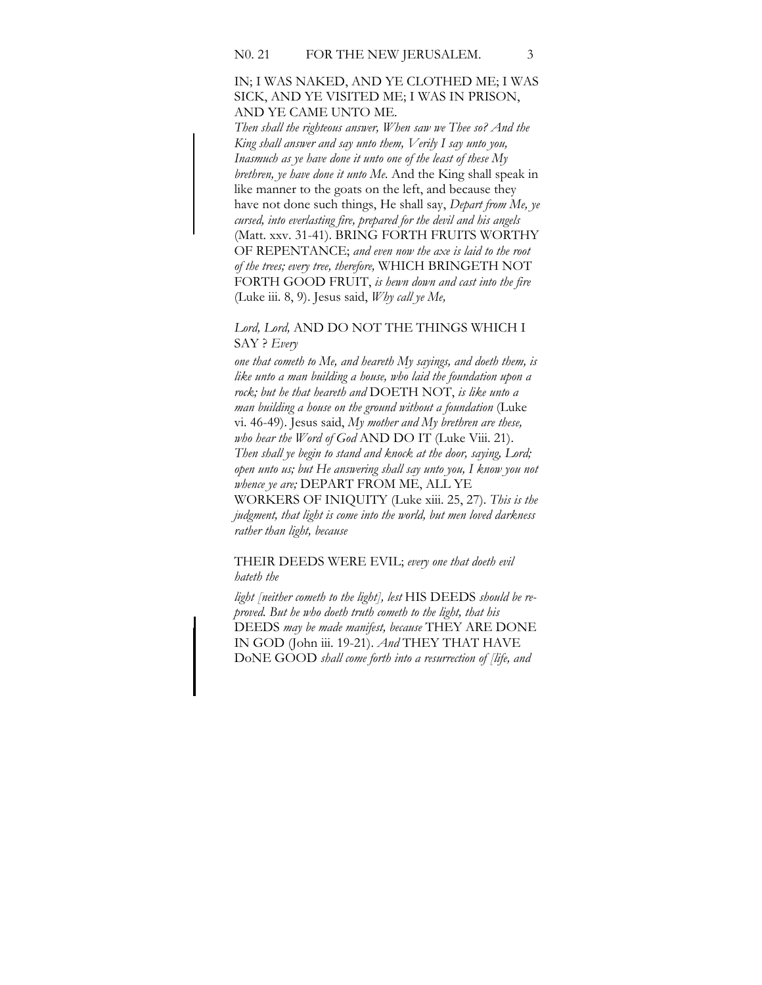# IN; I WAS NAKED, AND YE CLOTHED ME; I WAS SICK, AND YE VISITED ME; I WAS IN PRISON, AND YE CAME UNTO ME.

*Then shall the righteous answer, When saw we Thee so? And the King shall answer and say unto them, Verily I say unto you, Inasmuch as ye have done it unto one of the least of these My brethren, ye have done it unto Me.* And the King shall speak in like manner to the goats on the left, and because they have not done such things, He shall say, *Depart from Me, ye cursed, into everlasting fire, prepared for the devil and his angels*  (Matt. xxv. 31-41). BRING FORTH FRUITS WORTHY OF REPENTANCE; *and even now the axe is laid to the root of the trees; every tree, therefore,* WHICH BRINGETH NOT FORTH GOOD FRUIT, *is hewn down and cast into the fire*  (Luke iii. 8, 9). Jesus said, *Why call ye Me,* 

# *Lord, Lord,* AND DO NOT THE THINGS WHICH I SAY ? *Every*

*one that cometh to Me, and heareth My sayings, and doeth them, is like unto a man building a house, who laid the foundation upon a rock; but he that heareth and* DOETH NOT, *is like unto a man building a house on the ground without a foundation* (Luke vi. 46-49). Jesus said, *My mother and My brethren are these, who hear the Word of God* AND DO IT (Luke Viii. 21). *Then shall ye begin to stand and knock at the door, saying, Lord; open unto us; but He answering shall say unto you, I know you not whence ye are;* DEPART FROM ME, ALL YE WORKERS OF INIQUITY (Luke xiii. 25, 27). *This is the judgment, that light is come into the world, but men loved darkness rather than light, because* 

## THEIR DEEDS WERE EVIL; *every one that doeth evil hateth the*

*light [neither cometh to the light], lest* HIS DEEDS *should be reproved. But he who doeth truth cometh to the light, that his*  DEEDS *may be made manifest, because* THEY ARE DONE IN GOD (John iii. 19-21). *And* THEY THAT HAVE DoNE GOOD *shall come forth into a resurrection of [life, and*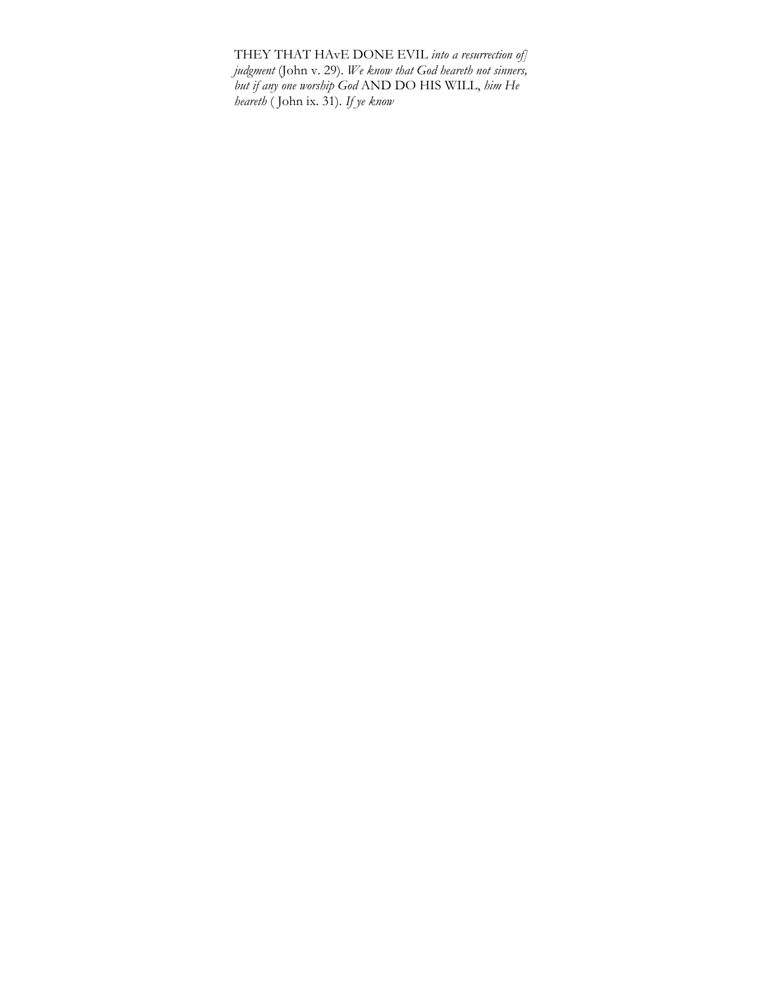THEY THAT HAvE DONE EVIL *into a resurrection of] judgment* (John v. 29). *We know that God heareth not sinners, but if any one worship God* AND DO HIS WILL, *him He heareth* ( John ix. 31). *If ye know*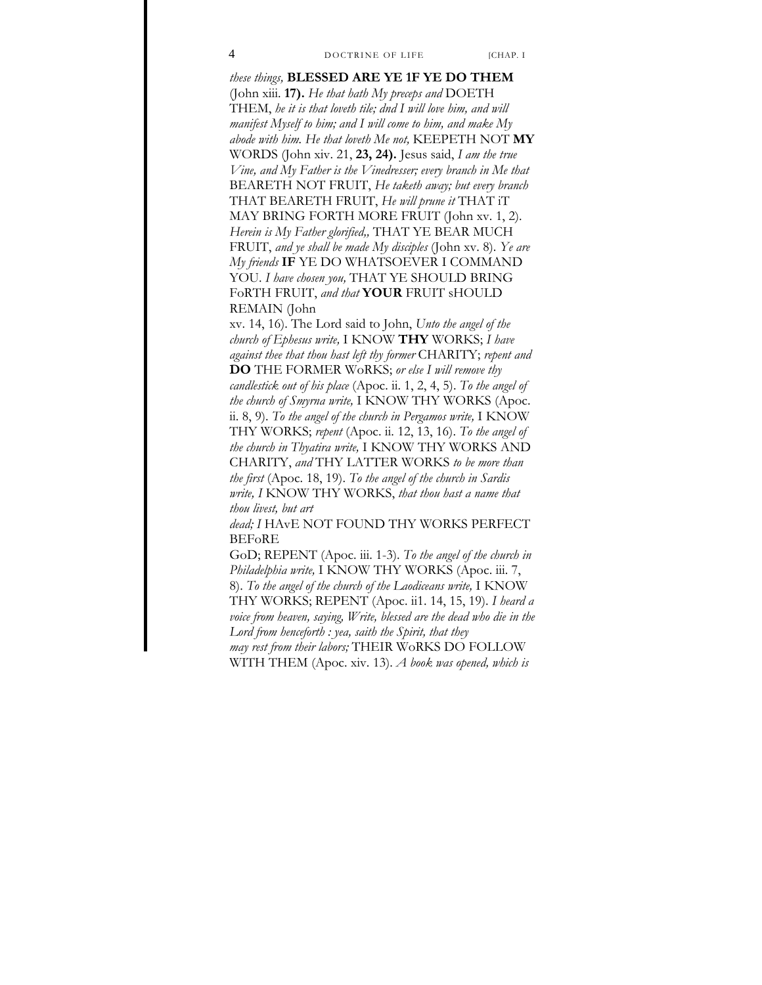*these things,* **BLESSED ARE YE 1F YE DO THEM**  (John xiii. **17).** *He that hath My preceps and* DOETH THEM, *he it is that loveth tile; dnd I will love him, and will manifest Myself to him; and I will come to him, and make My abode with him. He that loveth Me not,* KEEPETH NOT **MY**  WORDS (John xiv. 21, **23, 24).** Jesus said, *I am the true Vine, and My Father is the Vinedresser; every branch in Me that*  BEARETH NOT FRUIT, *He taketh away; but every branch*  THAT BEARETH FRUIT, *He will prune it* THAT iT MAY BRING FORTH MORE FRUIT (John xv. 1, 2). *Herein is My Father glorified,,* THAT YE BEAR MUCH FRUIT, *and ye shall be made My disciples* (John xv. 8). *Ye are My friends* **IF** YE DO WHATSOEVER I COMMAND YOU. *I have chosen you,* THAT YE SHOULD BRING FoRTH FRUIT, *and that* **YOUR** FRUIT sHOULD REMAIN (John

xv. 14, 16). The Lord said to John, *Unto the angel of the church of Ephesus write,* I KNOW **THY** WORKS; *I have against thee that thou hast left thy former* CHARITY; *repent and*  **DO** THE FORMER WoRKS; *or else I will remove thy* 

*candlestick out of his place* (Apoc. ii. 1, 2, 4, 5). *To the angel of the church of Smyrna write,* I KNOW THY WORKS (Apoc. ii. 8, 9). *To the angel of the church in Pergamos write,* I KNOW THY WORKS; *repent* (Apoc. ii. 12, 13, 16). *To the angel of the church in Thyatira write,* I KNOW THY WORKS AND CHARITY, *and* THY LATTER WORKS *to be more than the first* (Apoc. 18, 19). *To the angel of the church in Sardis write, I* KNOW THY WORKS, *that thou hast a name that thou livest, but art* 

*dead; I* HAvE NOT FOUND THY WORKS PERFECT BEFoRE

GoD; REPENT (Apoc. iii. 1-3). *To the angel of the church in Philadelphia write,* I KNOW THY WORKS (Apoc. iii. 7, 8). *To the angel of the church of the Laodiceans write,* I KNOW THY WORKS; REPENT (Apoc. ii1. 14, 15, 19). *I heard a voice from heaven, saying, Write, blessed are the dead who die in the Lord from henceforth : yea, saith the Spirit, that they may rest from their labors;* THEIR WoRKS DO FOLLOW WITH THEM (Apoc. xiv. 13). *A book was opened, which is*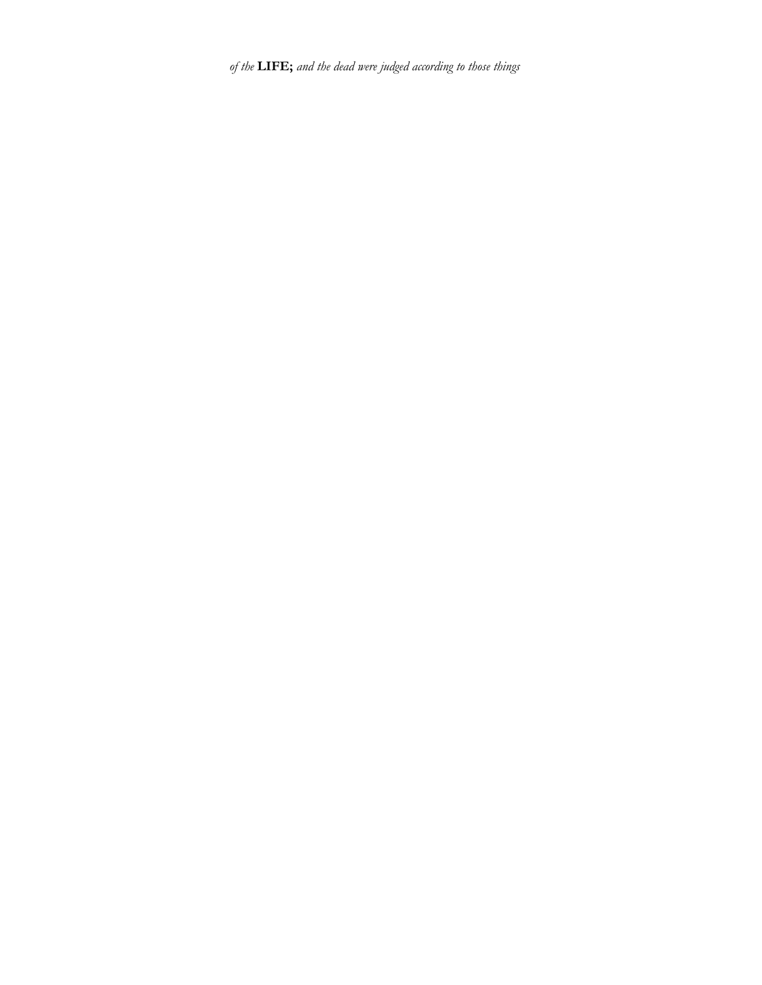*of the* **LIFE;** *and the dead were judged according to those things*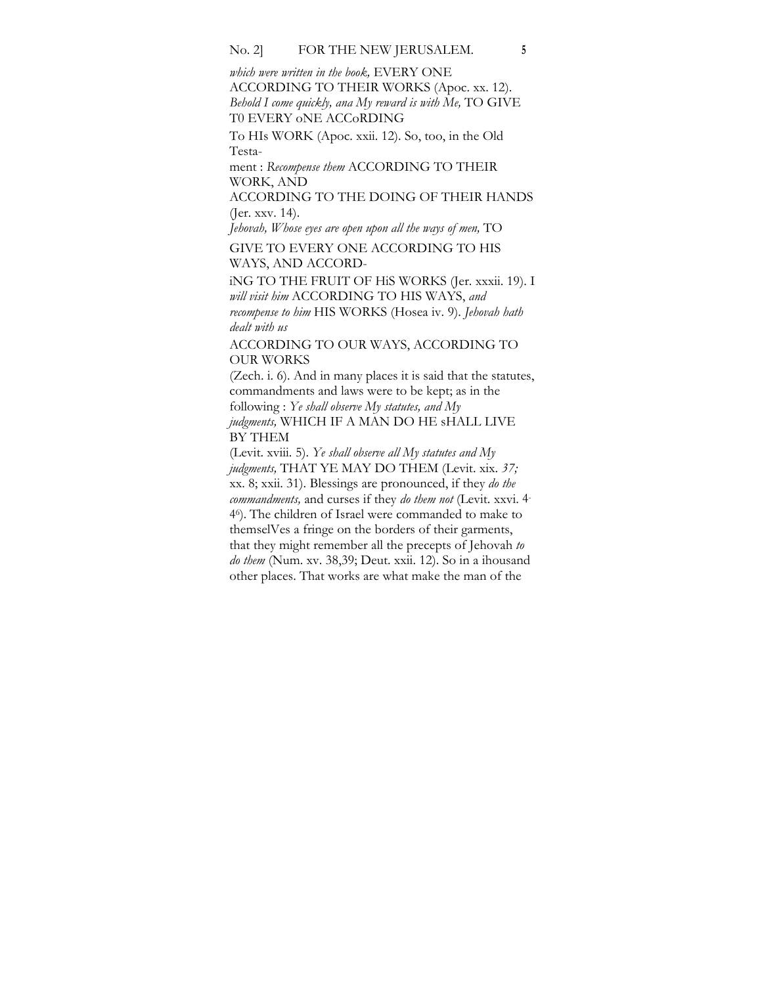*which were written in the book,* EVERY ONE ACCORDING TO THEIR WORKS (Apoc. xx. 12). *Behold I come quickly, ana My reward is with Me,* TO GIVE T0 EVERY oNE ACCoRDING

To HIs WORK (Apoc. xxii. 12). So, too, in the Old Testa-

ment : *Recompense them* ACCORDING TO THEIR WORK, AND

ACCORDING TO THE DOING OF THEIR HANDS (Jer. xxv. 14).

*Jehovah, Whose eyes are open upon all the ways of men,* TO

GIVE TO EVERY ONE ACCORDING TO HIS WAYS, AND ACCORD-

iNG TO THE FRUIT OF HiS WORKS (Jer. xxxii. 19). I *will visit him* ACCORDING TO HIS WAYS, *and recompense to him* HIS WORKS (Hosea iv. 9). *Jehovah hath dealt with us* 

ACCORDING TO OUR WAYS, ACCORDING TO OUR WORKS

(Zech. i. 6). And in many places it is said that the statutes, commandments and laws were to be kept; as in the following : *Ye shall observe My statutes, and My judgments,* WHICH IF A MAN DO HE sHALL LIVE BY THEM

(Levit. xviii. 5). *Ye shall observe all My statutes and My judgments,* THAT YE MAY DO THEM (Levit. xix. *37;*  xx. 8; xxii. 31). Blessings are pronounced, if they *do the commandments,* and curses if they *do them not* (Levit. xxvi. 4- 46). The children of Israel were commanded to make to themselVes a fringe on the borders of their garments, that they might remember all the precepts of Jehovah *to do them* (Num. xv. 38,39; Deut. xxii. 12). So in a ihousand other places. That works are what make the man of the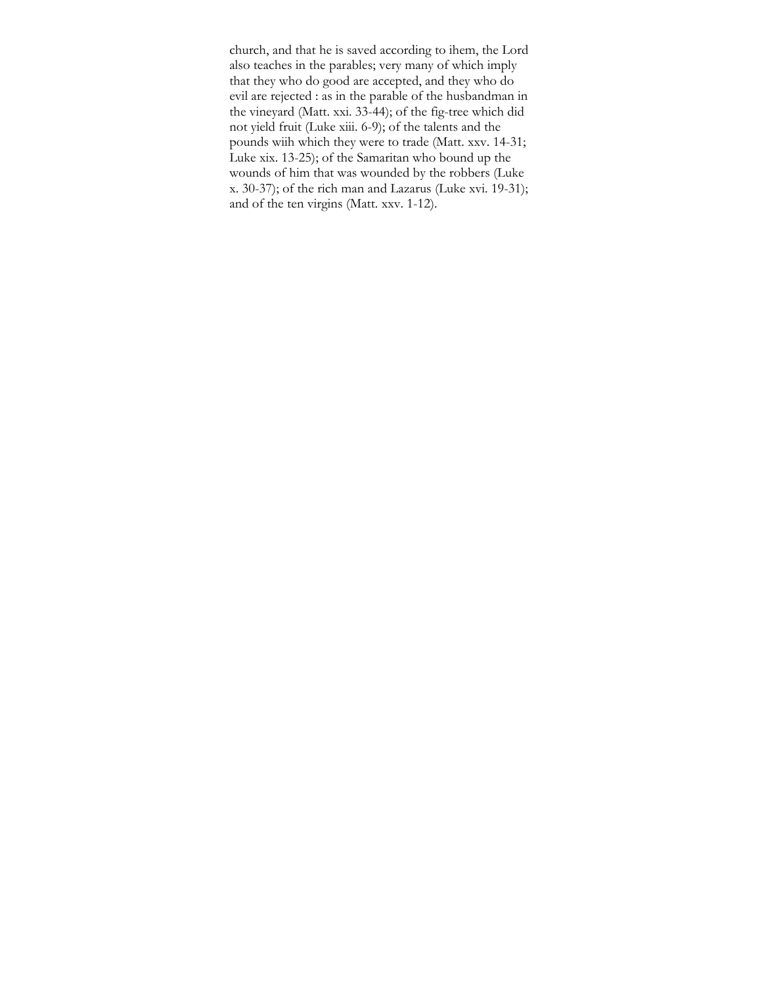church, and that he is saved according to ihem, the Lord also teaches in the parables; very many of which imply that they who do good are accepted, and they who do evil are rejected : as in the parable of the husbandman in the vineyard (Matt. xxi. 33-44); of the fig-tree which did not yield fruit (Luke xiii. 6-9); of the talents and the pounds wiih which they were to trade (Matt. xxv. 14-31; Luke xix. 13-25); of the Samaritan who bound up the wounds of him that was wounded by the robbers (Luke x. 30-37); of the rich man and Lazarus (Luke xvi. 19-31); and of the ten virgins (Matt. xxv. 1-12).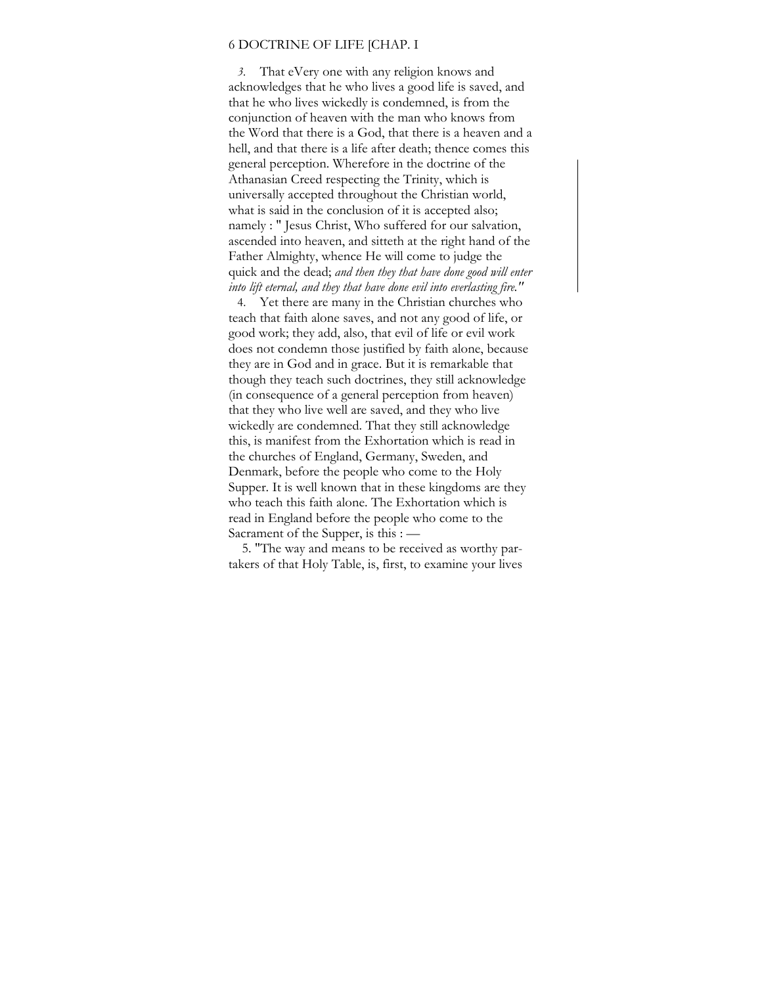#### 6 DOCTRINE OF LIFE [CHAP. I

*3.* That eVery one with any religion knows and acknowledges that he who lives a good life is saved, and that he who lives wickedly is condemned, is from the conjunction of heaven with the man who knows from the Word that there is a God, that there is a heaven and a hell, and that there is a life after death; thence comes this general perception. Wherefore in the doctrine of the Athanasian Creed respecting the Trinity, which is universally accepted throughout the Christian world, what is said in the conclusion of it is accepted also; namely : " Jesus Christ, Who suffered for our salvation, ascended into heaven, and sitteth at the right hand of the Father Almighty, whence He will come to judge the quick and the dead; *and then they that have done good will enter into lift eternal, and they that have done evil into everlasting fire."* 

4. Yet there are many in the Christian churches who teach that faith alone saves, and not any good of life, or good work; they add, also, that evil of life or evil work does not condemn those justified by faith alone, because they are in God and in grace. But it is remarkable that though they teach such doctrines, they still acknowledge (in consequence of a general perception from heaven) that they who live well are saved, and they who live wickedly are condemned. That they still acknowledge this, is manifest from the Exhortation which is read in the churches of England, Germany, Sweden, and Denmark, before the people who come to the Holy Supper. It is well known that in these kingdoms are they who teach this faith alone. The Exhortation which is read in England before the people who come to the Sacrament of the Supper, is this : —

5. "The way and means to be received as worthy partakers of that Holy Table, is, first, to examine your lives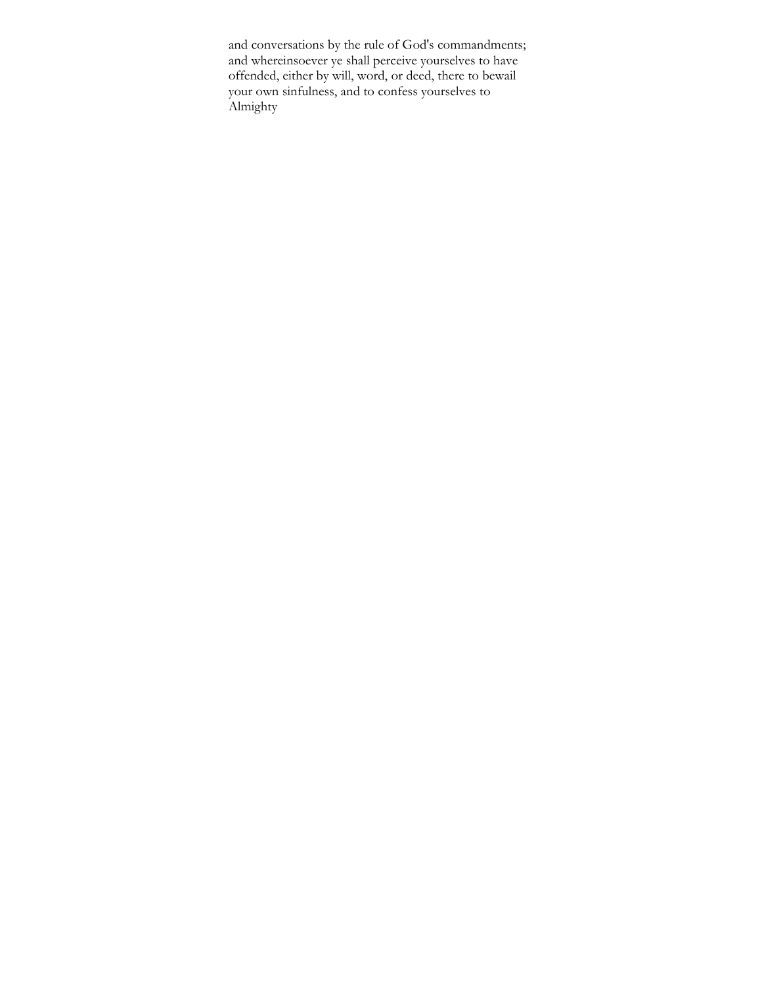and conversations by the rule of God's commandments; and whereinsoever ye shall perceive yourselves to have offended, either by will, word, or deed, there to bewail your own sinfulness, and to confess yourselves to Almighty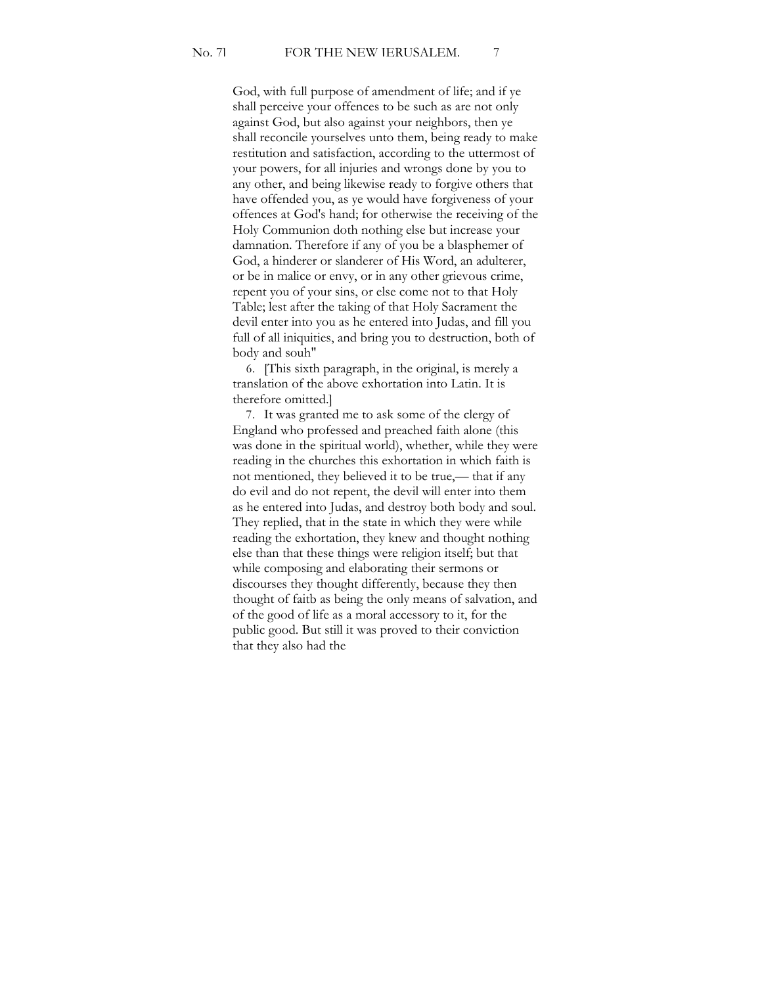God, with full purpose of amendment of life; and if ye shall perceive your offences to be such as are not only against God, but also against your neighbors, then ye shall reconcile yourselves unto them, being ready to make restitution and satisfaction, according to the uttermost of your powers, for all injuries and wrongs done by you to any other, and being likewise ready to forgive others that have offended you, as ye would have forgiveness of your offences at God's hand; for otherwise the receiving of the Holy Communion doth nothing else but increase your damnation. Therefore if any of you be a blasphemer of God, a hinderer or slanderer of His Word, an adulterer, or be in malice or envy, or in any other grievous crime, repent you of your sins, or else come not to that Holy Table; lest after the taking of that Holy Sacrament the devil enter into you as he entered into Judas, and fill you full of all iniquities, and bring you to destruction, both of body and souh"

6. [This sixth paragraph, in the original, is merely a translation of the above exhortation into Latin. It is therefore omitted.]

7. It was granted me to ask some of the clergy of England who professed and preached faith alone (this was done in the spiritual world), whether, while they were reading in the churches this exhortation in which faith is not mentioned, they believed it to be true,— that if any do evil and do not repent, the devil will enter into them as he entered into Judas, and destroy both body and soul. They replied, that in the state in which they were while reading the exhortation, they knew and thought nothing else than that these things were religion itself; but that while composing and elaborating their sermons or discourses they thought differently, because they then thought of faitb as being the only means of salvation, and of the good of life as a moral accessory to it, for the public good. But still it was proved to their conviction that they also had the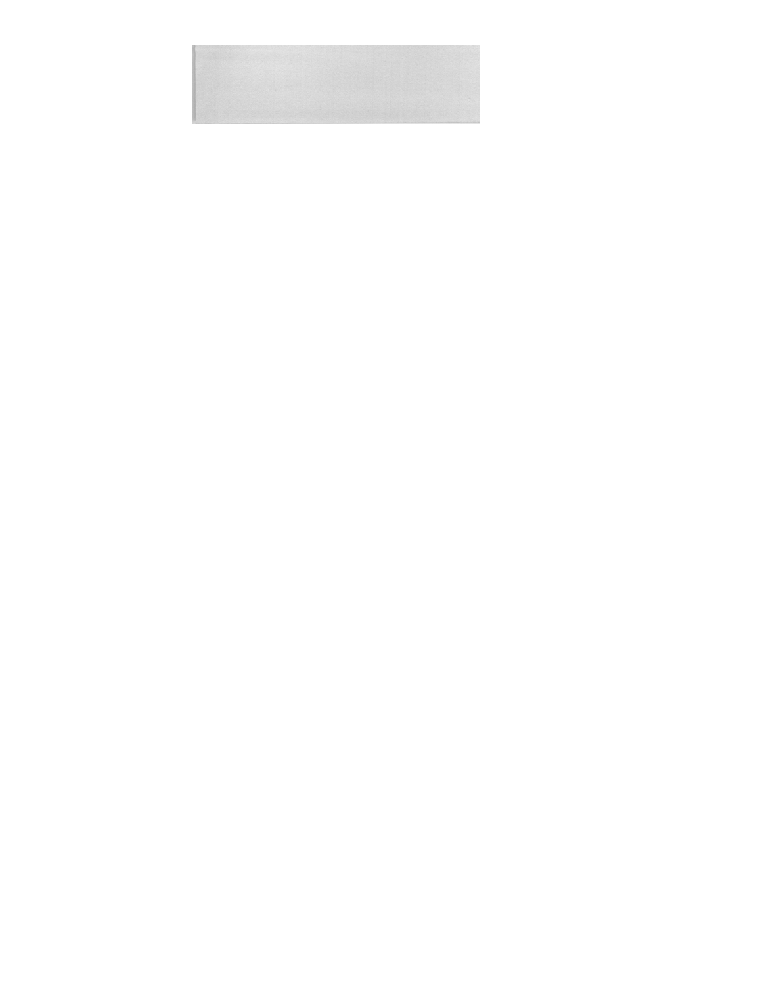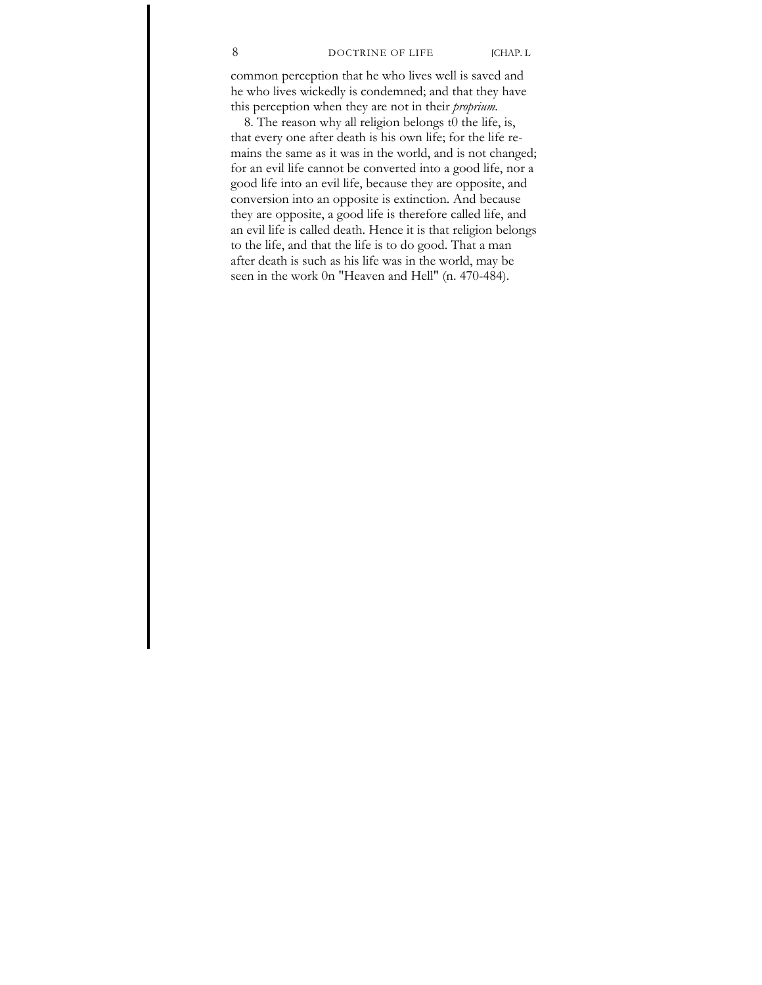common perception that he who lives well is saved and he who lives wickedly is condemned; and that they have this perception when they are not in their *proprium.* 

8. The reason why all religion belongs t0 the life, is, that every one after death is his own life; for the life remains the same as it was in the world, and is not changed; for an evil life cannot be converted into a good life, nor a good life into an evil life, because they are opposite, and conversion into an opposite is extinction. And because they are opposite, a good life is therefore called life, and an evil life is called death. Hence it is that religion belongs to the life, and that the life is to do good. That a man after death is such as his life was in the world, may be seen in the work 0n "Heaven and Hell" (n. 470-484).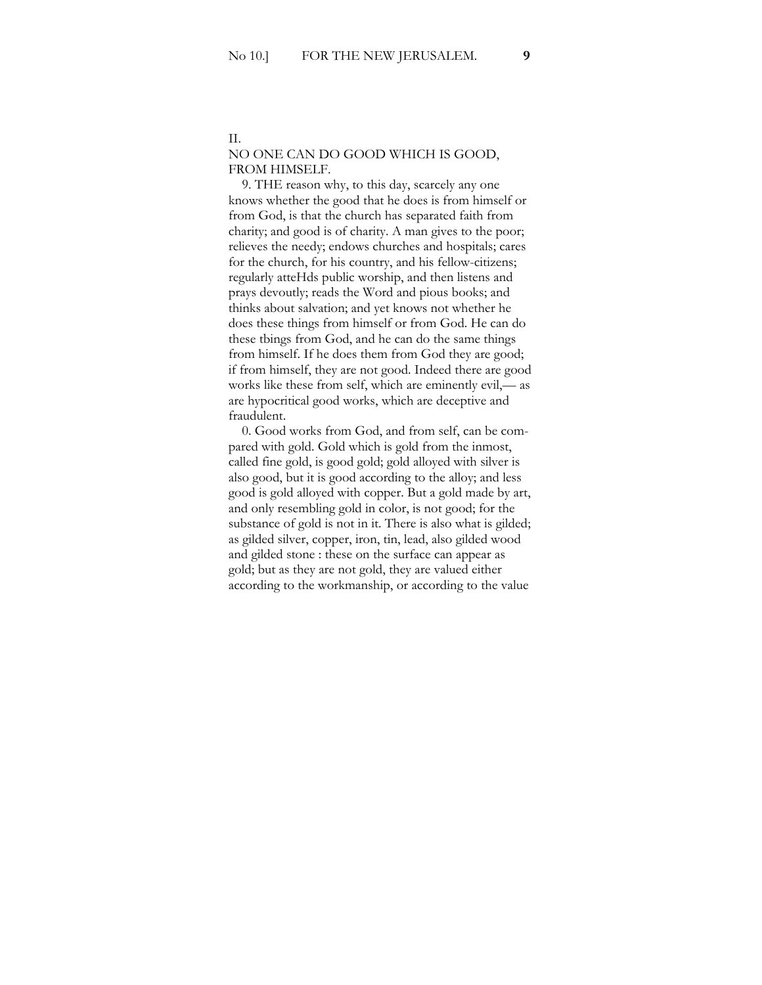#### II.

## NO ONE CAN DO GOOD WHICH IS GOOD, FROM HIMSELF.

9. THE reason why, to this day, scarcely any one knows whether the good that he does is from himself or from God, is that the church has separated faith from charity; and good is of charity. A man gives to the poor; relieves the needy; endows churches and hospitals; cares for the church, for his country, and his fellow-citizens; regularly atteHds public worship, and then listens and prays devoutly; reads the Word and pious books; and thinks about salvation; and yet knows not whether he does these things from himself or from God. He can do these tbings from God, and he can do the same things from himself. If he does them from God they are good; if from himself, they are not good. Indeed there are good works like these from self, which are eminently evil,— as are hypocritical good works, which are deceptive and fraudulent.

0. Good works from God, and from self, can be compared with gold. Gold which is gold from the inmost, called fine gold, is good gold; gold alloyed with silver is also good, but it is good according to the alloy; and less good is gold alloyed with copper. But a gold made by art, and only resembling gold in color, is not good; for the substance of gold is not in it. There is also what is gilded; as gilded silver, copper, iron, tin, lead, also gilded wood and gilded stone : these on the surface can appear as gold; but as they are not gold, they are valued either according to the workmanship, or according to the value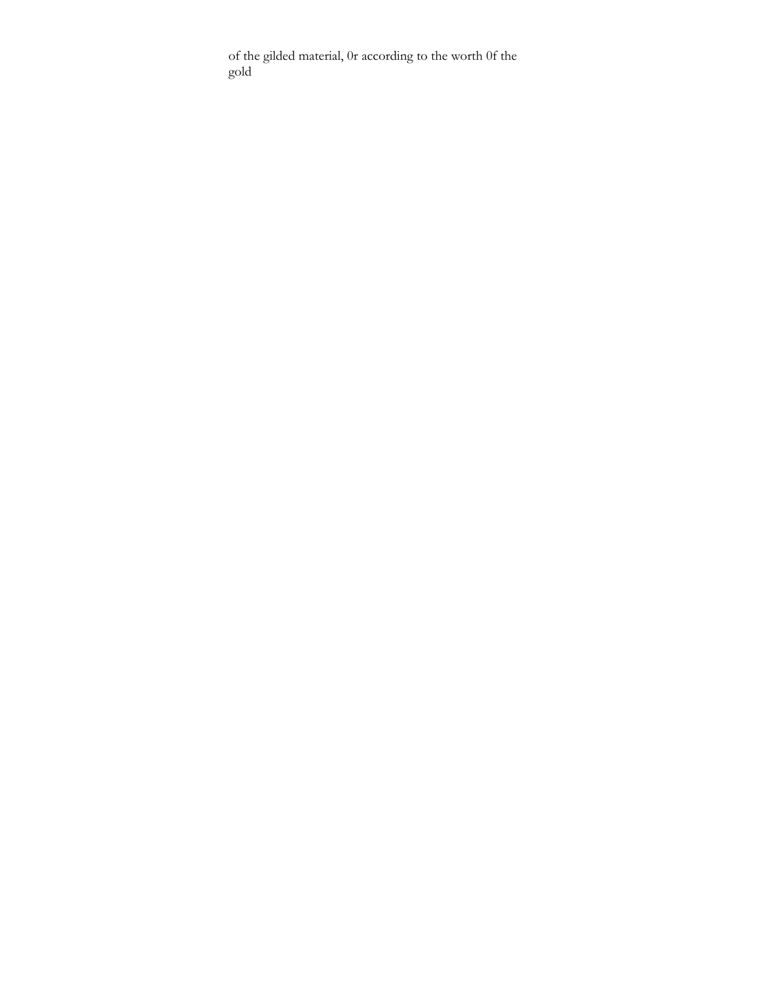of the gilded material, 0r according to the worth 0f the gold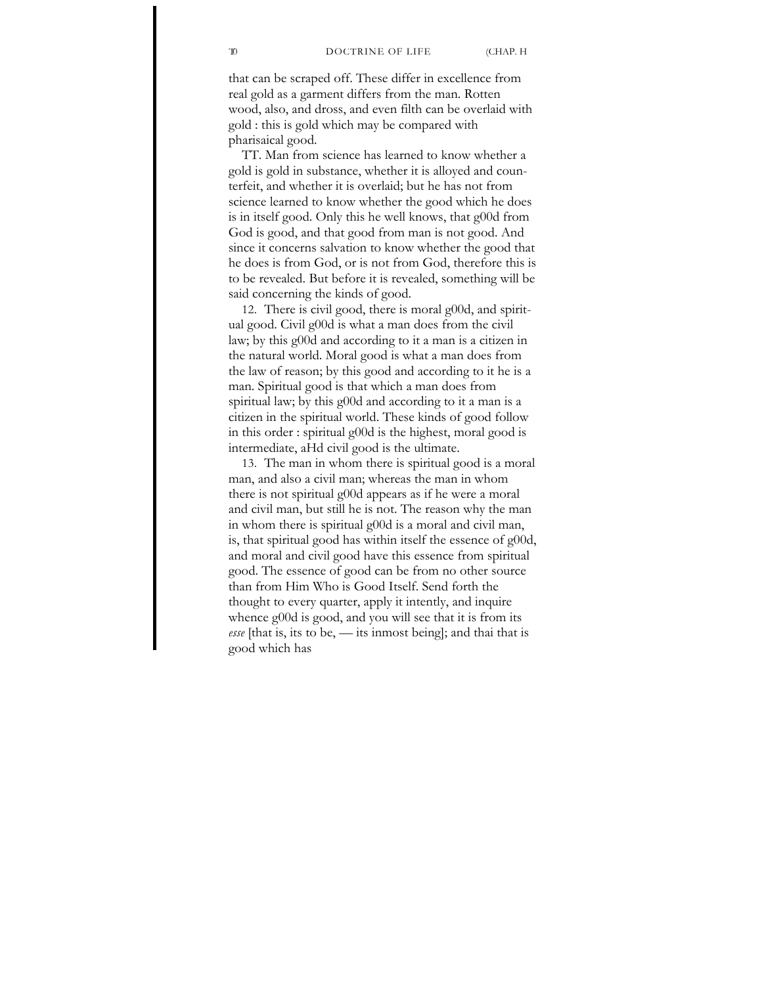that can be scraped off. These differ in excellence from real gold as a garment differs from the man. Rotten wood, also, and dross, and even filth can be overlaid with gold : this is gold which may be compared with pharisaical good.

TT. Man from science has learned to know whether a gold is gold in substance, whether it is alloyed and counterfeit, and whether it is overlaid; but he has not from science learned to know whether the good which he does is in itself good. Only this he well knows, that g00d from God is good, and that good from man is not good. And since it concerns salvation to know whether the good that he does is from God, or is not from God, therefore this is to be revealed. But before it is revealed, something will be said concerning the kinds of good.

12. There is civil good, there is moral g00d, and spiritual good. Civil g00d is what a man does from the civil law; by this g00d and according to it a man is a citizen in the natural world. Moral good is what a man does from the law of reason; by this good and according to it he is a man. Spiritual good is that which a man does from spiritual law; by this g00d and according to it a man is a citizen in the spiritual world. These kinds of good follow in this order : spiritual g00d is the highest, moral good is intermediate, aHd civil good is the ultimate.

13. The man in whom there is spiritual good is a moral man, and also a civil man; whereas the man in whom there is not spiritual g00d appears as if he were a moral and civil man, but still he is not. The reason why the man in whom there is spiritual g00d is a moral and civil man, is, that spiritual good has within itself the essence of g00d, and moral and civil good have this essence from spiritual good. The essence of good can be from no other source than from Him Who is Good Itself. Send forth the thought to every quarter, apply it intently, and inquire whence g00d is good, and you will see that it is from its *esse* [that is, its to be, — its inmost being]; and thai that is good which has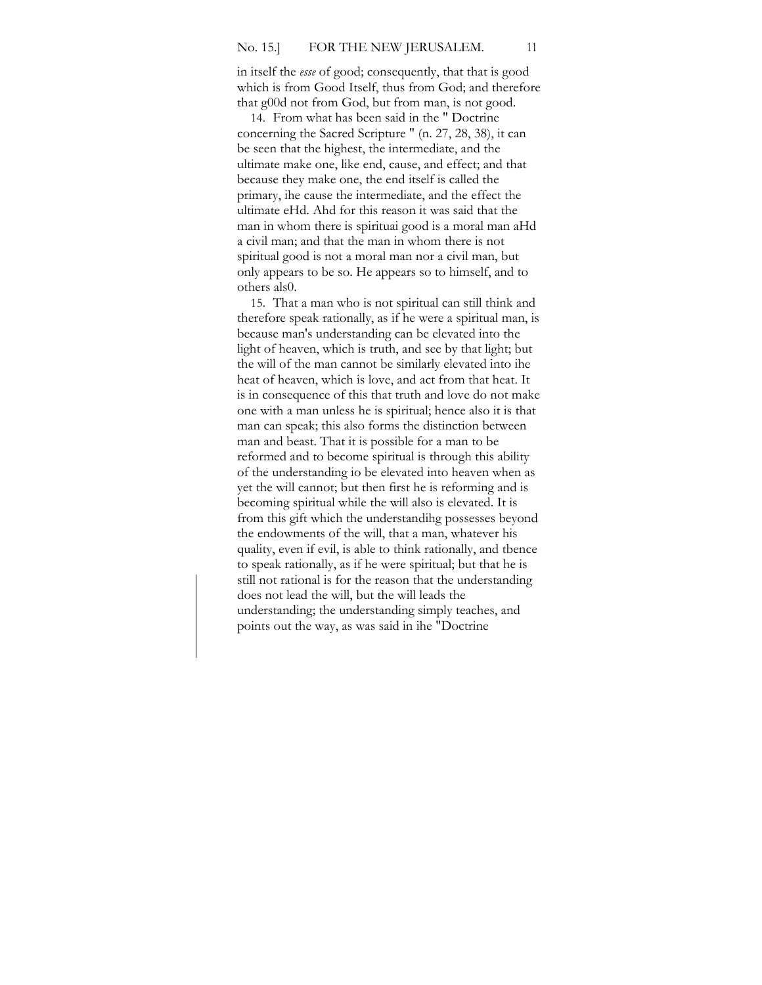in itself the *esse* of good; consequently, that that is good which is from Good Itself, thus from God; and therefore that g00d not from God, but from man, is not good.

14. From what has been said in the " Doctrine concerning the Sacred Scripture " (n. 27, 28, 38), it can be seen that the highest, the intermediate, and the ultimate make one, like end, cause, and effect; and that because they make one, the end itself is called the primary, ihe cause the intermediate, and the effect the ultimate eHd. Ahd for this reason it was said that the man in whom there is spirituai good is a moral man aHd a civil man; and that the man in whom there is not spiritual good is not a moral man nor a civil man, but only appears to be so. He appears so to himself, and to others als0.

15. That a man who is not spiritual can still think and therefore speak rationally, as if he were a spiritual man, is because man's understanding can be elevated into the light of heaven, which is truth, and see by that light; but the will of the man cannot be similarly elevated into ihe heat of heaven, which is love, and act from that heat. It is in consequence of this that truth and love do not make one with a man unless he is spiritual; hence also it is that man can speak; this also forms the distinction between man and beast. That it is possible for a man to be reformed and to become spiritual is through this ability of the understanding io be elevated into heaven when as yet the will cannot; but then first he is reforming and is becoming spiritual while the will also is elevated. It is from this gift which the understandihg possesses beyond the endowments of the will, that a man, whatever his quality, even if evil, is able to think rationally, and tbence to speak rationally, as if he were spiritual; but that he is still not rational is for the reason that the understanding does not lead the will, but the will leads the understanding; the understanding simply teaches, and points out the way, as was said in ihe "Doctrine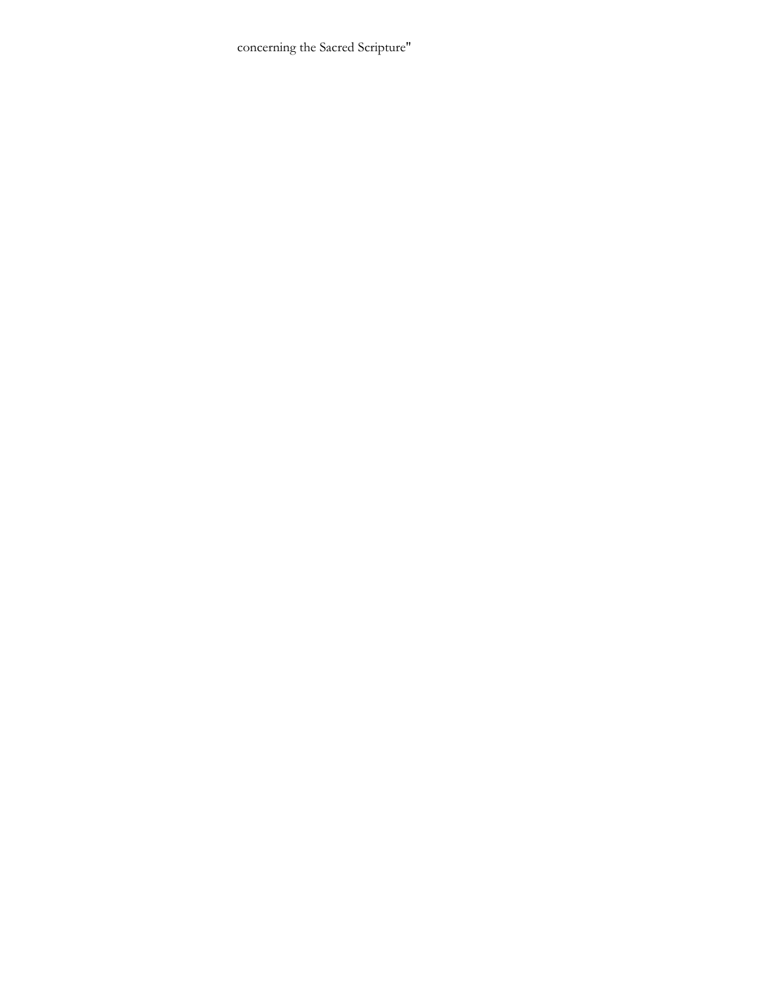concerning the Sacred Scripture"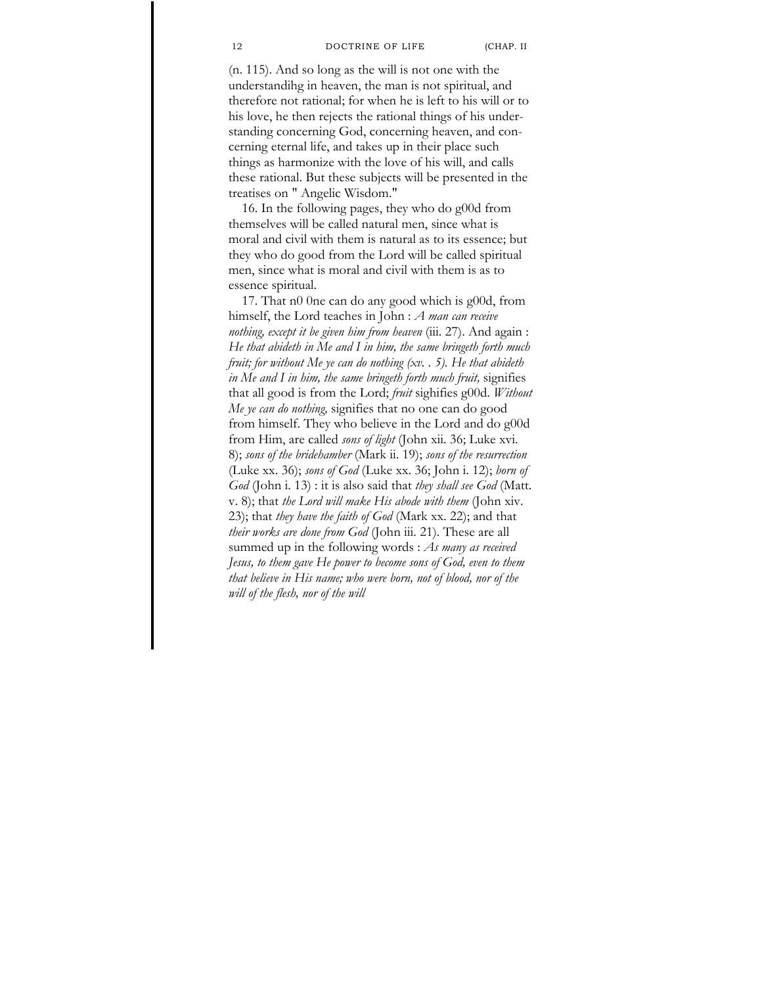(n. 115). And so long as the will is not one with the understandihg in heaven, the man is not spiritual, and therefore not rational; for when he is left to his will or to his love, he then rejects the rational things of his understanding concerning God, concerning heaven, and concerning eternal life, and takes up in their place such things as harmonize with the love of his will, and calls these rational. But these subjects will be presented in the treatises on " Angelic Wisdom."

16. In the following pages, they who do g00d from themselves will be called natural men, since what is moral and civil with them is natural as to its essence; but they who do good from the Lord will be called spiritual men, since what is moral and civil with them is as to essence spiritual.

17. That n0 0ne can do any good which is g00d, from himself, the Lord teaches in John : *A man can receive nothing, except it be given him from heaven* (iii. 27). And again : *He that abideth in Me and I in him, the same bringeth forth much fruit; for without Me ye can do nothing (xv. . 5). He that abideth in Me and I in him, the same bringeth forth much fruit,* signifies that all good is from the Lord; *fruit* sighifies g00d. *Without Me ye can do nothing,* signifies that no one can do good from himself. They who believe in the Lord and do g00d from Him, are called *sons of light* (John xii. 36; Luke xvi. 8); *sons of the bridehamber* (Mark ii. 19); *sons of the resurrection*  (Luke xx. 36); *sons of God* (Luke xx. 36; John i. 12); *born of God* (John i. 13) : it is also said that *they shall see God* (Matt. v. 8); that *the Lord will make His abode with them* (John xiv. 23); that *they have the faith of God* (Mark xx. 22); and that *their works are done from God* (John iii. 21). These are all summed up in the following words : *As many as received Jesus, to them gave He power to become sons of God, even to them that believe in His name; who were born, not of blood, nor of the will of the flesh, nor of the will*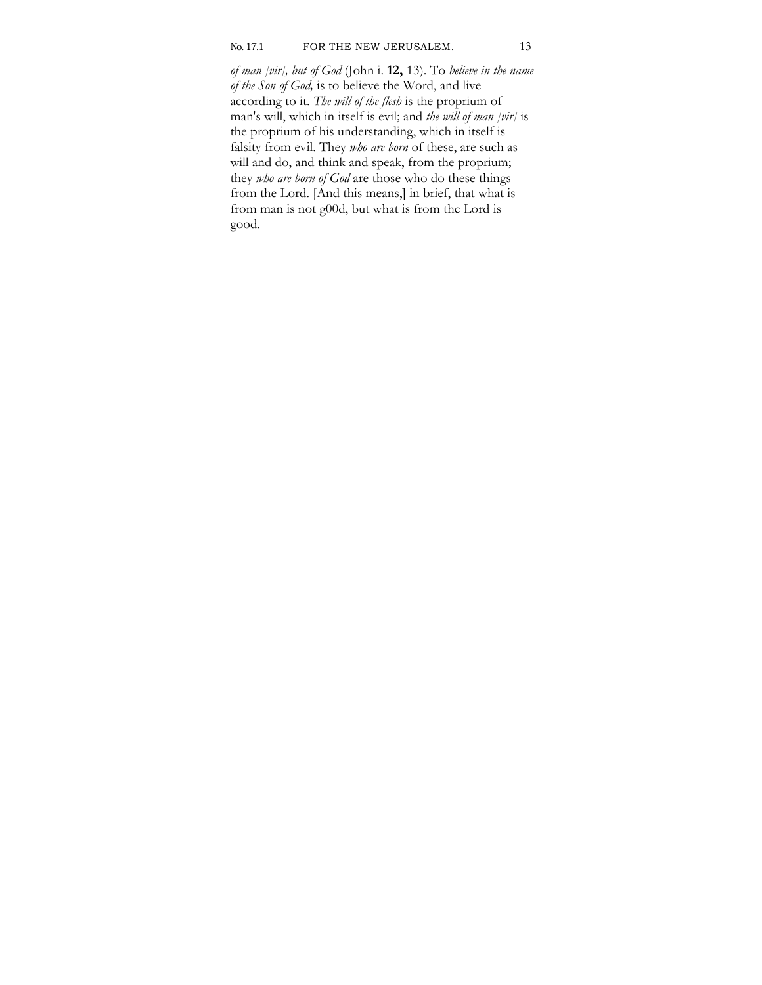#### No. 17.1 FOR THE NEW JERUSALEM. 13

*of man [vir], but of God* (John i. **12,** 13). To *believe in the name of the Son of God,* is to believe the Word, and live according to it. *The will of the flesh* is the proprium of man's will, which in itself is evil; and *the will of man [vir]* is the proprium of his understanding, which in itself is falsity from evil. They *who are born* of these, are such as will and do, and think and speak, from the proprium; they *who are born of God* are those who do these things from the Lord. [And this means,] in brief, that what is from man is not g00d, but what is from the Lord is good.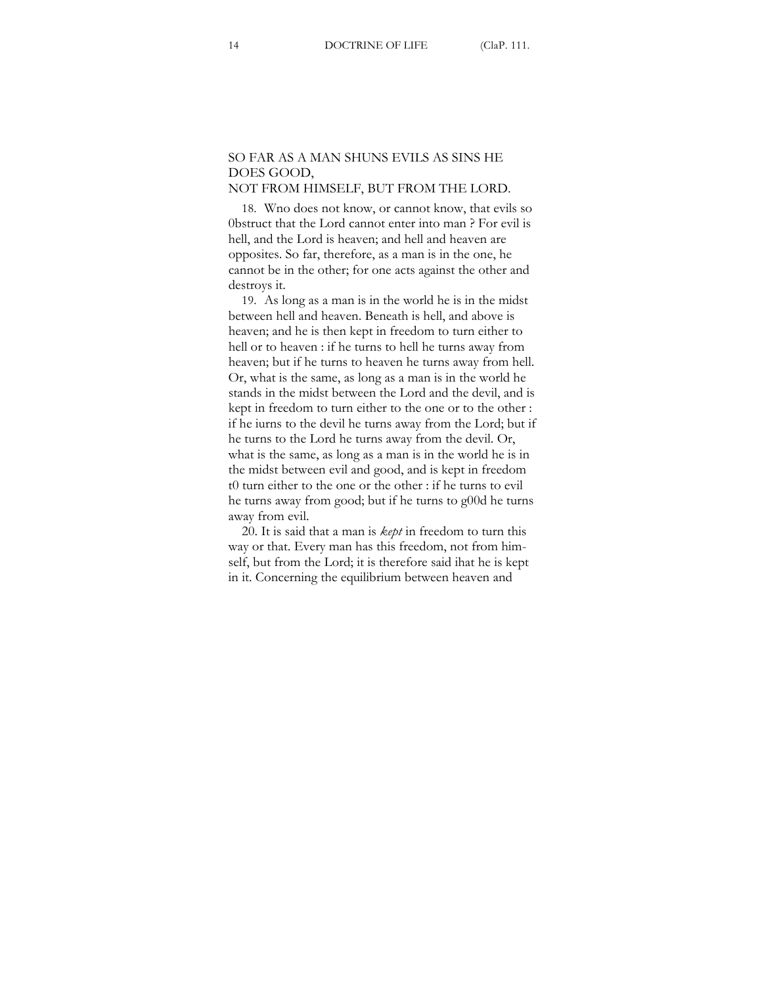# SO FAR AS A MAN SHUNS EVILS AS SINS HE DOES GOOD,

NOT FROM HIMSELF, BUT FROM THE LORD.

18. Wno does not know, or cannot know, that evils so 0bstruct that the Lord cannot enter into man ? For evil is hell, and the Lord is heaven; and hell and heaven are opposites. So far, therefore, as a man is in the one, he cannot be in the other; for one acts against the other and destroys it.

19. As long as a man is in the world he is in the midst between hell and heaven. Beneath is hell, and above is heaven; and he is then kept in freedom to turn either to hell or to heaven : if he turns to hell he turns away from heaven; but if he turns to heaven he turns away from hell. Or, what is the same, as long as a man is in the world he stands in the midst between the Lord and the devil, and is kept in freedom to turn either to the one or to the other : if he iurns to the devil he turns away from the Lord; but if he turns to the Lord he turns away from the devil. Or, what is the same, as long as a man is in the world he is in the midst between evil and good, and is kept in freedom t0 turn either to the one or the other : if he turns to evil he turns away from good; but if he turns to g00d he turns away from evil.

20. It is said that a man is *kept* in freedom to turn this way or that. Every man has this freedom, not from himself, but from the Lord; it is therefore said ihat he is kept in it. Concerning the equilibrium between heaven and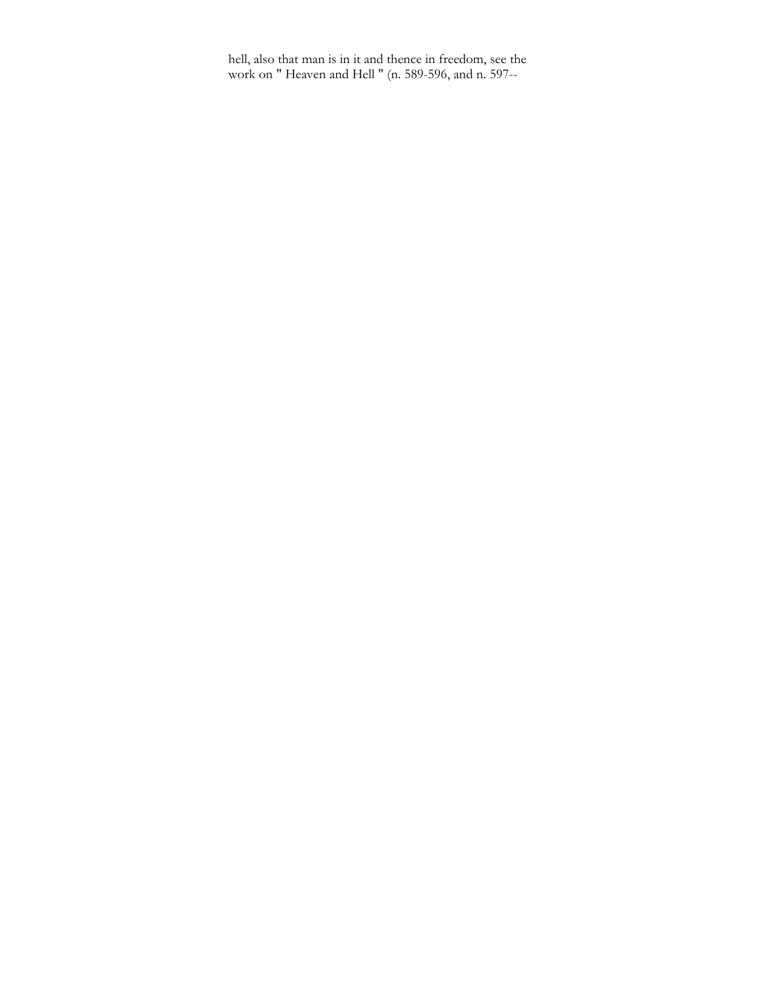hell, also that man is in it and thence in freedom, see the work on " Heaven and Hell " (n. 589-596, and n. 597--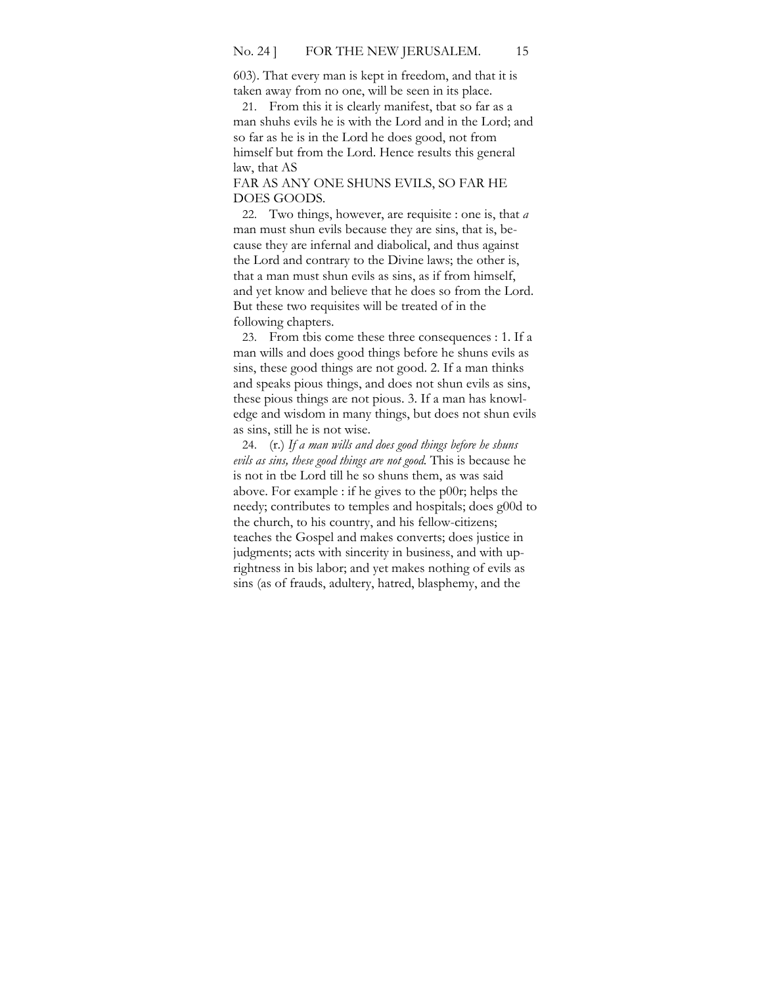603). That every man is kept in freedom, and that it is taken away from no one, will be seen in its place.

21. From this it is clearly manifest, tbat so far as a man shuhs evils he is with the Lord and in the Lord; and so far as he is in the Lord he does good, not from himself but from the Lord. Hence results this general law, that AS

## FAR AS ANY ONE SHUNS EVILS, SO FAR HE DOES GOODS.

22. Two things, however, are requisite : one is, that *a*  man must shun evils because they are sins, that is, because they are infernal and diabolical, and thus against the Lord and contrary to the Divine laws; the other is, that a man must shun evils as sins, as if from himself, and yet know and believe that he does so from the Lord. But these two requisites will be treated of in the following chapters.

23. From tbis come these three consequences : 1. If a man wills and does good things before he shuns evils as sins, these good things are not good. 2. If a man thinks and speaks pious things, and does not shun evils as sins, these pious things are not pious. 3. If a man has knowledge and wisdom in many things, but does not shun evils as sins, still he is not wise.

24. (r.) *If a man wills and does good things before he shuns evils as sins, these good things are not good.* This is because he is not in tbe Lord till he so shuns them, as was said above. For example : if he gives to the p00r; helps the needy; contributes to temples and hospitals; does g00d to the church, to his country, and his fellow-citizens; teaches the Gospel and makes converts; does justice in judgments; acts with sincerity in business, and with uprightness in bis labor; and yet makes nothing of evils as sins (as of frauds, adultery, hatred, blasphemy, and the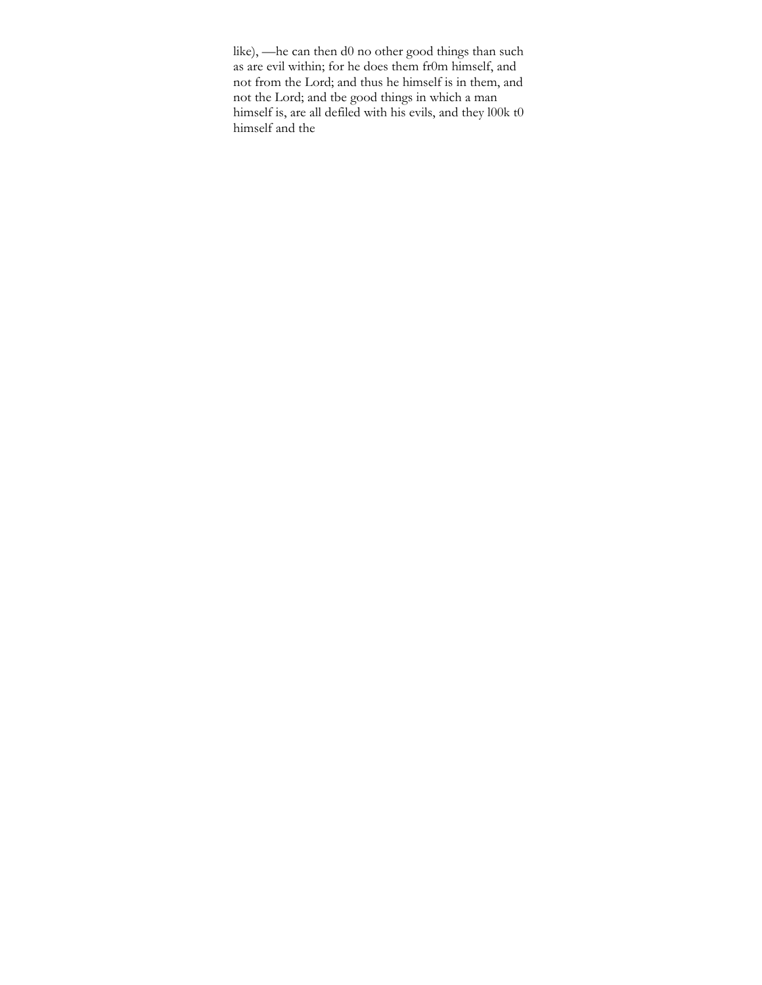like), —he can then d0 no other good things than such as are evil within; for he does them fr0m himself, and not from the Lord; and thus he himself is in them, and not the Lord; and tbe good things in which a man himself is, are all defiled with his evils, and they l00k t0 himself and the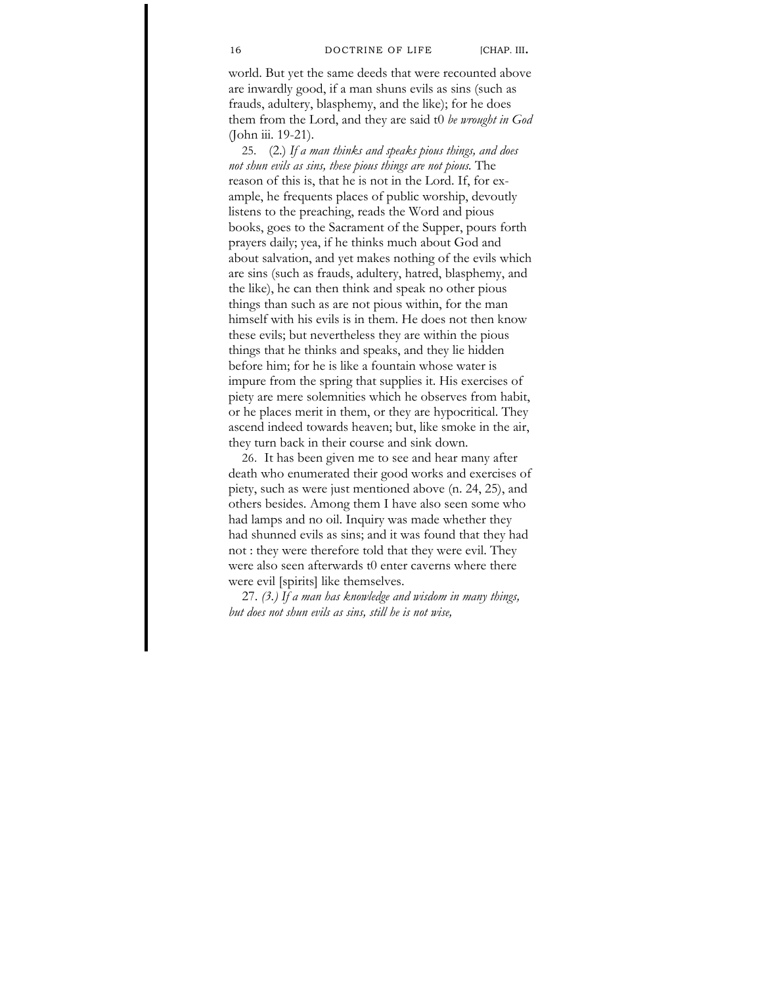world. But yet the same deeds that were recounted above are inwardly good, if a man shuns evils as sins (such as frauds, adultery, blasphemy, and the like); for he does them from the Lord, and they are said t0 *be wrought in God*  (John iii. 19-21).

25. (2.) *If a man thinks and speaks pious things, and does not shun evils as sins, these pious things are not pious.* The reason of this is, that he is not in the Lord. If, for example, he frequents places of public worship, devoutly listens to the preaching, reads the Word and pious books, goes to the Sacrament of the Supper, pours forth prayers daily; yea, if he thinks much about God and about salvation, and yet makes nothing of the evils which are sins (such as frauds, adultery, hatred, blasphemy, and the like), he can then think and speak no other pious things than such as are not pious within, for the man himself with his evils is in them. He does not then know these evils; but nevertheless they are within the pious things that he thinks and speaks, and they lie hidden before him; for he is like a fountain whose water is impure from the spring that supplies it. His exercises of piety are mere solemnities which he observes from habit, or he places merit in them, or they are hypocritical. They ascend indeed towards heaven; but, like smoke in the air, they turn back in their course and sink down.

26. It has been given me to see and hear many after death who enumerated their good works and exercises of piety, such as were just mentioned above (n. 24, 25), and others besides. Among them I have also seen some who had lamps and no oil. Inquiry was made whether they had shunned evils as sins; and it was found that they had not : they were therefore told that they were evil. They were also seen afterwards t0 enter caverns where there were evil [spirits] like themselves.

27. *(3.) If a man has knowledge and wisdom in many things, but does not shun evils as sins, still he is not wise,*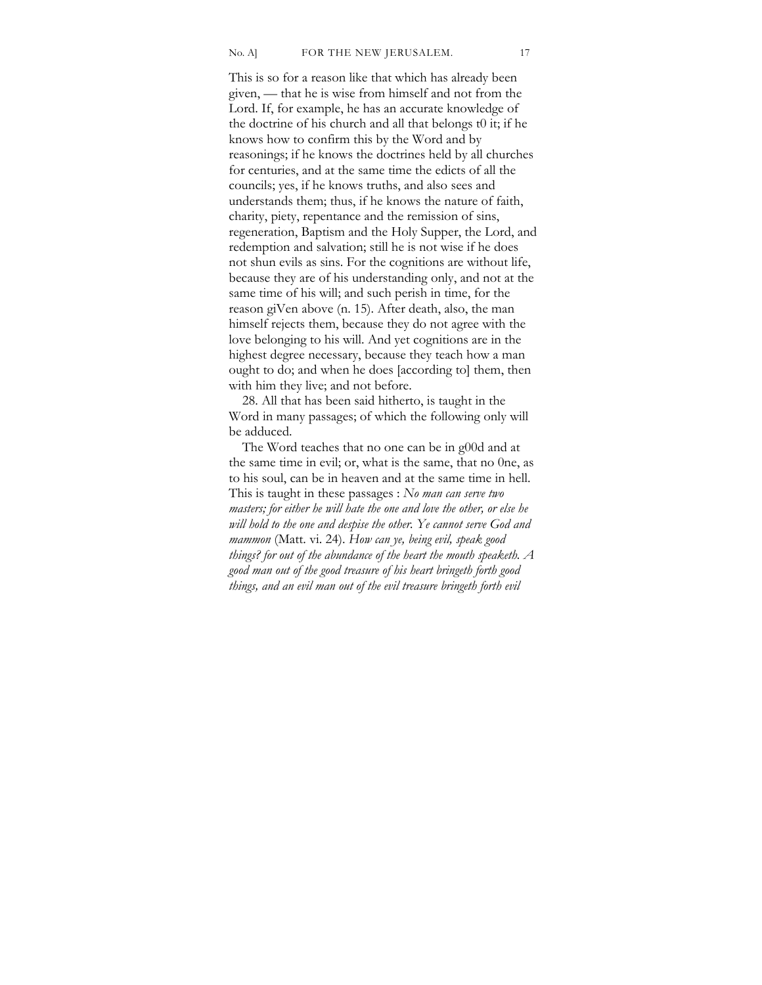This is so for a reason like that which has already been given, — that he is wise from himself and not from the Lord. If, for example, he has an accurate knowledge of the doctrine of his church and all that belongs t0 it; if he knows how to confirm this by the Word and by reasonings; if he knows the doctrines held by all churches for centuries, and at the same time the edicts of all the councils; yes, if he knows truths, and also sees and understands them; thus, if he knows the nature of faith, charity, piety, repentance and the remission of sins, regeneration, Baptism and the Holy Supper, the Lord, and redemption and salvation; still he is not wise if he does not shun evils as sins. For the cognitions are without life, because they are of his understanding only, and not at the same time of his will; and such perish in time, for the reason giVen above (n. 15). After death, also, the man himself rejects them, because they do not agree with the love belonging to his will. And yet cognitions are in the highest degree necessary, because they teach how a man ought to do; and when he does [according to] them, then with him they live; and not before.

28. All that has been said hitherto, is taught in the Word in many passages; of which the following only will be adduced.

The Word teaches that no one can be in g00d and at the same time in evil; or, what is the same, that no 0ne, as to his soul, can be in heaven and at the same time in hell. This is taught in these passages : *No man can serve two masters; for either he will hate the one and love the other, or else he will hold to the one and despise the other. Ye cannot serve God and mammon* (Matt. vi. 24). *How can ye, being evil, speak good things? for out of the abundance of the heart the mouth speaketh. A good man out of the good treasure of his heart bringeth forth good things, and an evil man out of the evil treasure bringeth forth evil*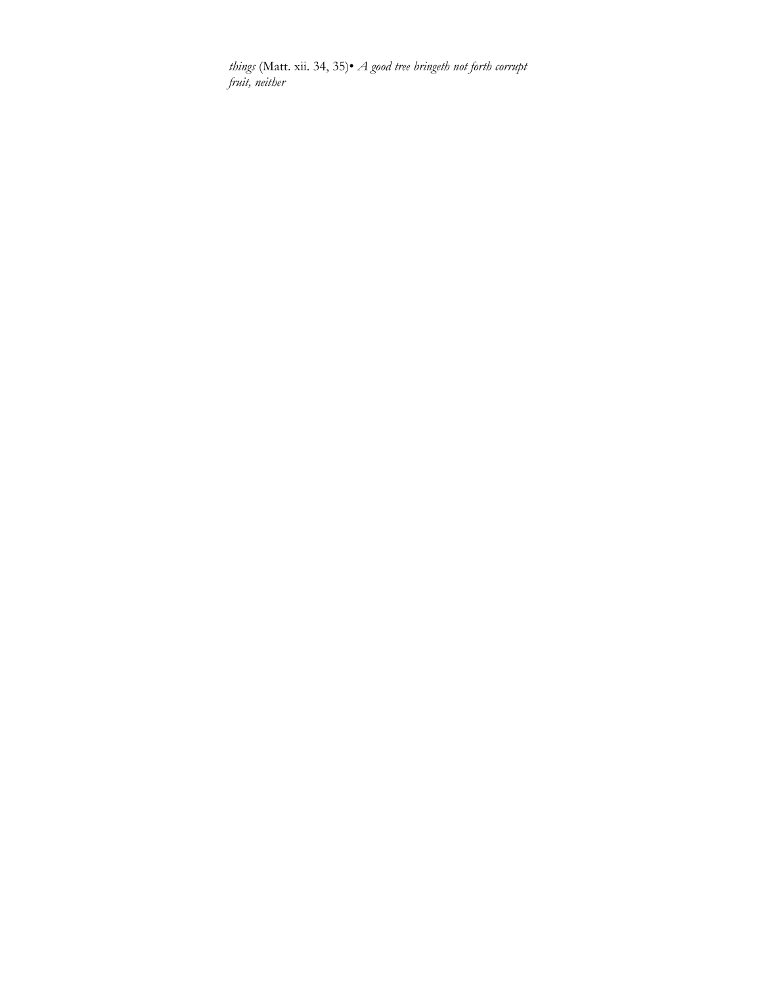*things* (Matt. xii. 34, 35)• *A good tree bringeth not forth corrupt fruit, neither*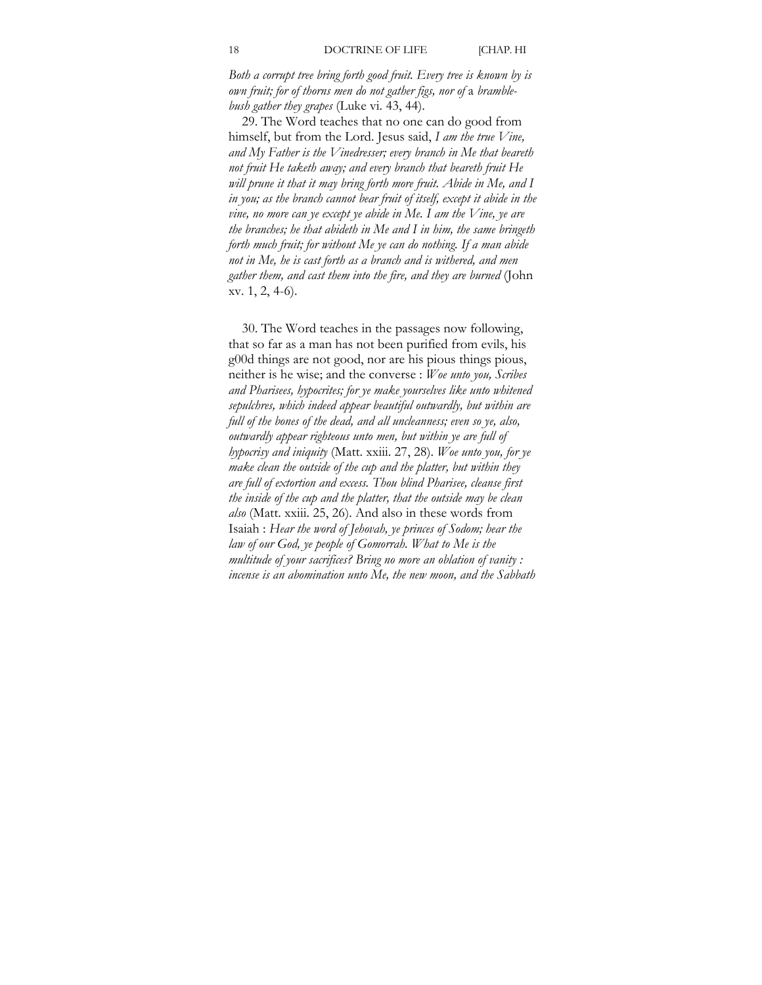*Both a corrupt tree bring forth good fruit. Every tree is known by is own fruit; for of thorns men do not gather figs, nor of* a *bramblebush gather they grapes* (Luke vi. 43, 44).

29. The Word teaches that no one can do good from himself, but from the Lord. Jesus said, *I am the true Vine, and My Father is the Vinedresser; every branch in Me that beareth not fruit He taketh away; and every branch that beareth fruit He will prune it that it may bring forth more fruit. Abide in Me, and I in you; as the branch cannot bear fruit of itself, except it abide in the vine, no more can ye except ye abide in Me. I am the Vine, ye are the branches; he that abideth in Me and I in him, the same bringeth forth much fruit; for without Me ye can do nothing. If a man abide not in Me, he is cast forth as a branch and is withered, and men gather them, and cast them into the fire, and they are burned* (John xv. 1, 2, 4-6).

30. The Word teaches in the passages now following, that so far as a man has not been purified from evils, his g00d things are not good, nor are his pious things pious, neither is he wise; and the converse : *Woe unto you, Scribes and Pharisees, hypocrites; for ye make yourselves like unto whitened sepulchres, which indeed appear beautiful outwardly, but within are full of the bones of the dead, and all uncleanness; even so ye, also, outwardly appear righteous unto men, but within ye are full of hypocrisy and iniquity* (Matt. xxiii. 27, 28). *Woe unto you, for ye make clean the outside of the cup and the platter, but within they are full of extortion and excess. Thou blind Pharisee, cleanse first the inside of the cup and the platter, that the outside may be clean also* (Matt. xxiii. 25, 26). And also in these words from Isaiah : *Hear the word of Jehovah, ye princes of Sodom; hear the law of our God, ye people of Gomorrah. What to Me is the multitude of your sacrifices? Bring no more an oblation of vanity : incense is an abomination unto Me, the new moon, and the Sabbath*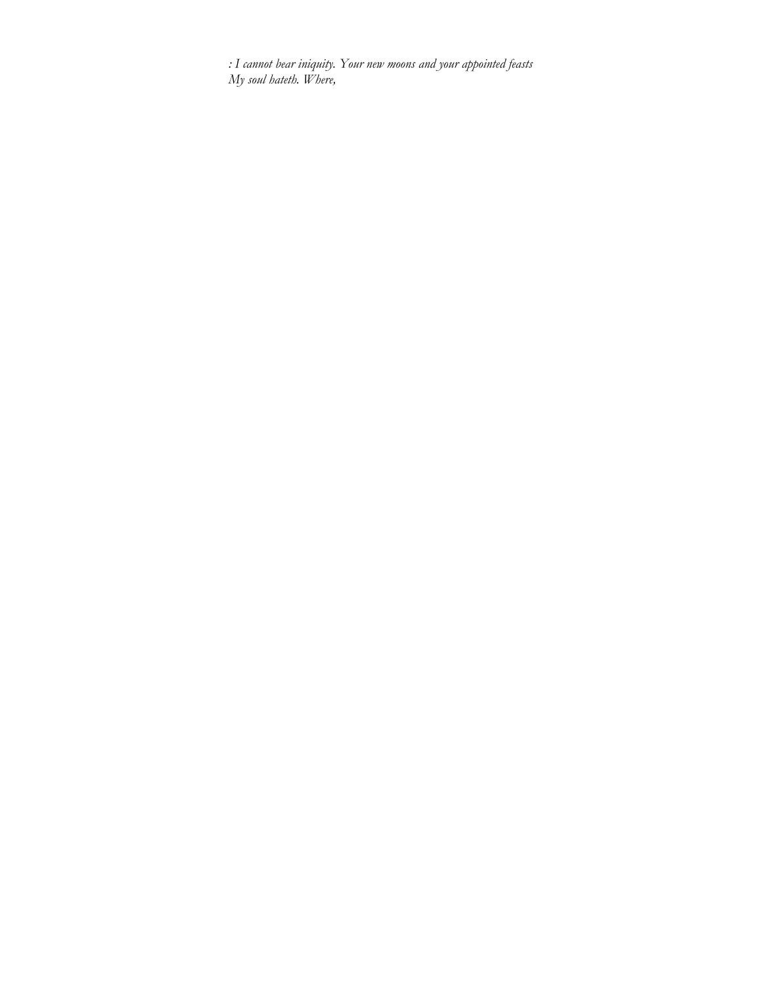*: I cannot bear iniquity. Your new moons and your appointed feasts My soul hateth. Where,*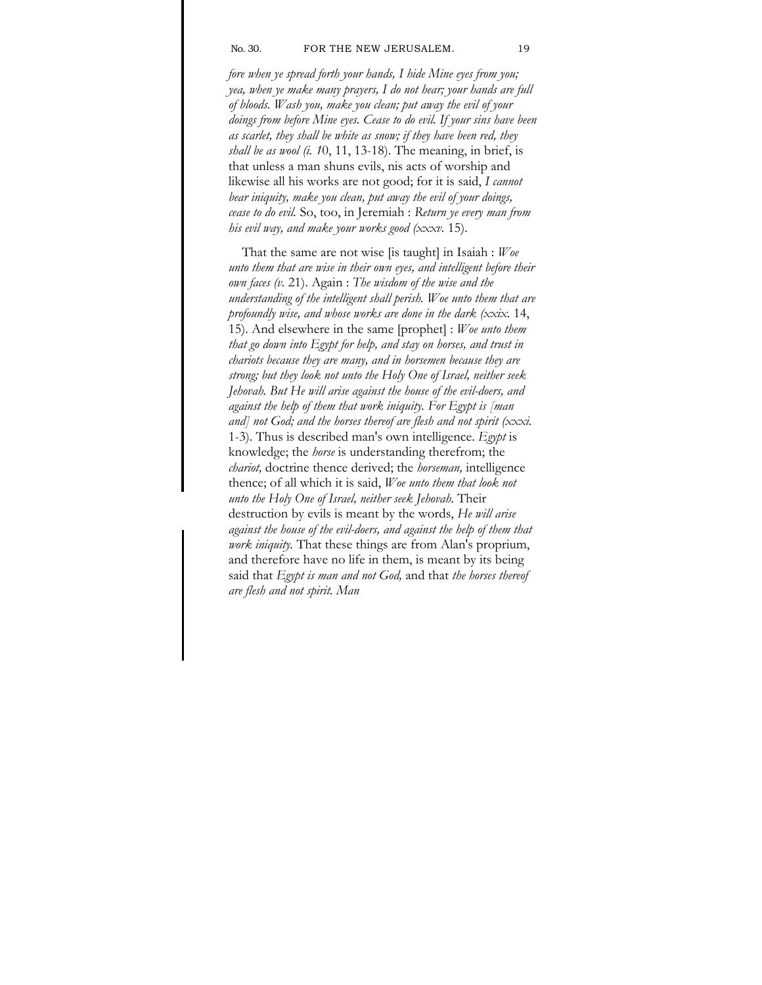#### No. 30. FOR THE NEW JERUSALEM. 19

*fore when ye spread forth your hands, I hide Mine eyes from you; yea, when ye make many prayers, I do not hear; your hands are full of bloods. Wash you, make you clean; put away the evil of your doings from before Mine eyes. Cease to do evil. If your sins have been as scarlet, they shall be white as snow; if they have been red, they shall be as wool (i. 1*0, 11, 13-18). The meaning, in brief, is that unless a man shuns evils, nis acts of worship and likewise all his works are not good; for it is said, *I cannot bear iniquity, make you clean, put away the evil of your doings, cease to do evil.* So, too, in Jeremiah : *Return ye every man from his evil way, and make your works good (xxxv.* 15).

That the same are not wise [is taught] in Isaiah : *Woe unto them that are wise in their own eyes, and intelligent before their own faces (v.* 21). Again : *The wisdom of the wise and the understanding of the intelligent shall perish. Woe unto them that are profoundly wise, and whose works are done in the dark (xxix.* 14, 15). And elsewhere in the same [prophet] : *Woe unto them that go down into Egypt for help, and stay on horses, and trust in chariots because they are many, and in horsemen because they are strong; but they look not unto the Holy One of Israel, neither seek Jehovah. But He will arise against the house of the evil-doers, and against the help of them that work iniquity. For Egypt is [man and] not God; and the horses thereof are flesh and not spirit (xxxi.*  1-3). Thus is described man's own intelligence. *Egypt* is knowledge; the *horse* is understanding therefrom; the *chariot,* doctrine thence derived; the *horseman,* intelligence thence; of all which it is said, *Woe unto them that look not unto the Holy One of Israel, neither seek Jehovah.* Their destruction by evils is meant by the words, *He will arise against the house of the evil-doers, and against the help of them that work iniquity.* That these things are from Alan's proprium, and therefore have no life in them, is meant by its being said that *Egypt is man and not God,* and that *the horses thereof are flesh and not spirit. Man*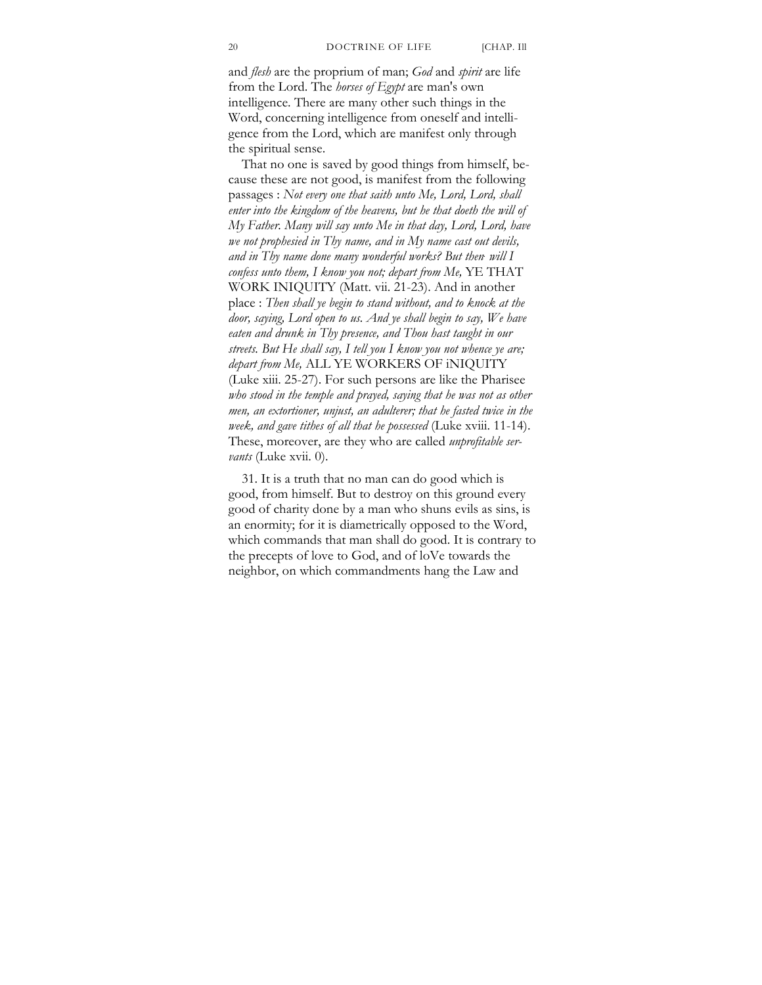#### 20 DOCTRINE OF LIFE [CHAP. III

and *flesh* are the proprium of man; *God* and *spirit* are life from the Lord. The *horses of Egypt* are man's own intelligence. There are many other such things in the Word, concerning intelligence from oneself and intelligence from the Lord, which are manifest only through the spiritual sense.

That no one is saved by good things from himself, because these are not good, is manifest from the following passages : *Not every one that saith unto Me, Lord, Lord, shall enter into the kingdom of the heavens, but he that doeth the will of My Father. Many will say unto Me in that day, Lord, Lord, have we not prophesied in Thy name, and in My name cast out devils, and in Thy name done many wonderful works? But then. will I confess unto them, I know you not; depart from Me,* YE THAT WORK INIQUITY (Matt. vii. 21-23). And in another place : *Then shall ye begin to stand without, and to knock at the door, saying, Lord open to us. And ye shall begin to say, We have eaten and drunk in Thy presence, and Thou hast taught in our streets. But He shall say, I tell you I know you not whence ye are; depart from Me,* ALL YE WORKERS OF iNIQUITY (Luke xiii. 25-27). For such persons are like the Pharisee *who stood in the temple and prayed, saying that he was not as other men, an extortioner, unjust, an adulterer; that he fasted twice in the week, and gave tithes of all that he possessed* (Luke xviii. 11-14). These, moreover, are they who are called *unprofitable servants* (Luke xvii. 0).

31. It is a truth that no man can do good which is good, from himself. But to destroy on this ground every good of charity done by a man who shuns evils as sins, is an enormity; for it is diametrically opposed to the Word, which commands that man shall do good. It is contrary to the precepts of love to God, and of loVe towards the neighbor, on which commandments hang the Law and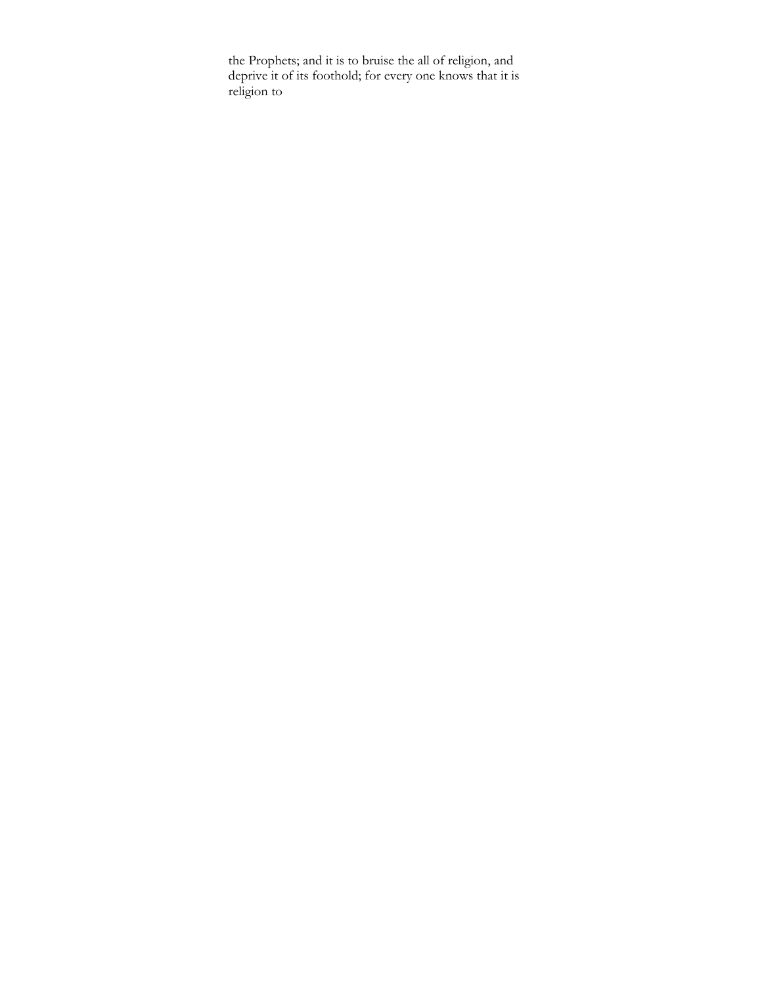the Prophets; and it is to bruise the all of religion, and deprive it of its foothold; for every one knows that it is religion to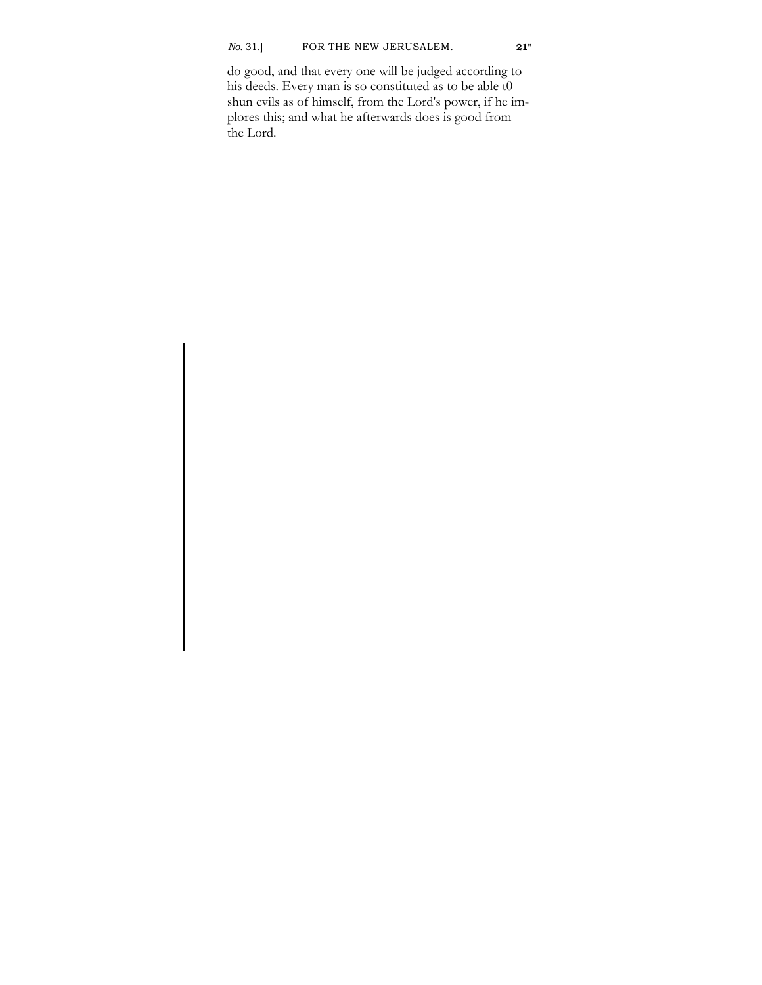do good, and that every one will be judged according to his deeds. Every man is so constituted as to be able t0 shun evils as of himself, from the Lord's power, if he implores this; and what he afterwards does is good from the Lord.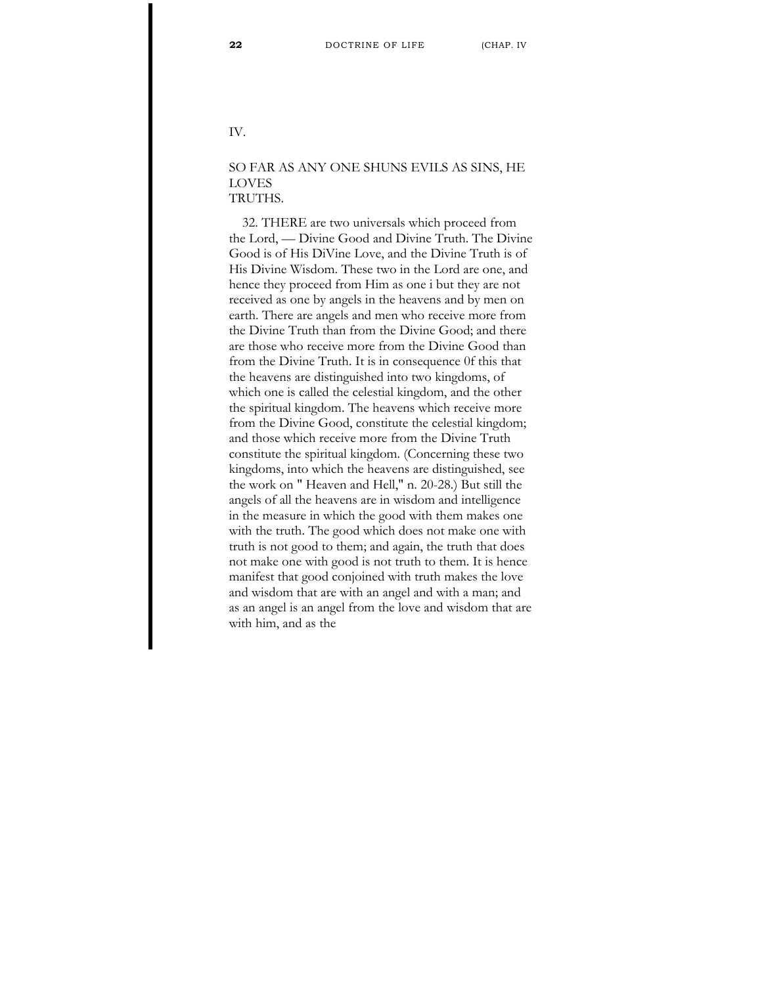IV.

## SO FAR AS ANY ONE SHUNS EVILS AS SINS, HE LOVES TRUTHS.

32. THERE are two universals which proceed from the Lord, — Divine Good and Divine Truth. The Divine Good is of His DiVine Love, and the Divine Truth is of His Divine Wisdom. These two in the Lord are one, and hence they proceed from Him as one i but they are not received as one by angels in the heavens and by men on earth. There are angels and men who receive more from the Divine Truth than from the Divine Good; and there are those who receive more from the Divine Good than from the Divine Truth. It is in consequence 0f this that the heavens are distinguished into two kingdoms, of which one is called the celestial kingdom, and the other the spiritual kingdom. The heavens which receive more from the Divine Good, constitute the celestial kingdom; and those which receive more from the Divine Truth constitute the spiritual kingdom. (Concerning these two kingdoms, into which the heavens are distinguished, see the work on " Heaven and Hell," n. 20-28.) But still the angels of all the heavens are in wisdom and intelligence in the measure in which the good with them makes one with the truth. The good which does not make one with truth is not good to them; and again, the truth that does not make one with good is not truth to them. It is hence manifest that good conjoined with truth makes the love and wisdom that are with an angel and with a man; and as an angel is an angel from the love and wisdom that are with him, and as the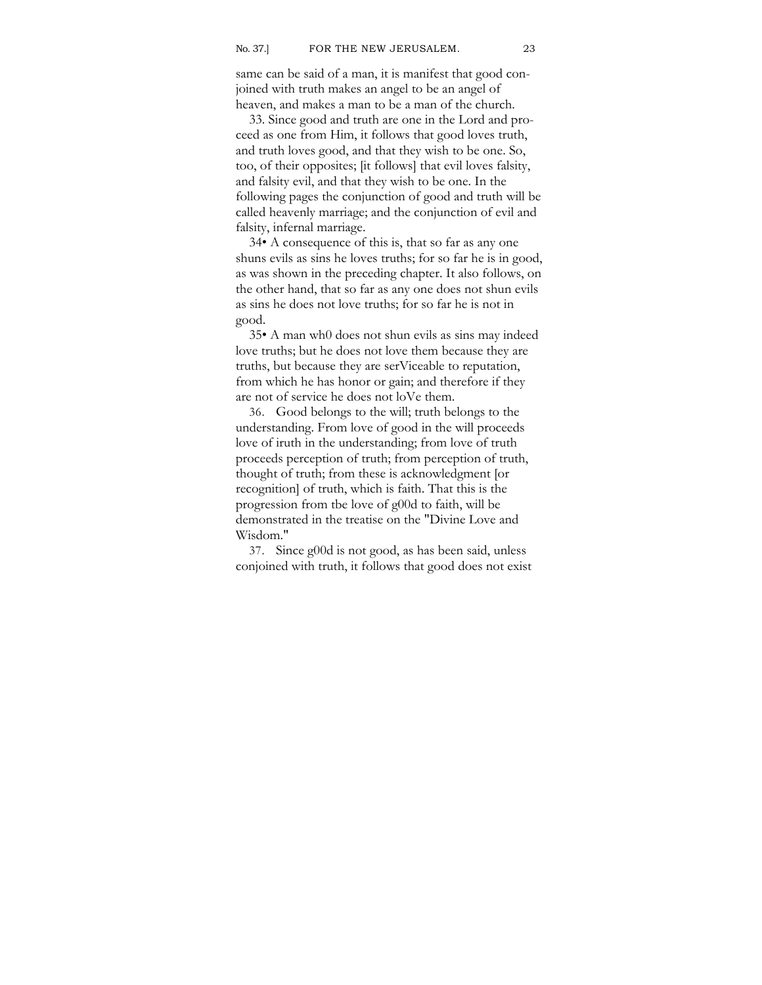same can be said of a man, it is manifest that good conjoined with truth makes an angel to be an angel of heaven, and makes a man to be a man of the church.

33. Since good and truth are one in the Lord and proceed as one from Him, it follows that good loves truth, and truth loves good, and that they wish to be one. So, too, of their opposites; [it follows] that evil loves falsity, and falsity evil, and that they wish to be one. In the following pages the conjunction of good and truth will be called heavenly marriage; and the conjunction of evil and falsity, infernal marriage.

34• A consequence of this is, that so far as any one shuns evils as sins he loves truths; for so far he is in good, as was shown in the preceding chapter. It also follows, on the other hand, that so far as any one does not shun evils as sins he does not love truths; for so far he is not in good.

35• A man wh0 does not shun evils as sins may indeed love truths; but he does not love them because they are truths, but because they are serViceable to reputation, from which he has honor or gain; and therefore if they are not of service he does not loVe them.

36. Good belongs to the will; truth belongs to the understanding. From love of good in the will proceeds love of iruth in the understanding; from love of truth proceeds perception of truth; from perception of truth, thought of truth; from these is acknowledgment [or recognition] of truth, which is faith. That this is the progression from tbe love of g00d to faith, will be demonstrated in the treatise on the "Divine Love and Wisdom."

37. Since g00d is not good, as has been said, unless conjoined with truth, it follows that good does not exist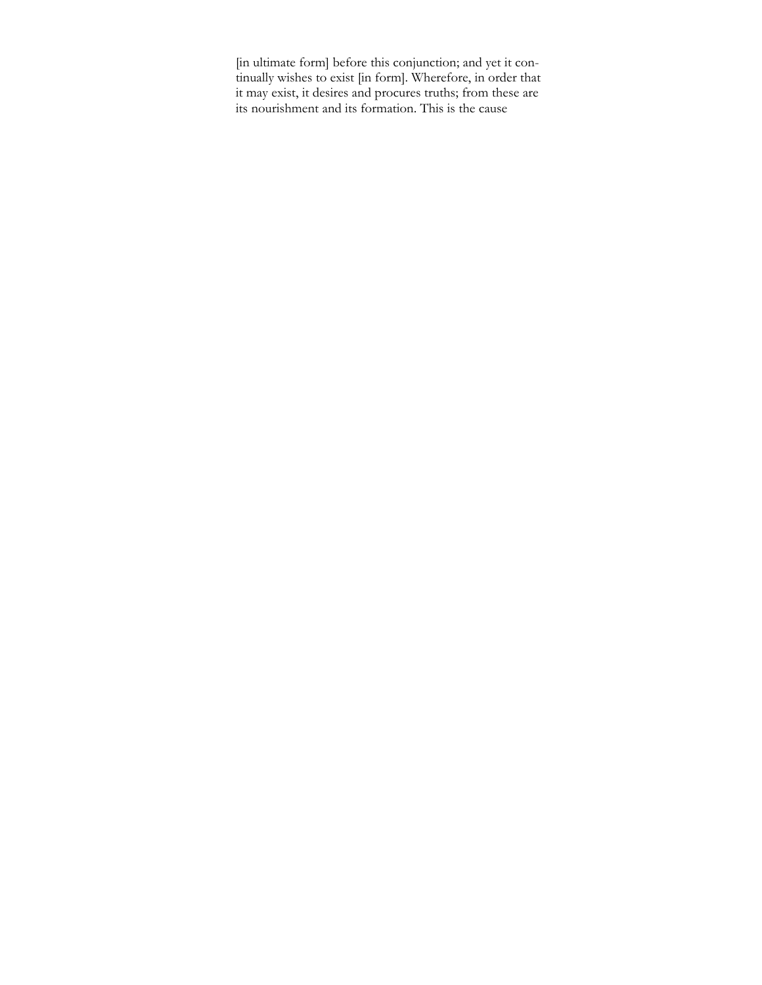[in ultimate form] before this conjunction; and yet it continually wishes to exist [in form]. Wherefore, in order that it may exist, it desires and procures truths; from these are its nourishment and its formation. This is the cause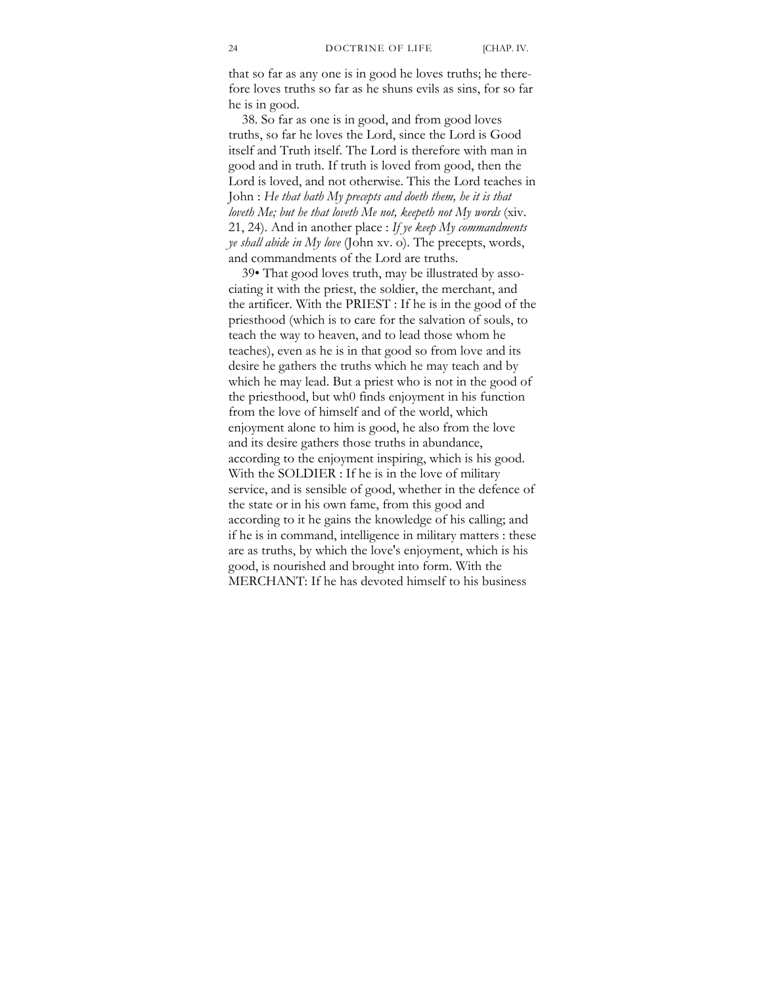that so far as any one is in good he loves truths; he therefore loves truths so far as he shuns evils as sins, for so far he is in good.

38. So far as one is in good, and from good loves truths, so far he loves the Lord, since the Lord is Good itself and Truth itself. The Lord is therefore with man in good and in truth. If truth is loved from good, then the Lord is loved, and not otherwise. This the Lord teaches in John : *He that hath My precepts and doeth them, he it is that loveth Me; but he that loveth Me not, keepeth not My words* (xiv. 21, 24). And in another place : *If ye keep My commandments ye shall abide in My love* (John xv. o). The precepts, words, and commandments of the Lord are truths.

39• That good loves truth, may be illustrated by associating it with the priest, the soldier, the merchant, and the artificer. With the PRIEST : If he is in the good of the priesthood (which is to care for the salvation of souls, to teach the way to heaven, and to lead those whom he teaches), even as he is in that good so from love and its desire he gathers the truths which he may teach and by which he may lead. But a priest who is not in the good of the priesthood, but wh0 finds enjoyment in his function from the love of himself and of the world, which enjoyment alone to him is good, he also from the love and its desire gathers those truths in abundance, according to the enjoyment inspiring, which is his good. With the SOLDIER : If he is in the love of military service, and is sensible of good, whether in the defence of the state or in his own fame, from this good and according to it he gains the knowledge of his calling; and if he is in command, intelligence in military matters : these are as truths, by which the love's enjoyment, which is his good, is nourished and brought into form. With the MERCHANT: If he has devoted himself to his business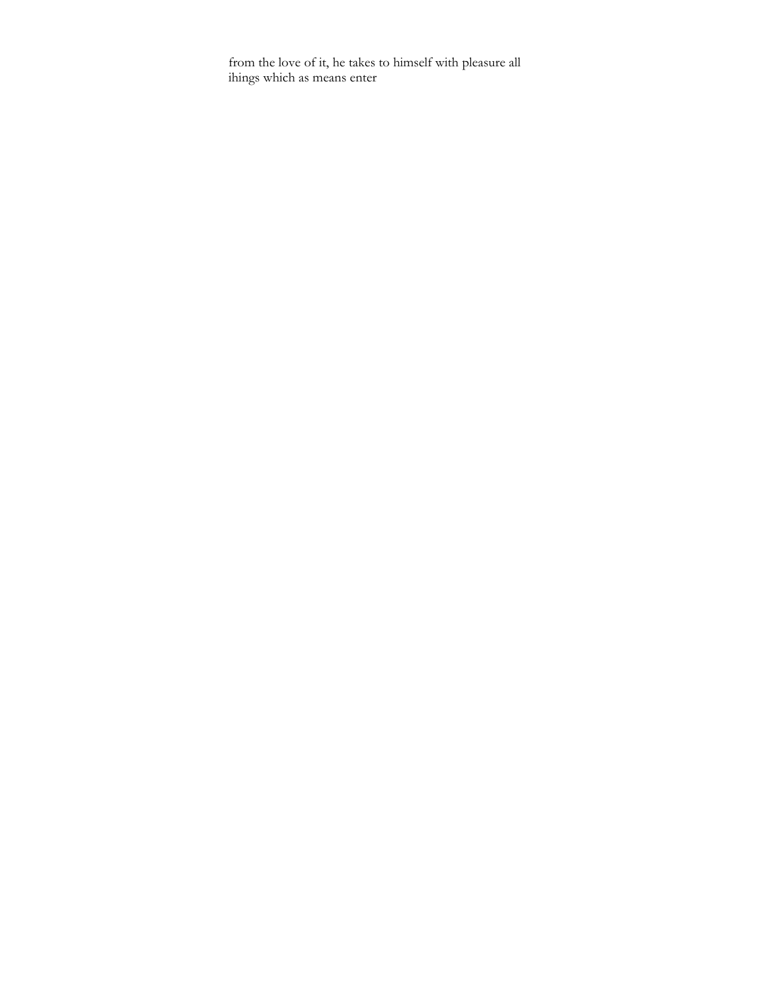from the love of it, he takes to himself with pleasure all ihings which as means enter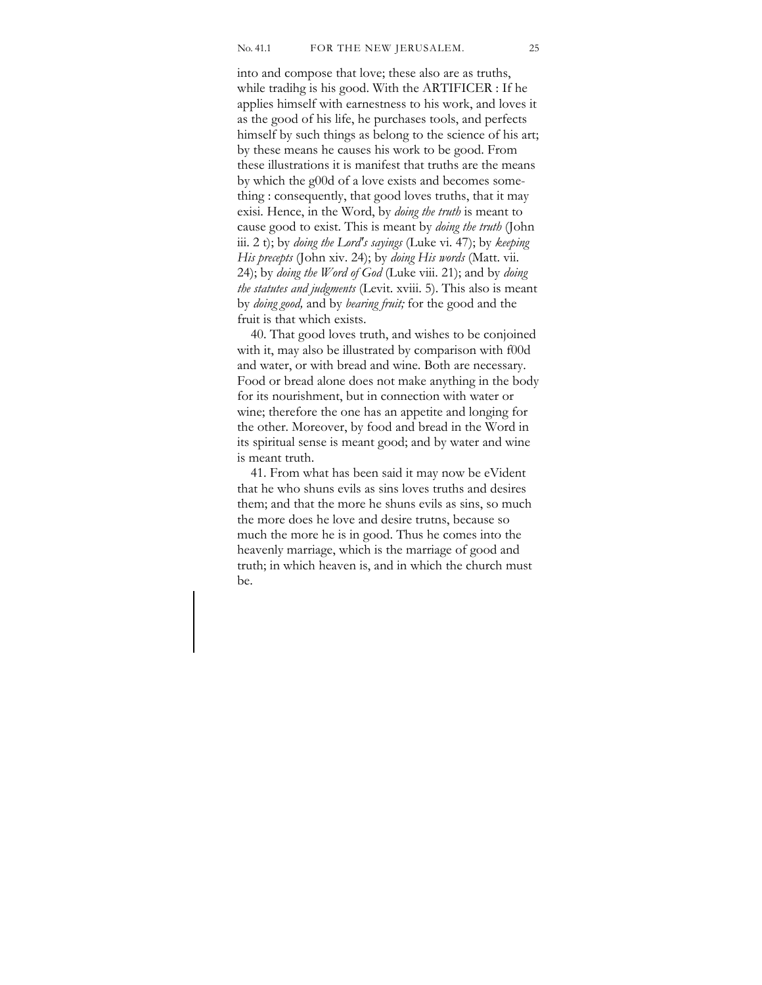into and compose that love; these also are as truths, while tradihg is his good. With the ARTIFICER : If he applies himself with earnestness to his work, and loves it as the good of his life, he purchases tools, and perfects himself by such things as belong to the science of his art; by these means he causes his work to be good. From these illustrations it is manifest that truths are the means by which the g00d of a love exists and becomes something : consequently, that good loves truths, that it may exisi. Hence, in the Word, by *doing the truth* is meant to cause good to exist. This is meant by *doing the truth* (John iii. 2 t); by *doing the Lord's sayings* (Luke vi. 47); by *keeping His precepts* (John xiv. 24); by *doing His words* (Matt. vii. 24); by *doing the Word of God* (Luke viii. 21); and by *doing the statutes and judgments* (Levit. xviii. 5). This also is meant by *doing good,* and by *bearing fruit;* for the good and the fruit is that which exists.

40. That good loves truth, and wishes to be conjoined with it, may also be illustrated by comparison with f00d and water, or with bread and wine. Both are necessary. Food or bread alone does not make anything in the body for its nourishment, but in connection with water or wine; therefore the one has an appetite and longing for the other. Moreover, by food and bread in the Word in its spiritual sense is meant good; and by water and wine is meant truth.

41. From what has been said it may now be eVident that he who shuns evils as sins loves truths and desires them; and that the more he shuns evils as sins, so much the more does he love and desire trutns, because so much the more he is in good. Thus he comes into the heavenly marriage, which is the marriage of good and truth; in which heaven is, and in which the church must be.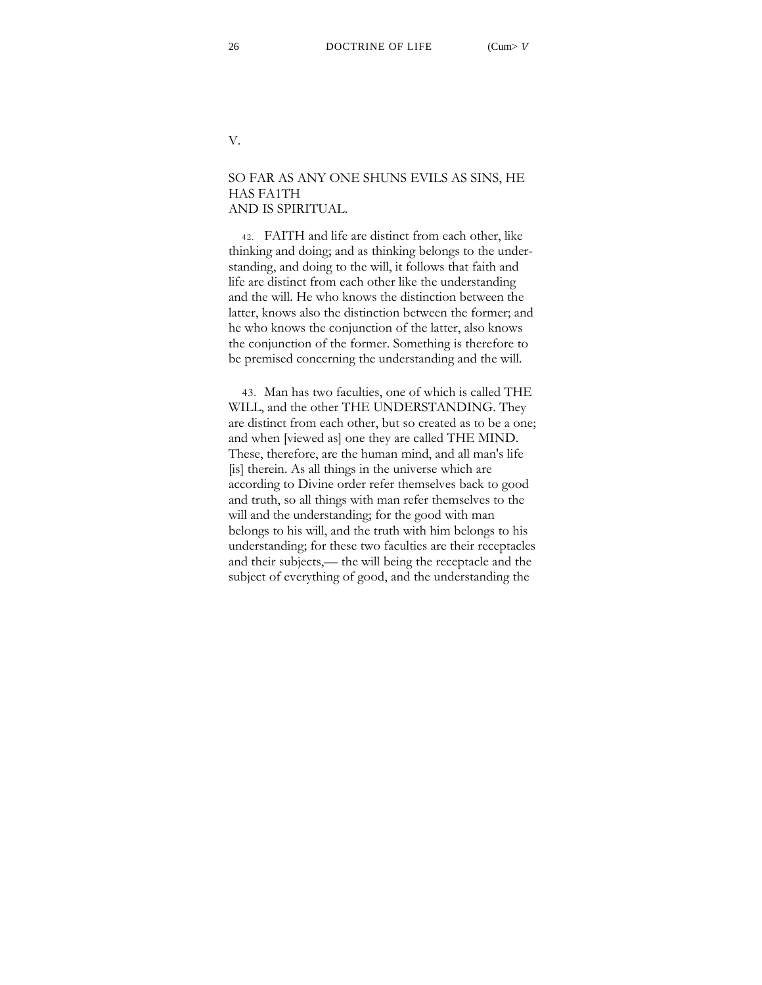V.

## SO FAR AS ANY ONE SHUNS EVILS AS SINS, HE HAS FA1TH AND IS SPIRITUAL.

42. FAITH and life are distinct from each other, like thinking and doing; and as thinking belongs to the understanding, and doing to the will, it follows that faith and life are distinct from each other like the understanding and the will. He who knows the distinction between the latter, knows also the distinction between the former; and he who knows the conjunction of the latter, also knows the conjunction of the former. Something is therefore to be premised concerning the understanding and the will.

43. Man has two faculties, one of which is called THE WILL, and the other THE UNDERSTANDING. They are distinct from each other, but so created as to be a one; and when [viewed as] one they are called THE MIND. These, therefore, are the human mind, and all man's life [is] therein. As all things in the universe which are according to Divine order refer themselves back to good and truth, so all things with man refer themselves to the will and the understanding; for the good with man belongs to his will, and the truth with him belongs to his understanding; for these two faculties are their receptacles and their subjects,— the will being the receptacle and the subject of everything of good, and the understanding the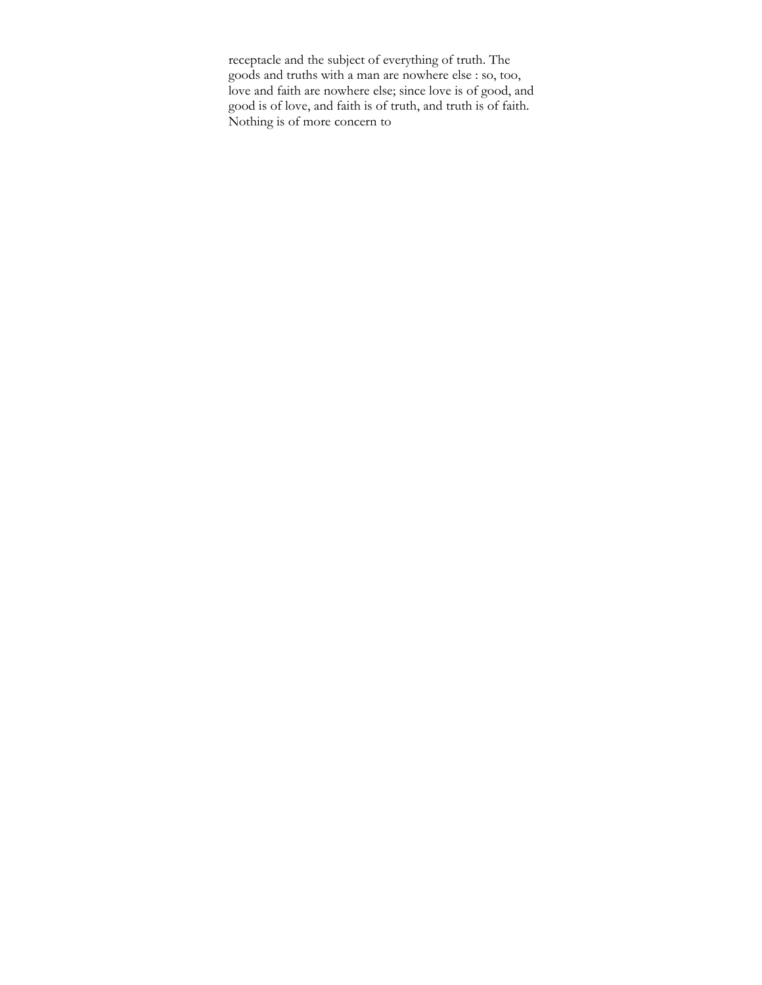receptacle and the subject of everything of truth. The goods and truths with a man are nowhere else : so, too, love and faith are nowhere else; since love is of good, and good is of love, and faith is of truth, and truth is of faith. Nothing is of more concern to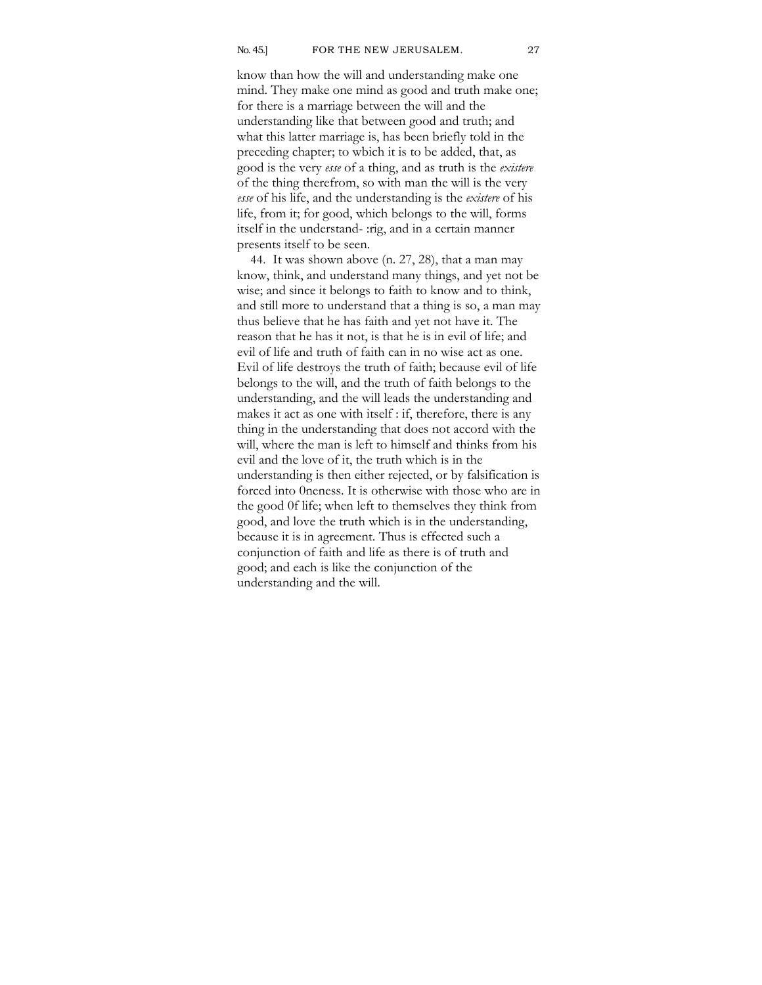know than how the will and understanding make one mind. They make one mind as good and truth make one; for there is a marriage between the will and the understanding like that between good and truth; and what this latter marriage is, has been briefly told in the preceding chapter; to wbich it is to be added, that, as good is the very *esse* of a thing, and as truth is the *existere* of the thing therefrom, so with man the will is the very *esse* of his life, and the understanding is the *existere* of his life, from it; for good, which belongs to the will, forms itself in the understand- :rig, and in a certain manner presents itself to be seen.

44. It was shown above (n. 27, 28), that a man may know, think, and understand many things, and yet not be wise; and since it belongs to faith to know and to think, and still more to understand that a thing is so, a man may thus believe that he has faith and yet not have it. The reason that he has it not, is that he is in evil of life; and evil of life and truth of faith can in no wise act as one. Evil of life destroys the truth of faith; because evil of life belongs to the will, and the truth of faith belongs to the understanding, and the will leads the understanding and makes it act as one with itself : if, therefore, there is any thing in the understanding that does not accord with the will, where the man is left to himself and thinks from his evil and the love of it, the truth which is in the understanding is then either rejected, or by falsification is forced into 0neness. It is otherwise with those who are in the good 0f life; when left to themselves they think from good, and love the truth which is in the understanding, because it is in agreement. Thus is effected such a conjunction of faith and life as there is of truth and good; and each is like the conjunction of the understanding and the will.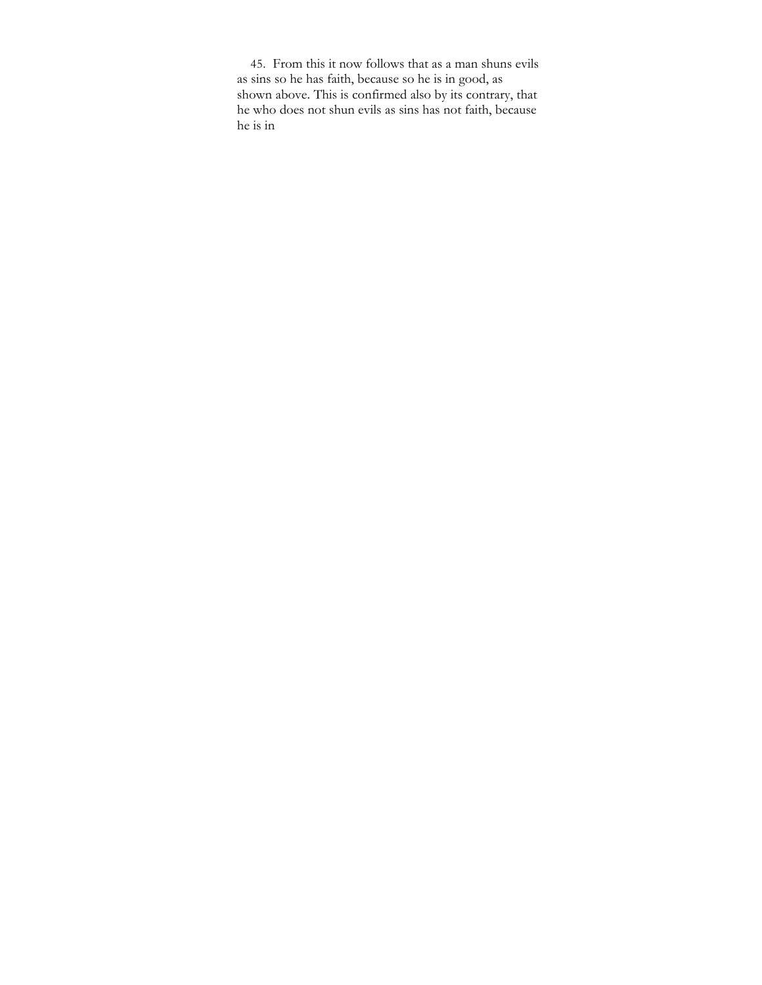45. From this it now follows that as a man shuns evils as sins so he has faith, because so he is in good, as shown above. This is confirmed also by its contrary, that he who does not shun evils as sins has not faith, because he is in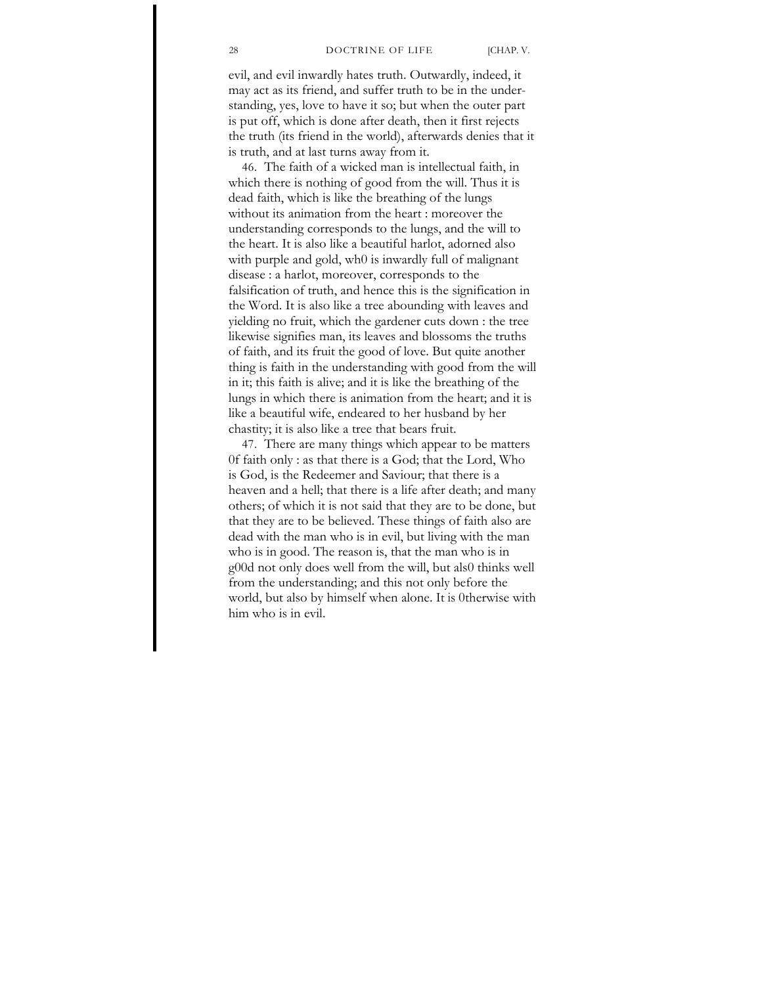evil, and evil inwardly hates truth. Outwardly, indeed, it may act as its friend, and suffer truth to be in the understanding, yes, love to have it so; but when the outer part is put off, which is done after death, then it first rejects the truth (its friend in the world), afterwards denies that it is truth, and at last turns away from it.

46. The faith of a wicked man is intellectual faith, in which there is nothing of good from the will. Thus it is dead faith, which is like the breathing of the lungs without its animation from the heart : moreover the understanding corresponds to the lungs, and the will to the heart. It is also like a beautiful harlot, adorned also with purple and gold, wh0 is inwardly full of malignant disease : a harlot, moreover, corresponds to the falsification of truth, and hence this is the signification in the Word. It is also like a tree abounding with leaves and yielding no fruit, which the gardener cuts down : the tree likewise signifies man, its leaves and blossoms the truths of faith, and its fruit the good of love. But quite another thing is faith in the understanding with good from the will in it; this faith is alive; and it is like the breathing of the lungs in which there is animation from the heart; and it is like a beautiful wife, endeared to her husband by her chastity; it is also like a tree that bears fruit.

47. There are many things which appear to be matters 0f faith only : as that there is a God; that the Lord, Who is God, is the Redeemer and Saviour; that there is a heaven and a hell; that there is a life after death; and many others; of which it is not said that they are to be done, but that they are to be believed. These things of faith also are dead with the man who is in evil, but living with the man who is in good. The reason is, that the man who is in g00d not only does well from the will, but als0 thinks well from the understanding; and this not only before the world, but also by himself when alone. It is 0therwise with him who is in evil.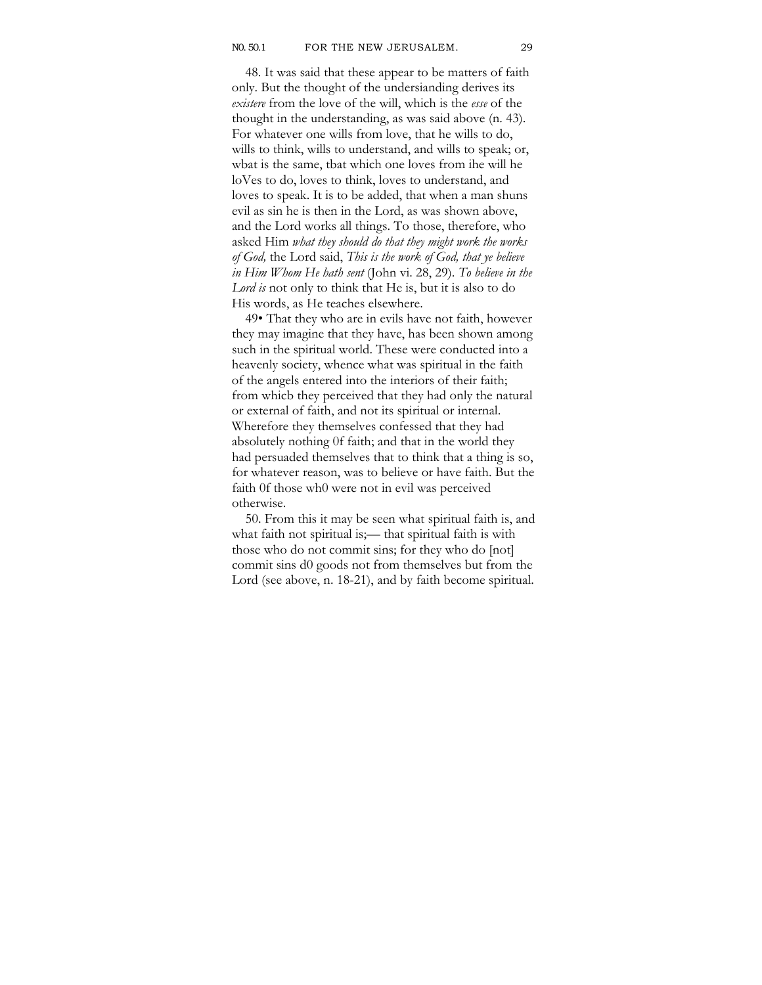#### NO. 50.1 FOR THE NEW JERUSALEM. 29

48. It was said that these appear to be matters of faith only. But the thought of the undersianding derives its *existere* from the love of the will, which is the *esse* of the thought in the understanding, as was said above (n. 43). For whatever one wills from love, that he wills to do, wills to think, wills to understand, and wills to speak; or, wbat is the same, tbat which one loves from ihe will he loVes to do, loves to think, loves to understand, and loves to speak. It is to be added, that when a man shuns evil as sin he is then in the Lord, as was shown above, and the Lord works all things. To those, therefore, who asked Him *what they should do that they might work the works of God,* the Lord said, *This is the work of God, that ye believe in Him Whom He hath sent* (John vi. 28, 29). *To believe in the Lord is* not only to think that He is, but it is also to do His words, as He teaches elsewhere.

49• That they who are in evils have not faith, however they may imagine that they have, has been shown among such in the spiritual world. These were conducted into a heavenly society, whence what was spiritual in the faith of the angels entered into the interiors of their faith; from whicb they perceived that they had only the natural or external of faith, and not its spiritual or internal. Wherefore they themselves confessed that they had absolutely nothing 0f faith; and that in the world they had persuaded themselves that to think that a thing is so, for whatever reason, was to believe or have faith. But the faith 0f those wh0 were not in evil was perceived otherwise.

50. From this it may be seen what spiritual faith is, and what faith not spiritual is;— that spiritual faith is with those who do not commit sins; for they who do [not] commit sins d0 goods not from themselves but from the Lord (see above, n. 18-21), and by faith become spiritual.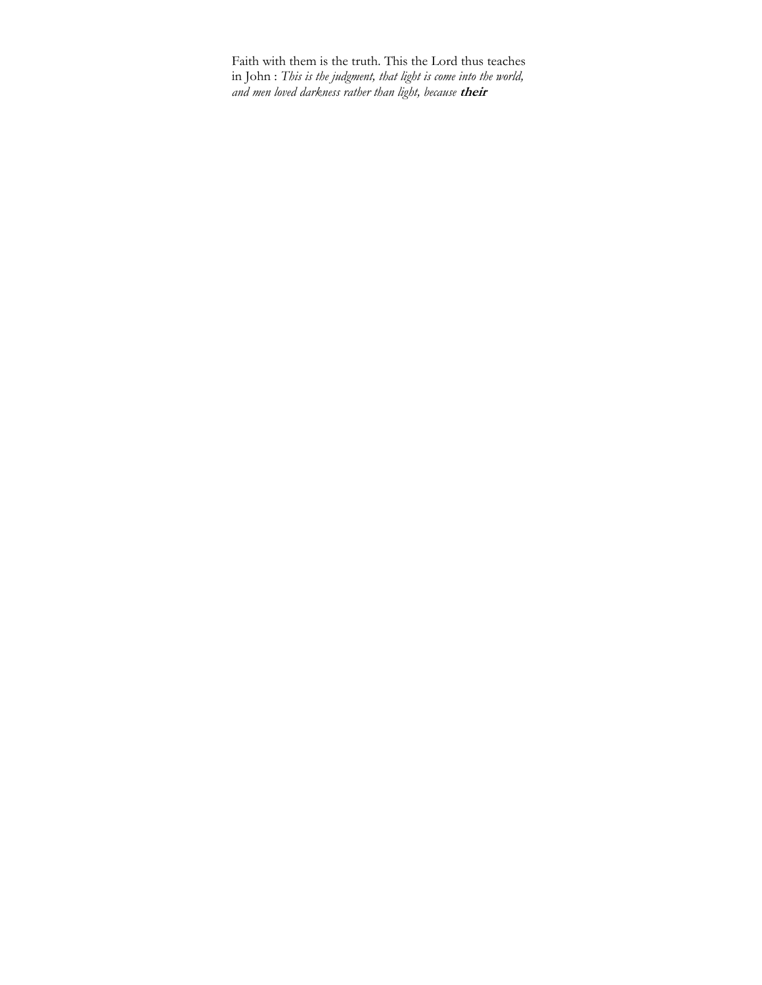Faith with them is the truth. This the Lord thus teaches in John : *This is the judgment, that light is come into the world, and men loved darkness rather than light, because* **their**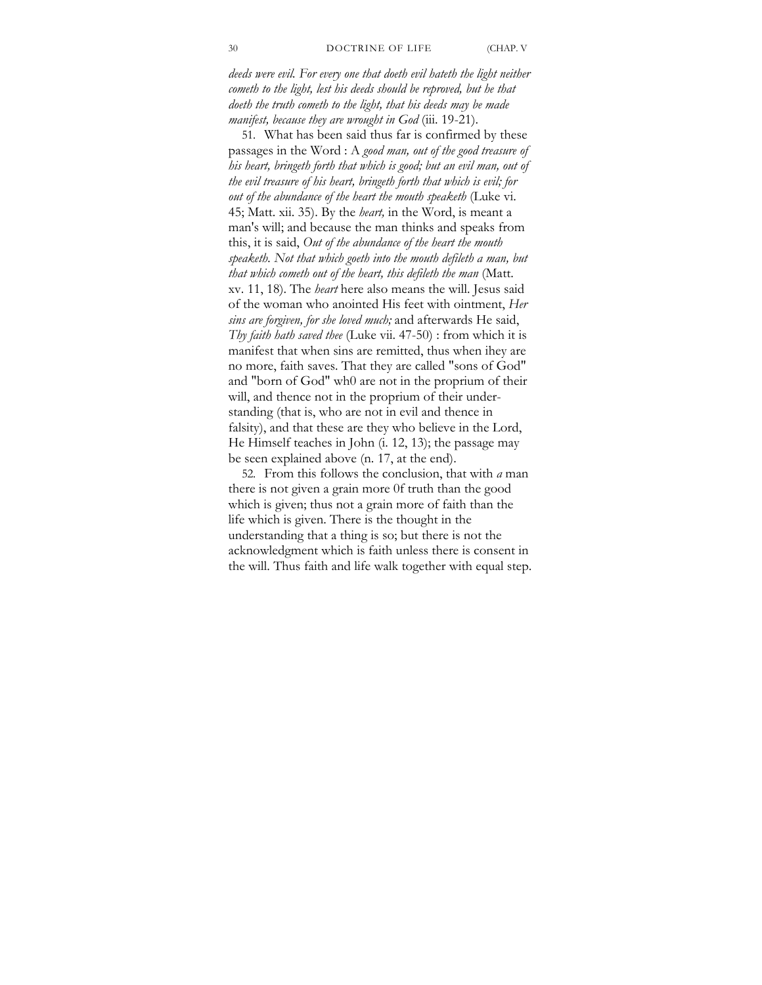*deeds were evil. For every one that doeth evil hateth the light neither cometh to the light, lest his deeds should be reproved, but he that doeth the truth cometh to the light, that his deeds may be made manifest, because they are wrought in God* (iii. 19-21).

51. What has been said thus far is confirmed by these passages in the Word : A *good man, out of the good treasure of his heart, bringeth forth that which is good; but an evil man, out of the evil treasure of his heart, bringeth forth that which is evil; for out of the abundance of the heart the mouth speaketh* (Luke vi. 45; Matt. xii. 35). By the *heart,* in the Word, is meant a man's will; and because the man thinks and speaks from this, it is said, *Out of the abundance of the heart the mouth speaketh. Not that which goeth into the mouth defileth a man, but that which cometh out of the heart, this defileth the man* (Matt. xv. 11, 18). The *heart* here also means the will. Jesus said of the woman who anointed His feet with ointment, *Her sins are forgiven, for she loved much;* and afterwards He said, *Thy faith hath saved thee* (Luke vii. 47-50) : from which it is manifest that when sins are remitted, thus when ihey are no more, faith saves. That they are called "sons of God" and "born of God" wh0 are not in the proprium of their will, and thence not in the proprium of their understanding (that is, who are not in evil and thence in falsity), and that these are they who believe in the Lord, He Himself teaches in John (i. 12, 13); the passage may be seen explained above (n. 17, at the end).

52. From this follows the conclusion, that with *a* man there is not given a grain more 0f truth than the good which is given; thus not a grain more of faith than the life which is given. There is the thought in the understanding that a thing is so; but there is not the acknowledgment which is faith unless there is consent in the will. Thus faith and life walk together with equal step.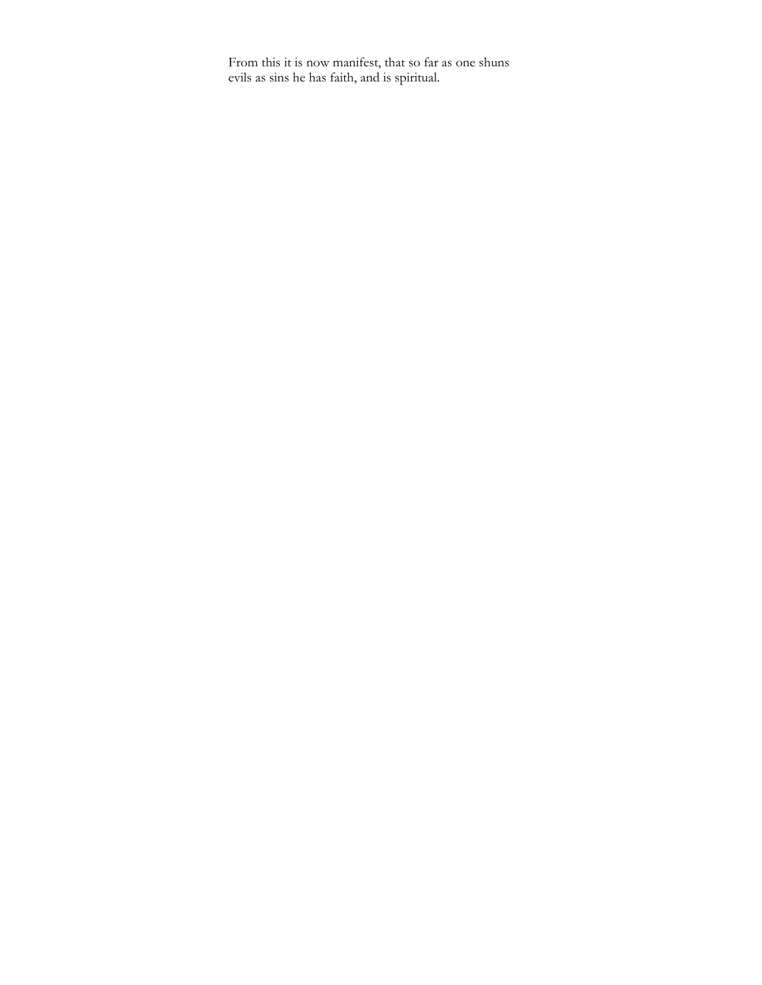From this it is now manifest, that so far as one shuns evils as sins he has faith, and is spiritual.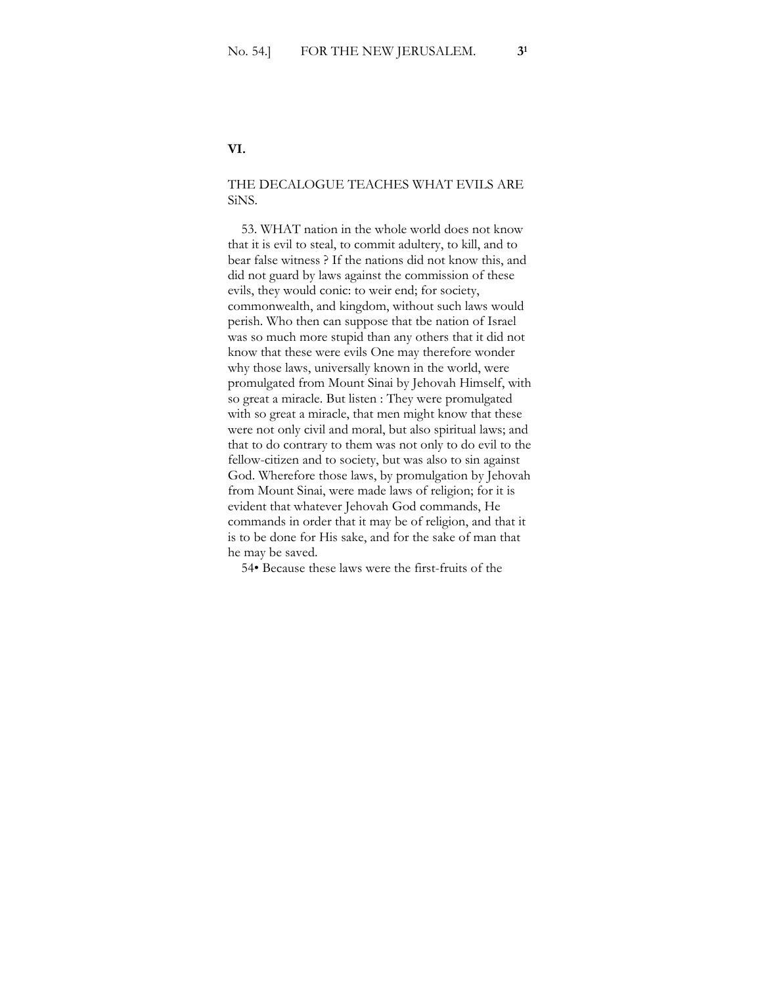## **VI.**

# THE DECALOGUE TEACHES WHAT EVILS ARE SiNS.

53. WHAT nation in the whole world does not know that it is evil to steal, to commit adultery, to kill, and to bear false witness ? If the nations did not know this, and did not guard by laws against the commission of these evils, they would conic: to weir end; for society, commonwealth, and kingdom, without such laws would perish. Who then can suppose that tbe nation of Israel was so much more stupid than any others that it did not know that these were evils One may therefore wonder why those laws, universally known in the world, were promulgated from Mount Sinai by Jehovah Himself, with so great a miracle. But listen : They were promulgated with so great a miracle, that men might know that these were not only civil and moral, but also spiritual laws; and that to do contrary to them was not only to do evil to the fellow-citizen and to society, but was also to sin against God. Wherefore those laws, by promulgation by Jehovah from Mount Sinai, were made laws of religion; for it is evident that whatever Jehovah God commands, He commands in order that it may be of religion, and that it is to be done for His sake, and for the sake of man that he may be saved.

54• Because these laws were the first-fruits of the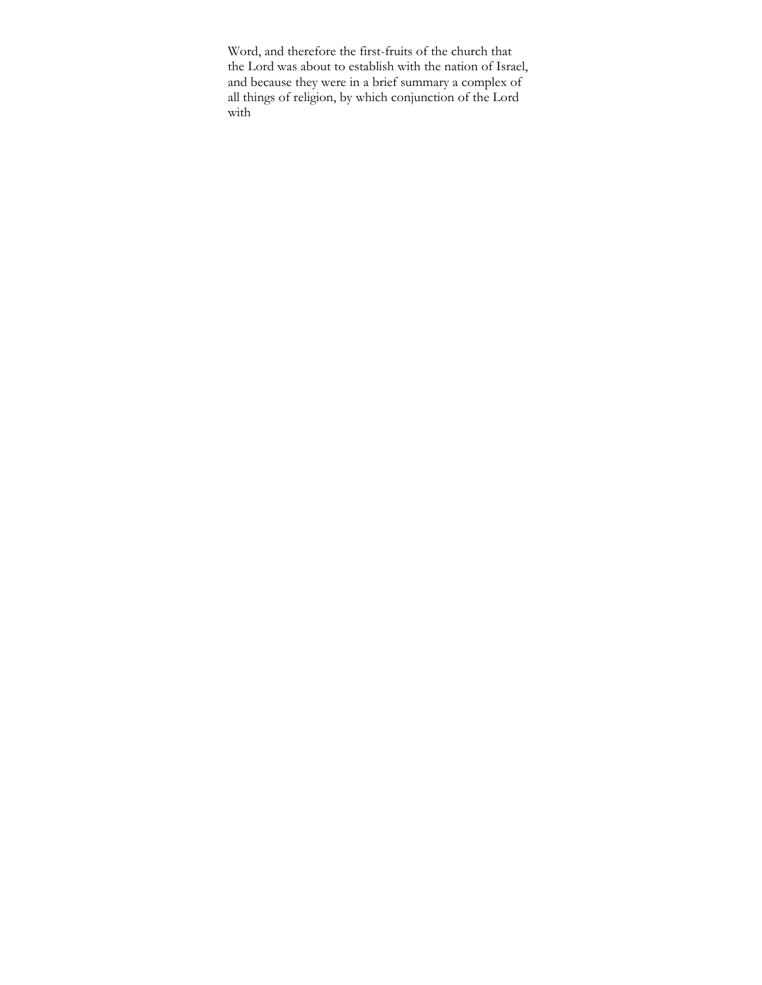Word, and therefore the first-fruits of the church that the Lord was about to establish with the nation of Israel, and because they were in a brief summary a complex of all things of religion, by which conjunction of the Lord with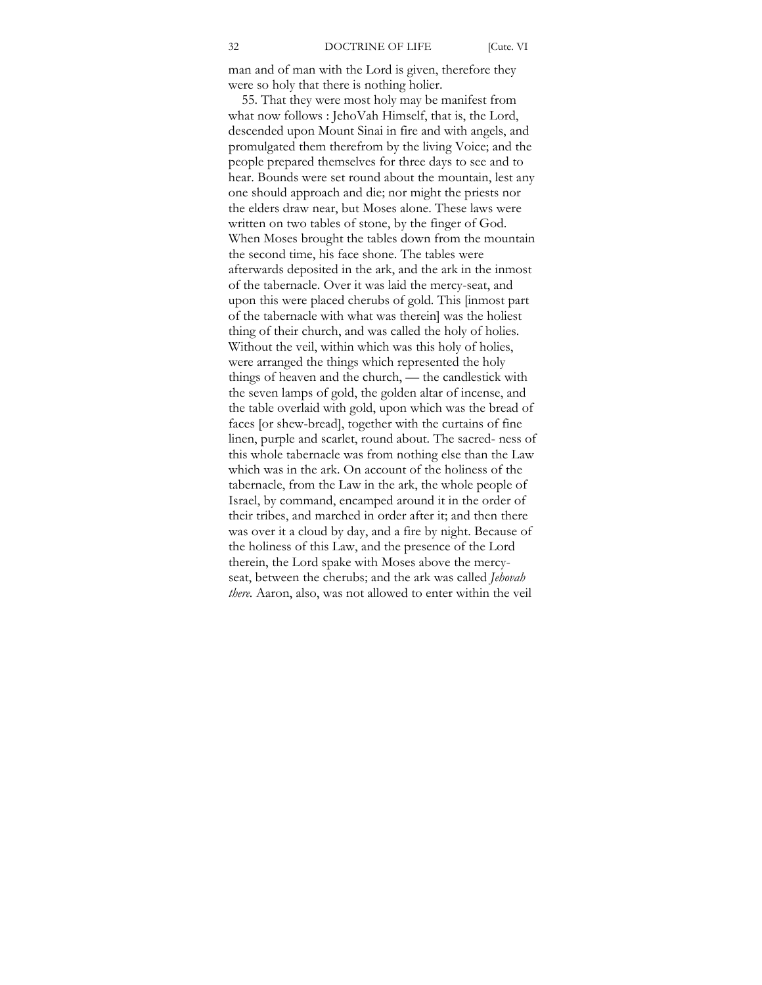man and of man with the Lord is given, therefore they were so holy that there is nothing holier.

55. That they were most holy may be manifest from what now follows : JehoVah Himself, that is, the Lord, descended upon Mount Sinai in fire and with angels, and promulgated them therefrom by the living Voice; and the people prepared themselves for three days to see and to hear. Bounds were set round about the mountain, lest any one should approach and die; nor might the priests nor the elders draw near, but Moses alone. These laws were written on two tables of stone, by the finger of God. When Moses brought the tables down from the mountain the second time, his face shone. The tables were afterwards deposited in the ark, and the ark in the inmost of the tabernacle. Over it was laid the mercy-seat, and upon this were placed cherubs of gold. This [inmost part of the tabernacle with what was therein] was the holiest thing of their church, and was called the holy of holies. Without the veil, within which was this holy of holies, were arranged the things which represented the holy things of heaven and the church, — the candlestick with the seven lamps of gold, the golden altar of incense, and the table overlaid with gold, upon which was the bread of faces [or shew-bread], together with the curtains of fine linen, purple and scarlet, round about. The sacred- ness of this whole tabernacle was from nothing else than the Law which was in the ark. On account of the holiness of the tabernacle, from the Law in the ark, the whole people of Israel, by command, encamped around it in the order of their tribes, and marched in order after it; and then there was over it a cloud by day, and a fire by night. Because of the holiness of this Law, and the presence of the Lord therein, the Lord spake with Moses above the mercyseat, between the cherubs; and the ark was called *Jehovah there.* Aaron, also, was not allowed to enter within the veil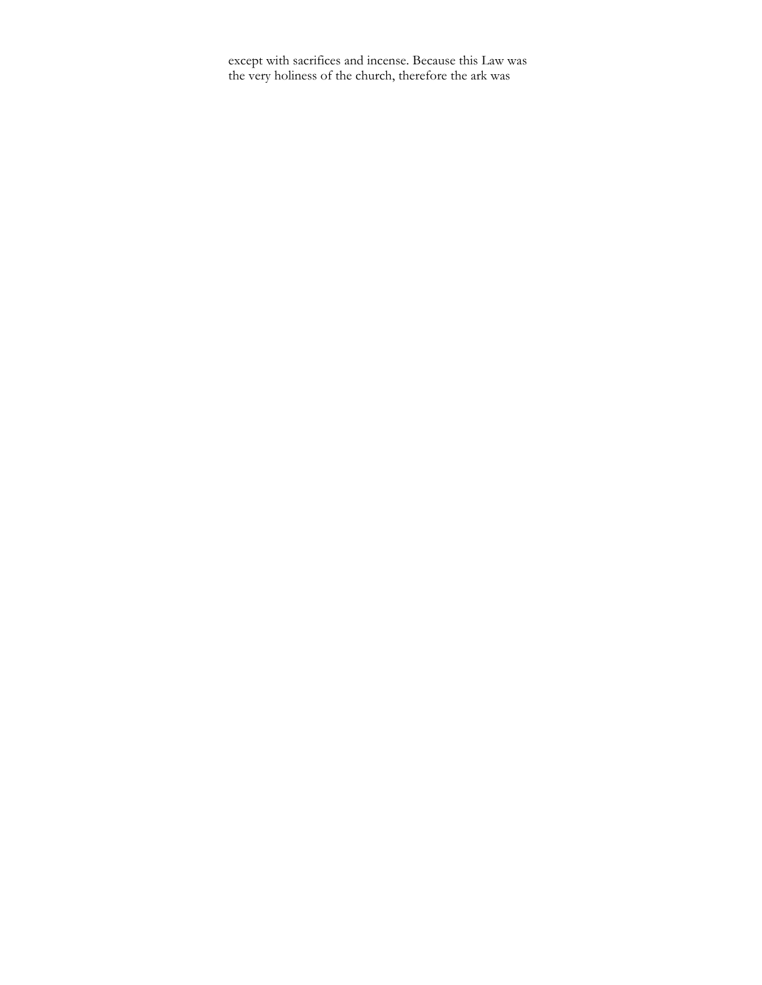except with sacrifices and incense. Because this Law was the very holiness of the church, therefore the ark was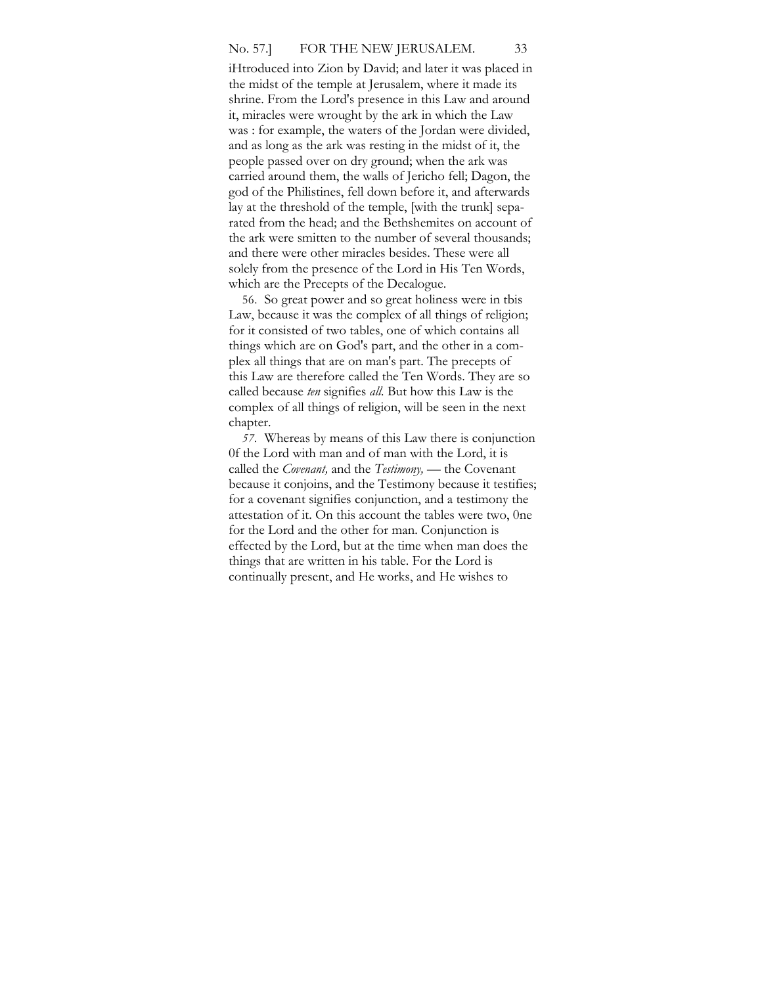### No. 57.] FOR THE NEW JERUSALEM. 33

iHtroduced into Zion by David; and later it was placed in the midst of the temple at Jerusalem, where it made its shrine. From the Lord's presence in this Law and around it, miracles were wrought by the ark in which the Law was : for example, the waters of the Jordan were divided, and as long as the ark was resting in the midst of it, the people passed over on dry ground; when the ark was carried around them, the walls of Jericho fell; Dagon, the god of the Philistines, fell down before it, and afterwards lay at the threshold of the temple, [with the trunk] separated from the head; and the Bethshemites on account of the ark were smitten to the number of several thousands; and there were other miracles besides. These were all solely from the presence of the Lord in His Ten Words, which are the Precepts of the Decalogue.

56. So great power and so great holiness were in tbis Law, because it was the complex of all things of religion; for it consisted of two tables, one of which contains all things which are on God's part, and the other in a complex all things that are on man's part. The precepts of this Law are therefore called the Ten Words. They are so called because *ten* signifies *all.* But how this Law is the complex of all things of religion, will be seen in the next chapter.

*57.* Whereas by means of this Law there is conjunction 0f the Lord with man and of man with the Lord, it is called the *Covenant,* and the *Testimony,* — the Covenant because it conjoins, and the Testimony because it testifies; for a covenant signifies conjunction, and a testimony the attestation of it. On this account the tables were two, 0ne for the Lord and the other for man. Conjunction is effected by the Lord, but at the time when man does the things that are written in his table. For the Lord is continually present, and He works, and He wishes to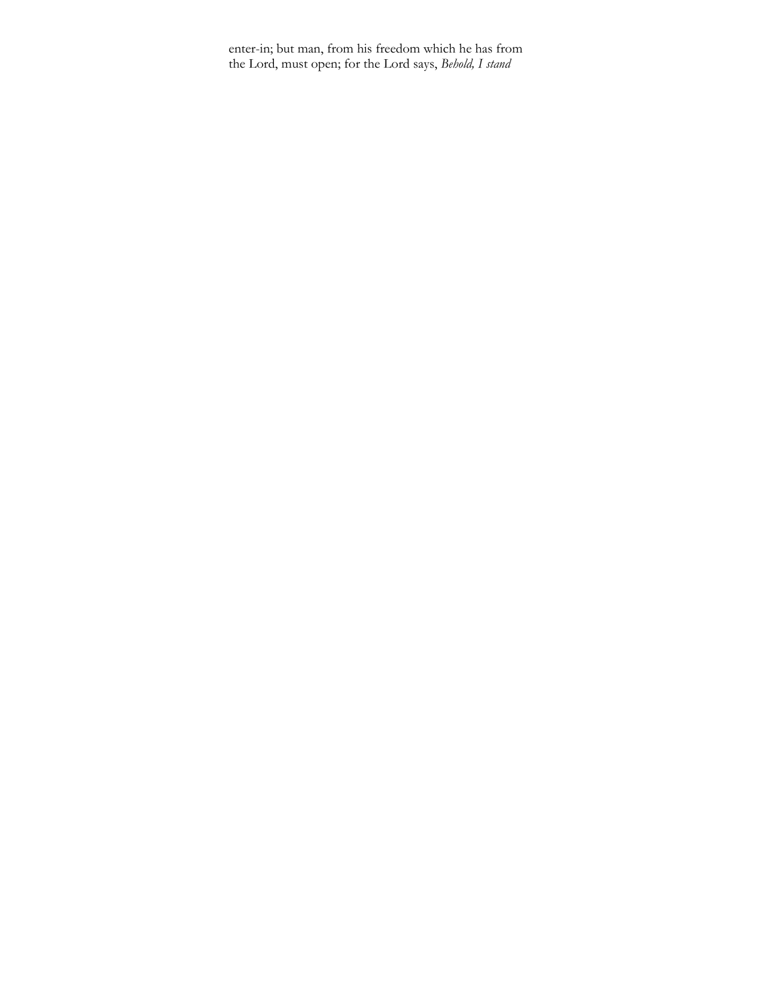enter-in; but man, from his freedom which he has from the Lord, must open; for the Lord says, *Behold, I stand*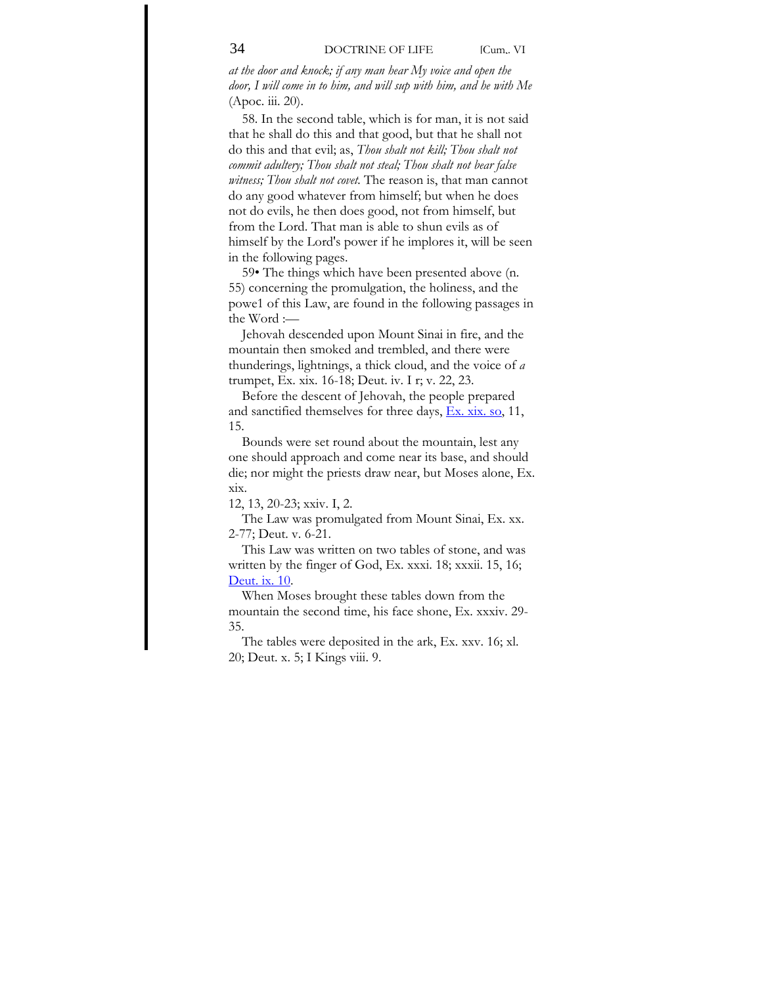*at the door and knock; if any man hear My voice and open the door, I will come in to him, and will sup with him, and he with Me*  (Apoc. iii. 20).

58. In the second table, which is for man, it is not said that he shall do this and that good, but that he shall not do this and that evil; as, *Thou shalt not kill; Thou shalt not commit adultery; Thou shalt not steal; Thou shalt not bear false witness; Thou shalt not covet.* The reason is, that man cannot do any good whatever from himself; but when he does not do evils, he then does good, not from himself, but from the Lord. That man is able to shun evils as of himself by the Lord's power if he implores it, will be seen in the following pages.

59• The things which have been presented above (n. 55) concerning the promulgation, the holiness, and the powe1 of this Law, are found in the following passages in the Word :—

Jehovah descended upon Mount Sinai in fire, and the mountain then smoked and trembled, and there were thunderings, lightnings, a thick cloud, and the voice of *a*  trumpet, Ex. xix. 16-18; Deut. iv. I r; v. 22, 23.

Before the descent of Jehovah, the people prepared and sanctified themselves for three days,  $Ex. xix. so, 11$ , 15.

Bounds were set round about the mountain, lest any one should approach and come near its base, and should die; nor might the priests draw near, but Moses alone, Ex. xix.

12, 13, 20-23; xxiv. I, 2.

The Law was promulgated from Mount Sinai, Ex. xx. 2-77; Deut. v. 6-21.

This Law was written on two tables of stone, and was written by the finger of God, Ex. xxxi. 18; xxxii. 15, 16; [Deut. ix. 10](http://deut.ix.so/).

When Moses brought these tables down from the mountain the second time, his face shone, Ex. xxxiv. 29- 35.

The tables were deposited in the ark, Ex. xxv. 16; xl. 20; Deut. x. 5; I Kings viii. 9.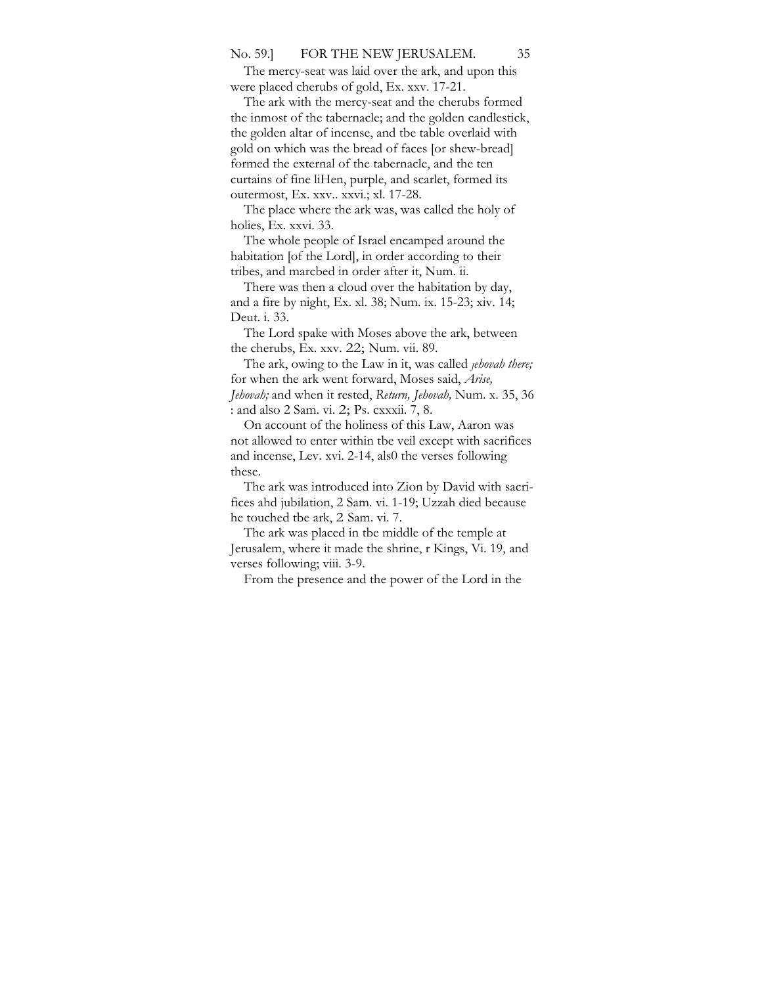The mercy-seat was laid over the ark, and upon this were placed cherubs of gold, Ex. xxv. 17-21.

The ark with the mercy-seat and the cherubs formed the inmost of the tabernacle; and the golden candlestick, the golden altar of incense, and tbe table overlaid with gold on which was the bread of faces [or shew-bread] formed the external of the tabernacle, and the ten curtains of fine liHen, purple, and scarlet, formed its outermost, Ex. xxv.. xxvi.; xl. 17-28.

The place where the ark was, was called the holy of holies, Ex. xxvi. 33.

The whole people of Israel encamped around the habitation [of the Lord], in order according to their tribes, and marcbed in order after it, Num. ii.

There was then a cloud over the habitation by day, and a fire by night, Ex. xl. 38; Num. ix. 15-23; xiv. 14; Deut. i. 33.

The Lord spake with Moses above the ark, between the cherubs, Ex. xxv. 22; Num. vii. 89.

The ark, owing to the Law in it, was called *Jehovah there;*  for when the ark went forward, Moses said, *Arise, Jehovah;* and when it rested, *Return, Jehovah,* Num. x. 35, 36 : and also 2 Sam. vi. 2; Ps. cxxxii. 7, 8.

On account of the holiness of this Law, Aaron was not allowed to enter within tbe veil except with sacrifices and incense, Lev. xvi. 2-14, als0 the verses following these.

The ark was introduced into Zion by David with sacrifices ahd jubilation, 2 Sam. vi. 1-19; Uzzah died because he touched tbe ark, 2 Sam. vi. 7.

The ark was placed in tbe middle of the temple at Jerusalem, where it made the shrine, r Kings, Vi. 19, and verses following; viii. 3-9.

From the presence and the power of the Lord in the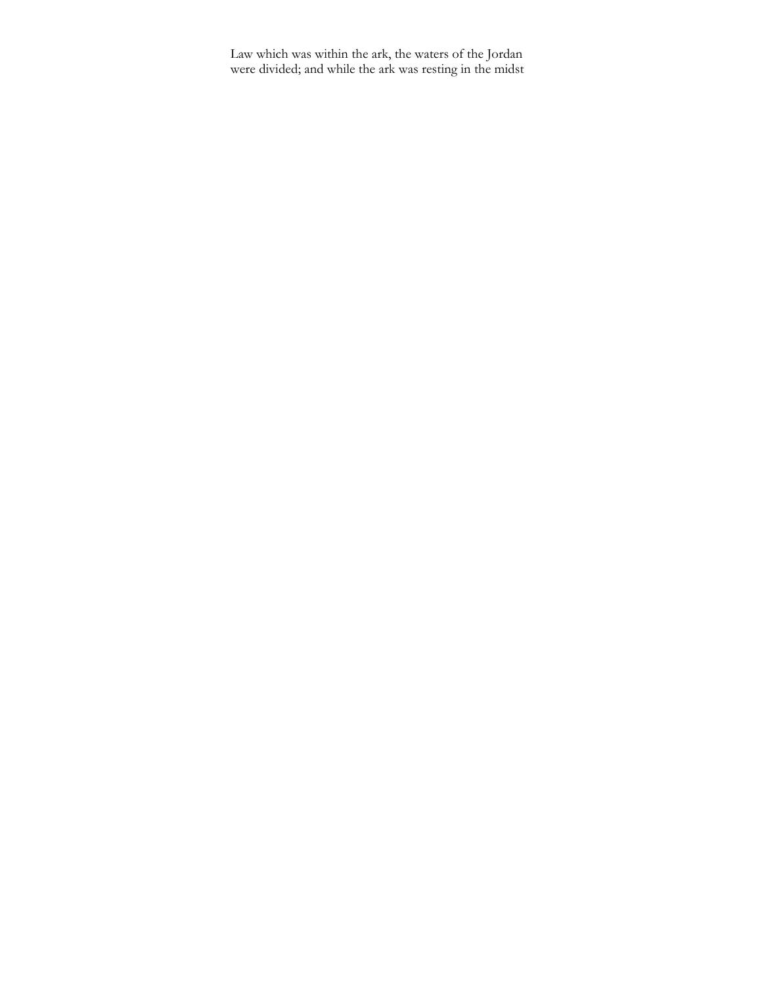Law which was within the ark, the waters of the Jordan were divided; and while the ark was resting in the midst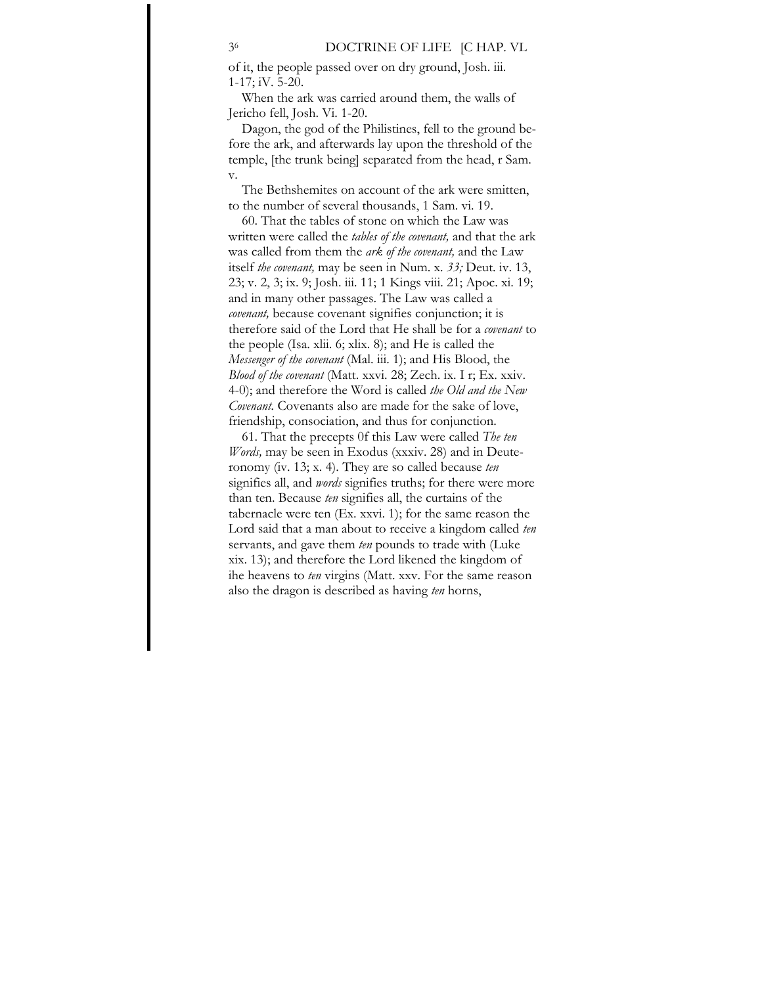of it, the people passed over on dry ground, Josh. iii. 1-17; iV. 5-20.

When the ark was carried around them, the walls of Jericho fell, Josh. Vi. 1-20.

Dagon, the god of the Philistines, fell to the ground before the ark, and afterwards lay upon the threshold of the temple, [the trunk being] separated from the head, r Sam. v.

The Bethshemites on account of the ark were smitten, to the number of several thousands, 1 Sam. vi. 19.

60. That the tables of stone on which the Law was written were called the *tables of the covenant,* and that the ark was called from them the *ark of the covenant,* and the Law itself *the covenant,* may be seen in Num. x. *33;* Deut. iv. 13, 23; v. 2, 3; ix. 9; Josh. iii. 11; 1 Kings viii. 21; Apoc. xi. 19; and in many other passages. The Law was called a *covenant,* because covenant signifies conjunction; it is therefore said of the Lord that He shall be for a *covenant* to the people (Isa. xlii. 6; xlix. 8); and He is called the *Messenger of the covenant* (Mal. iii. 1); and His Blood, the *Blood of the covenant* (Matt. xxvi. 28; Zech. ix. I r; Ex. xxiv. 4-0); and therefore the Word is called *the Old and the New Covenant.* Covenants also are made for the sake of love, friendship, consociation, and thus for conjunction.

61. That the precepts 0f this Law were called *The ten Words,* may be seen in Exodus (xxxiv. 28) and in Deuteronomy (iv. 13; x. 4). They are so called because *ten*  signifies all, and *words* signifies truths; for there were more than ten. Because *ten* signifies all, the curtains of the tabernacle were ten (Ex. xxvi. 1); for the same reason the Lord said that a man about to receive a kingdom called *ten*  servants, and gave them *ten* pounds to trade with (Luke xix. 13); and therefore the Lord likened the kingdom of ihe heavens to *ten* virgins (Matt. xxv. For the same reason also the dragon is described as having *ten* horns,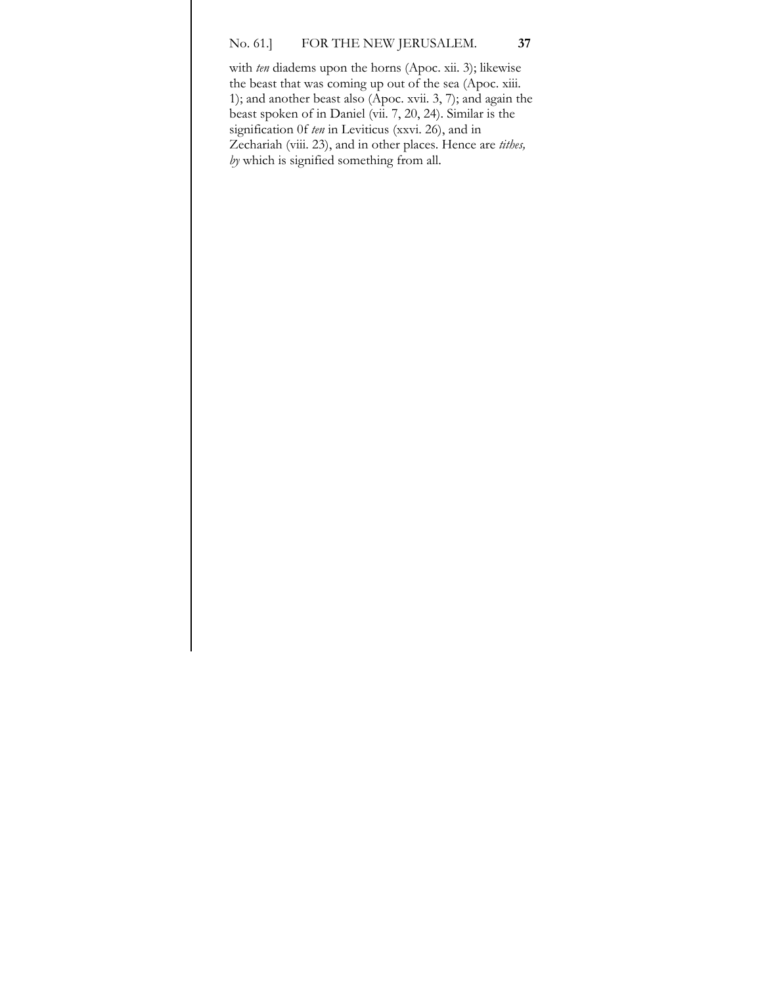# No. 61.] FOR THE NEW JERUSALEM. **37**

with *ten* diadems upon the horns (Apoc. xii. 3); likewise the beast that was coming up out of the sea (Apoc. xiii. 1); and another beast also (Apoc. xvii. 3, 7); and again the beast spoken of in Daniel (vii. 7, 20, 24). Similar is the signification 0f *ten* in Leviticus (xxvi. 26), and in Zechariah (viii. 23), and in other places. Hence are *tithes, by* which is signified something from all.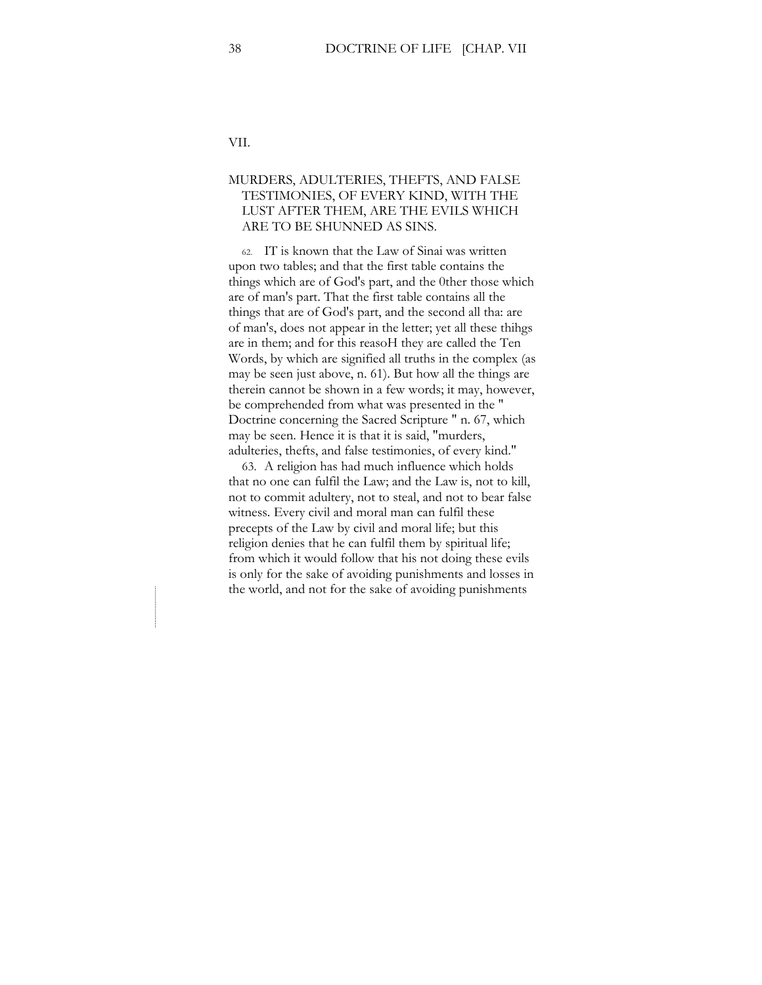VII.

# MURDERS, ADULTERIES, THEFTS, AND FALSE TESTIMONIES, OF EVERY KIND, WITH THE LUST AFTER THEM, ARE THE EVILS WHICH ARE TO BE SHUNNED AS SINS.

62. IT is known that the Law of Sinai was written upon two tables; and that the first table contains the things which are of God's part, and the 0ther those which are of man's part. That the first table contains all the things that are of God's part, and the second all tha: are of man's, does not appear in the letter; yet all these thihgs are in them; and for this reasoH they are called the Ten Words, by which are signified all truths in the complex (as may be seen just above, n. 61). But how all the things are therein cannot be shown in a few words; it may, however, be comprehended from what was presented in the " Doctrine concerning the Sacred Scripture " n. 67, which may be seen. Hence it is that it is said, "murders, adulteries, thefts, and false testimonies, of every kind."

63. A religion has had much influence which holds that no one can fulfil the Law; and the Law is, not to kill, not to commit adultery, not to steal, and not to bear false witness. Every civil and moral man can fulfil these precepts of the Law by civil and moral life; but this religion denies that he can fulfil them by spiritual life; from which it would follow that his not doing these evils is only for the sake of avoiding punishments and losses in the world, and not for the sake of avoiding punishments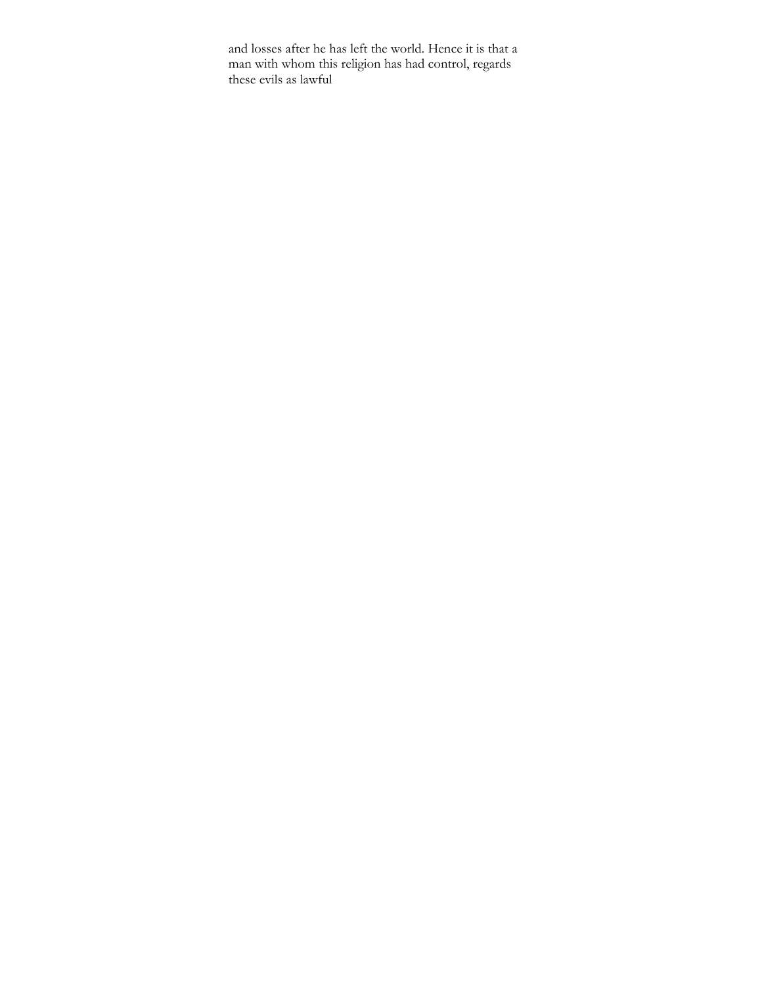and losses after he has left the world. Hence it is that a man with whom this religion has had control, regards these evils as lawful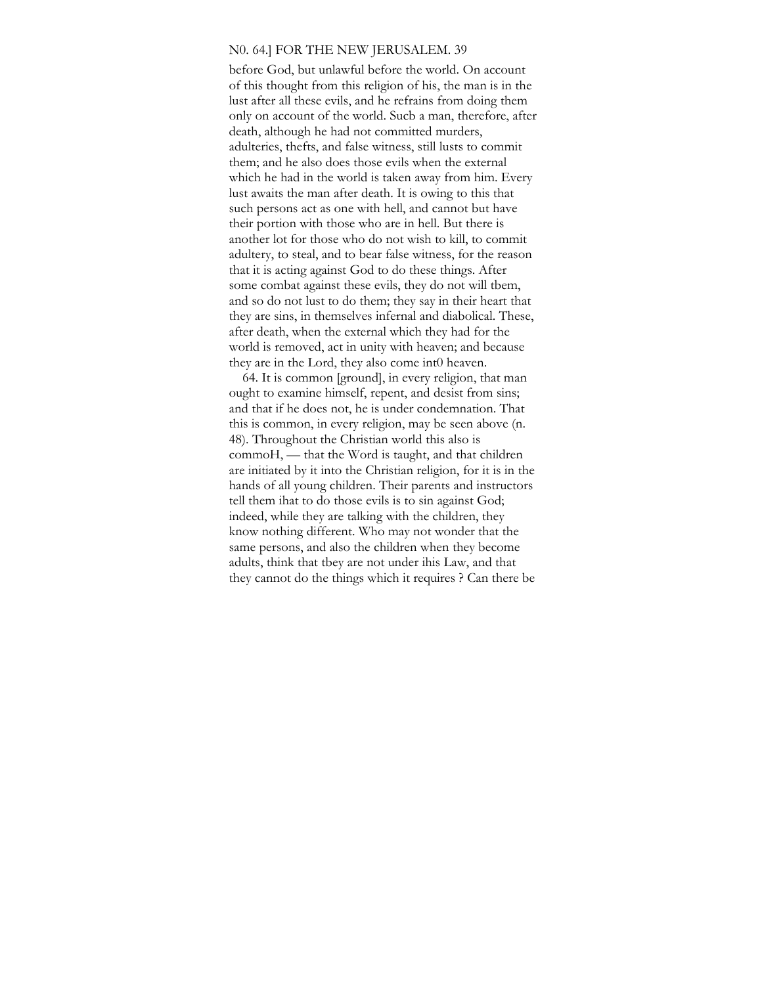### N0. 64.] FOR THE NEW JERUSALEM. 39

before God, but unlawful before the world. On account of this thought from this religion of his, the man is in the lust after all these evils, and he refrains from doing them only on account of the world. Sucb a man, therefore, after death, although he had not committed murders, adulteries, thefts, and false witness, still lusts to commit them; and he also does those evils when the external which he had in the world is taken away from him. Every lust awaits the man after death. It is owing to this that such persons act as one with hell, and cannot but have their portion with those who are in hell. But there is another lot for those who do not wish to kill, to commit adultery, to steal, and to bear false witness, for the reason that it is acting against God to do these things. After some combat against these evils, they do not will tbem, and so do not lust to do them; they say in their heart that they are sins, in themselves infernal and diabolical. These, after death, when the external which they had for the world is removed, act in unity with heaven; and because they are in the Lord, they also come int0 heaven.

64. It is common [ground], in every religion, that man ought to examine himself, repent, and desist from sins; and that if he does not, he is under condemnation. That this is common, in every religion, may be seen above (n. 48). Throughout the Christian world this also is commoH, — that the Word is taught, and that children are initiated by it into the Christian religion, for it is in the hands of all young children. Their parents and instructors tell them ihat to do those evils is to sin against God; indeed, while they are talking with the children, they know nothing different. Who may not wonder that the same persons, and also the children when they become adults, think that tbey are not under ihis Law, and that they cannot do the things which it requires ? Can there be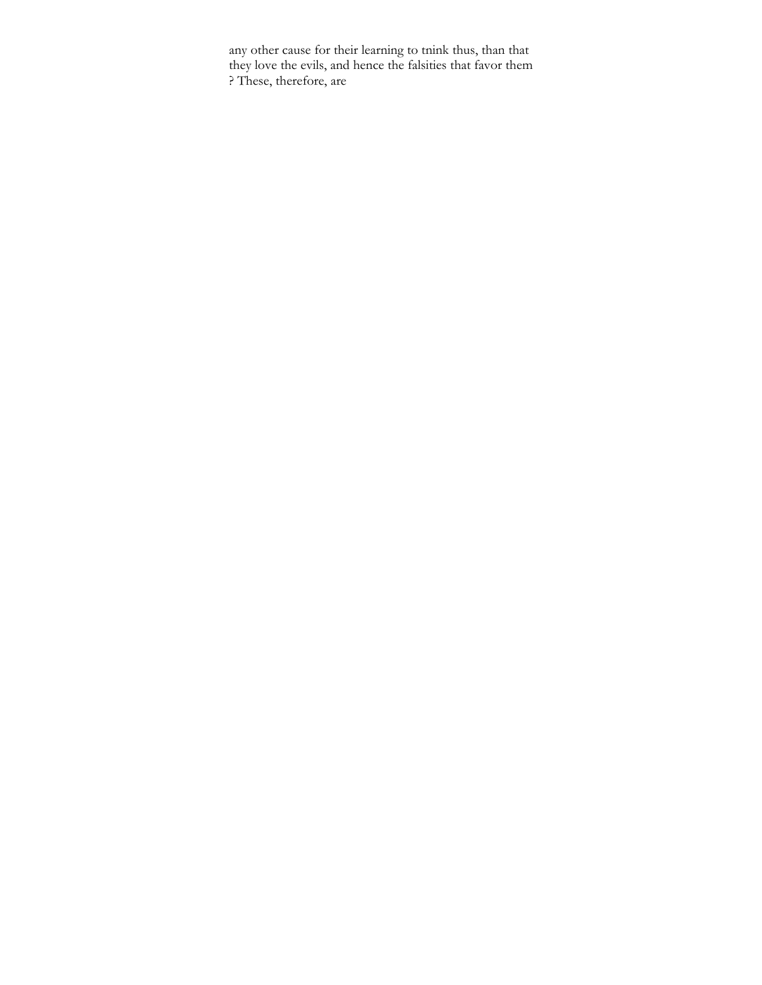any other cause for their learning to tnink thus, than that they love the evils, and hence the falsities that favor them ? These, therefore, are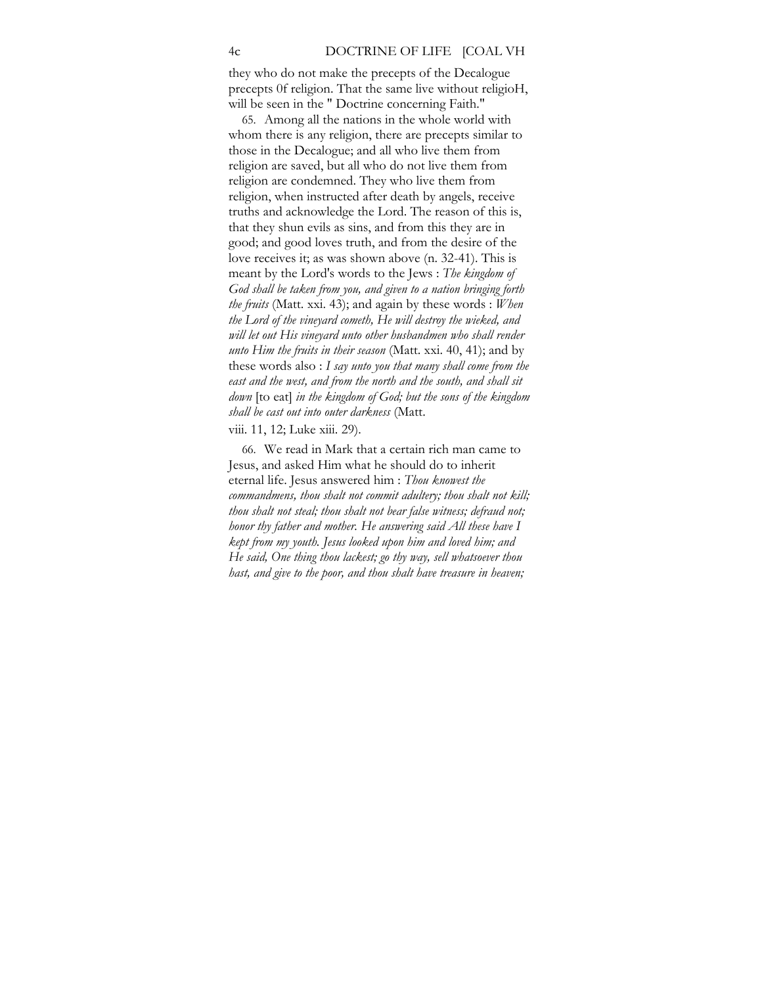they who do not make the precepts of the Decalogue precepts 0f religion. That the same live without religioH, will be seen in the " Doctrine concerning Faith."

65. Among all the nations in the whole world with whom there is any religion, there are precepts similar to those in the Decalogue; and all who live them from religion are saved, but all who do not live them from religion are condemned. They who live them from religion, when instructed after death by angels, receive truths and acknowledge the Lord. The reason of this is, that they shun evils as sins, and from this they are in good; and good loves truth, and from the desire of the love receives it; as was shown above (n. 32-41). This is meant by the Lord's words to the Jews : *The kingdom of God shall be taken from you, and given to a nation bringing forth the fruits* (Matt. xxi. 43); and again by these words : *When the Lord of the vineyard cometh, He will destroy the wieked, and will let out His vineyard unto other husbandmen who shall render unto Him the fruits in their season* (Matt. xxi. 40, 41); and by these words also : *I say unto you that many shall come from the*  east and the west, and from the north and the south, and shall sit *down* [to eat] *in the kingdom of God; but the sons of the kingdom shall be cast out into outer darkness* (Matt.

viii. 11, 12; Luke xiii. 29).

66. We read in Mark that a certain rich man came to Jesus, and asked Him what he should do to inherit eternal life. Jesus answered him : *Thou knowest the commandmens, thou shalt not commit adultery; thou shalt not kill; thou shalt not steal; thou shalt not bear false witness; defraud not; honor thy father and mother. He answering said All these have I kept from my youth. Jesus looked upon him and loved him; and He said, One thing thou lackest; go thy way, sell whatsoever thou hast, and give to the poor, and thou shalt have treasure in heaven;*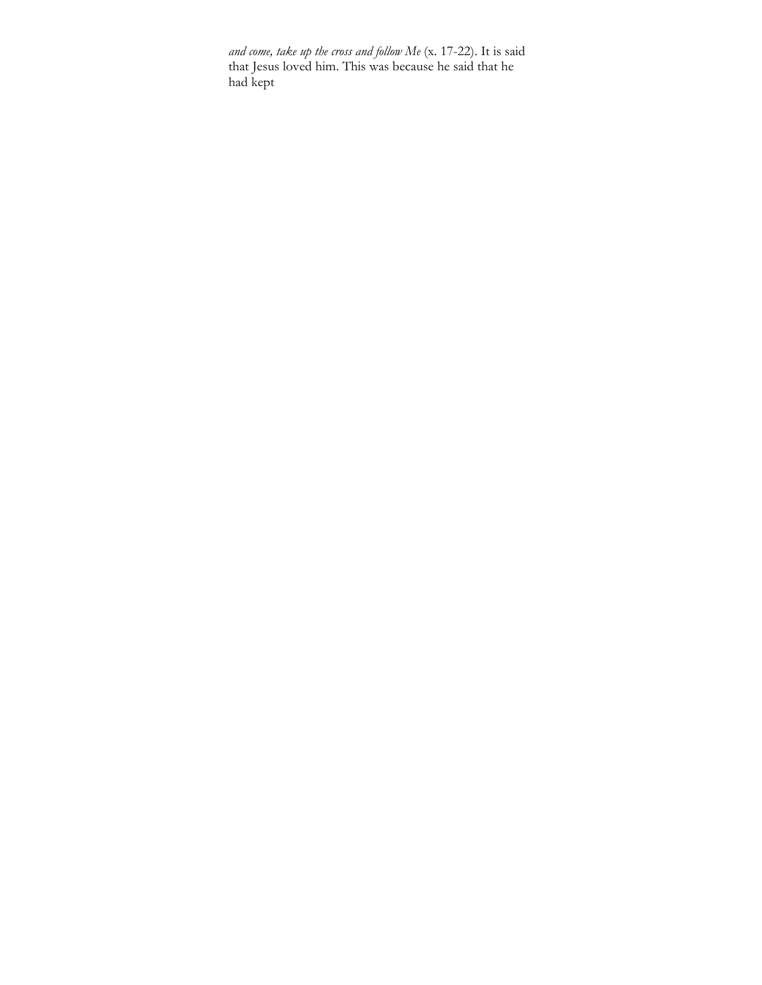*and come, take up the cross and follow Me* (x. 17-22). It is said that Jesus loved him. This was because he said that he had kept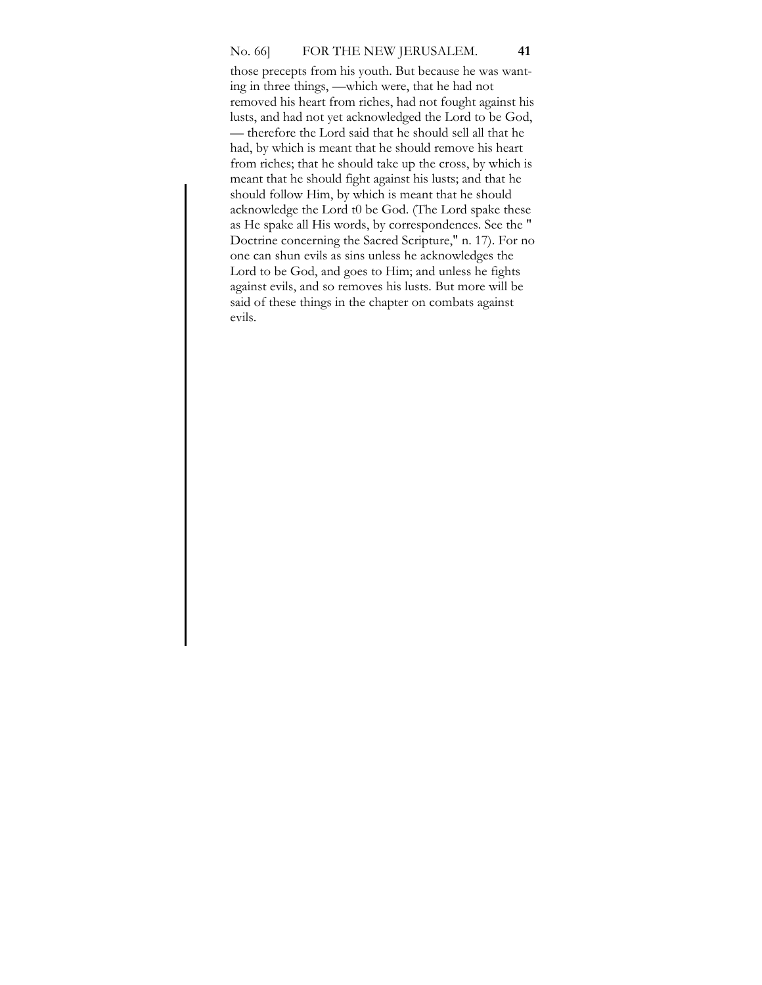### No. 66] FOR THE NEW JERUSALEM. **41**

those precepts from his youth. But because he was wanting in three things, —which were, that he had not removed his heart from riches, had not fought against his lusts, and had not yet acknowledged the Lord to be God, — therefore the Lord said that he should sell all that he had, by which is meant that he should remove his heart from riches; that he should take up the cross, by which is meant that he should fight against his lusts; and that he should follow Him, by which is meant that he should acknowledge the Lord t0 be God. (The Lord spake these as He spake all His words, by correspondences. See the " Doctrine concerning the Sacred Scripture," n. 17). For no one can shun evils as sins unless he acknowledges the Lord to be God, and goes to Him; and unless he fights against evils, and so removes his lusts. But more will be said of these things in the chapter on combats against evils.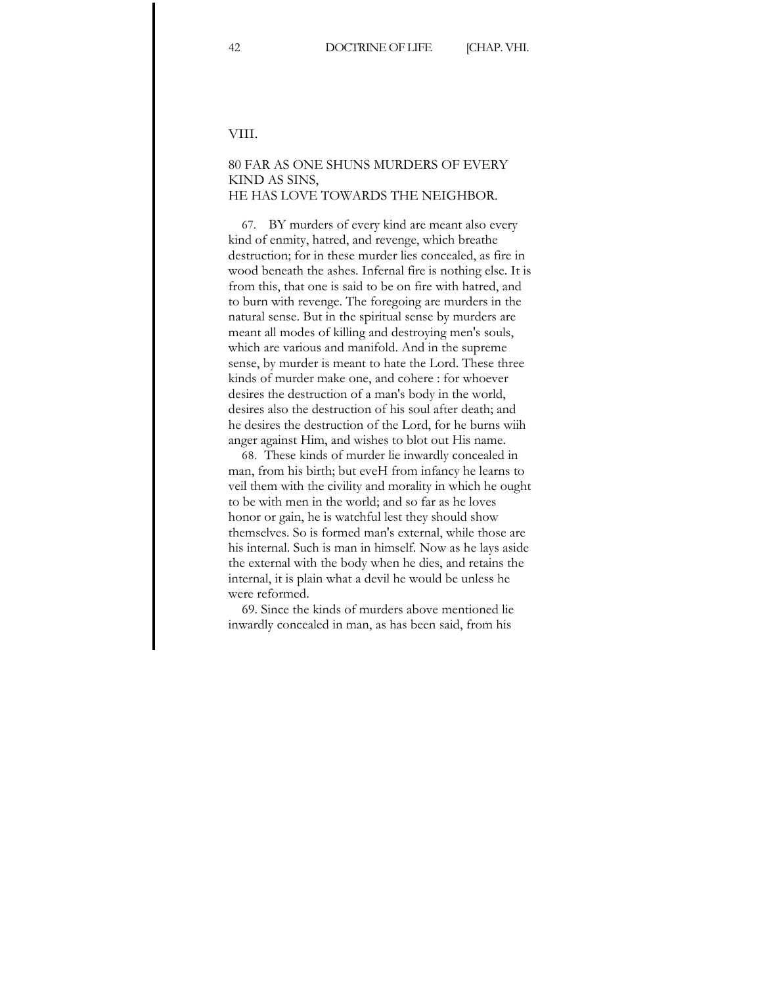VIII.

## 80 FAR AS ONE SHUNS MURDERS OF EVERY KIND AS SINS, HE HAS LOVE TOWARDS THE NEIGHBOR.

67. BY murders of every kind are meant also every kind of enmity, hatred, and revenge, which breathe destruction; for in these murder lies concealed, as fire in wood beneath the ashes. Infernal fire is nothing else. It is from this, that one is said to be on fire with hatred, and to burn with revenge. The foregoing are murders in the natural sense. But in the spiritual sense by murders are meant all modes of killing and destroying men's souls, which are various and manifold. And in the supreme sense, by murder is meant to hate the Lord. These three kinds of murder make one, and cohere : for whoever desires the destruction of a man's body in the world, desires also the destruction of his soul after death; and he desires the destruction of the Lord, for he burns wiih anger against Him, and wishes to blot out His name.

68. These kinds of murder lie inwardly concealed in man, from his birth; but eveH from infancy he learns to veil them with the civility and morality in which he ought to be with men in the world; and so far as he loves honor or gain, he is watchful lest they should show themselves. So is formed man's external, while those are his internal. Such is man in himself. Now as he lays aside the external with the body when he dies, and retains the internal, it is plain what a devil he would be unless he were reformed.

69. Since the kinds of murders above mentioned lie inwardly concealed in man, as has been said, from his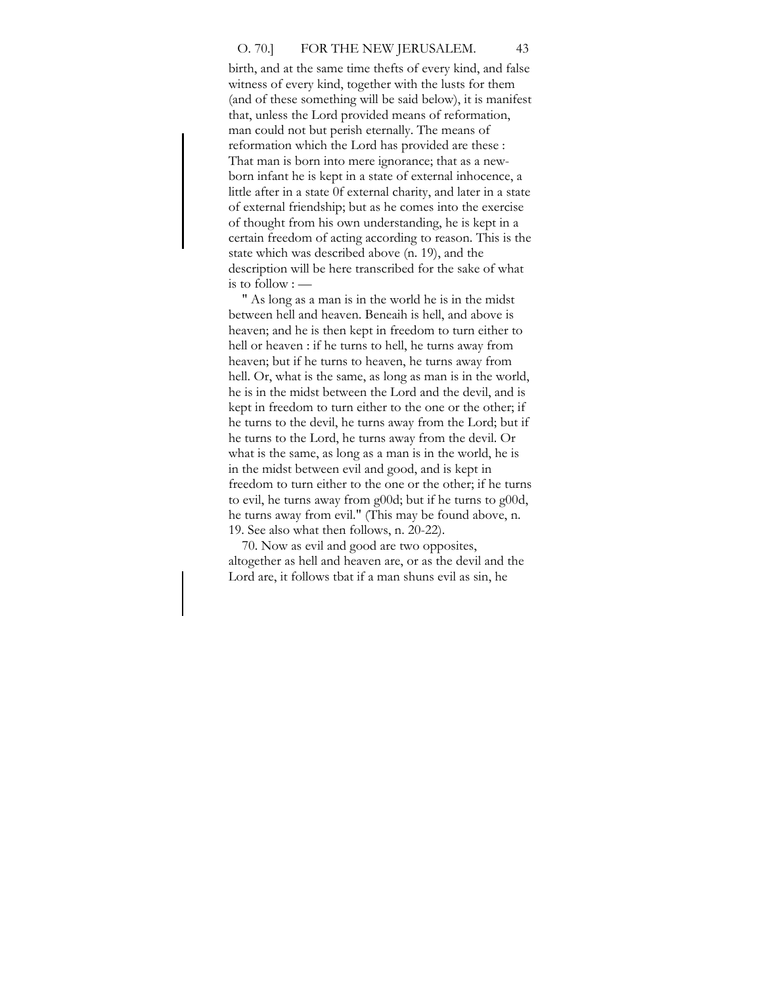#### O. 70.] FOR THE NEW JERUSALEM. 43

birth, and at the same time thefts of every kind, and false witness of every kind, together with the lusts for them (and of these something will be said below), it is manifest that, unless the Lord provided means of reformation, man could not but perish eternally. The means of reformation which the Lord has provided are these : That man is born into mere ignorance; that as a newborn infant he is kept in a state of external inhocence, a little after in a state 0f external charity, and later in a state of external friendship; but as he comes into the exercise of thought from his own understanding, he is kept in a certain freedom of acting according to reason. This is the state which was described above (n. 19), and the description will be here transcribed for the sake of what is to follow : —

" As long as a man is in the world he is in the midst between hell and heaven. Beneaih is hell, and above is heaven; and he is then kept in freedom to turn either to hell or heaven : if he turns to hell, he turns away from heaven; but if he turns to heaven, he turns away from hell. Or, what is the same, as long as man is in the world, he is in the midst between the Lord and the devil, and is kept in freedom to turn either to the one or the other; if he turns to the devil, he turns away from the Lord; but if he turns to the Lord, he turns away from the devil. Or what is the same, as long as a man is in the world, he is in the midst between evil and good, and is kept in freedom to turn either to the one or the other; if he turns to evil, he turns away from g00d; but if he turns to g00d, he turns away from evil." (This may be found above, n. 19. See also what then follows, n. 20-22).

70. Now as evil and good are two opposites, altogether as hell and heaven are, or as the devil and the Lord are, it follows tbat if a man shuns evil as sin, he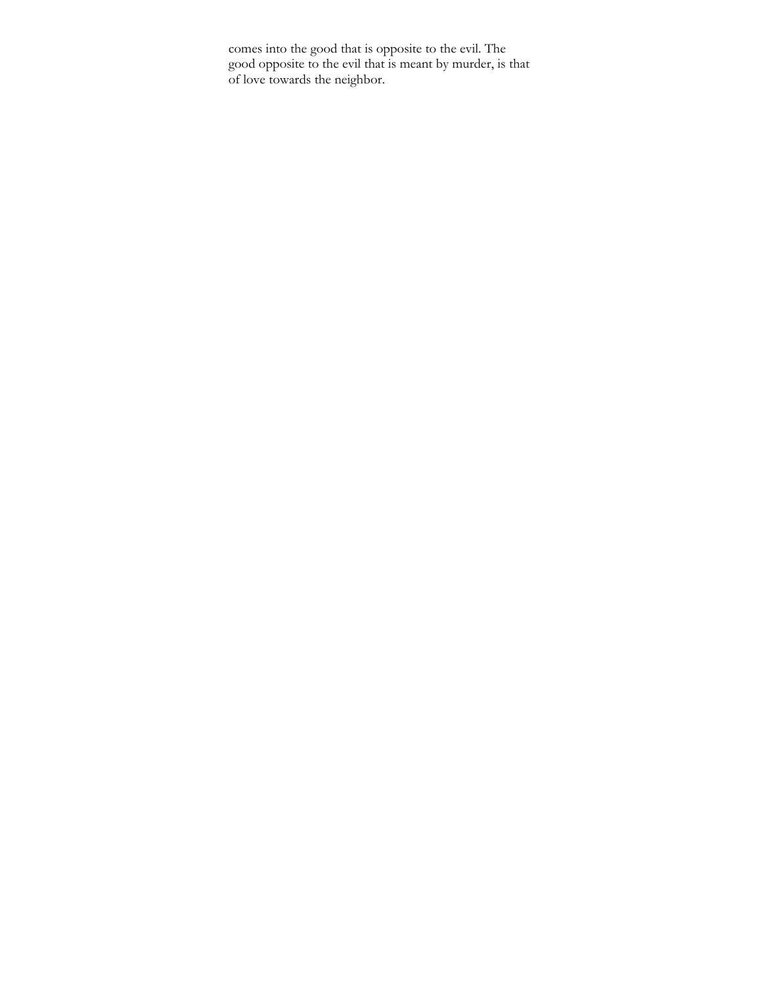comes into the good that is opposite to the evil. The good opposite to the evil that is meant by murder, is that of love towards the neighbor.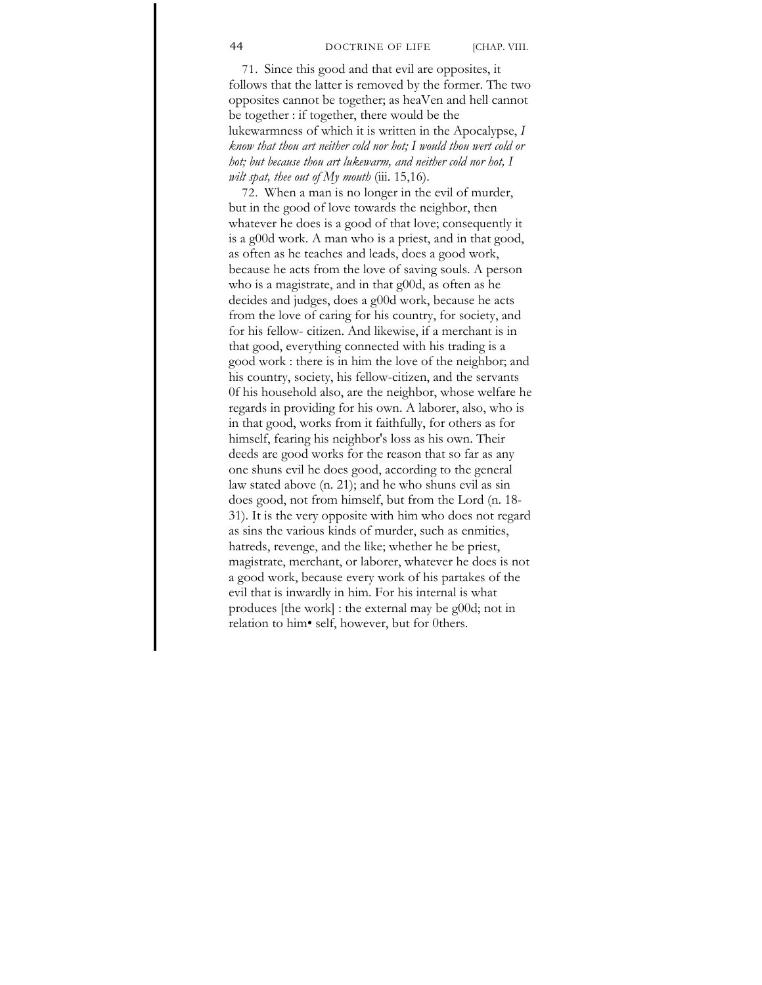### 44 DOCTRINE OF LIFE [CHAP. VIII.

71. Since this good and that evil are opposites, it follows that the latter is removed by the former. The two opposites cannot be together; as heaVen and hell cannot be together : if together, there would be the lukewarmness of which it is written in the Apocalypse, *I know that thou art neither cold nor hot; I would thou wert cold or hot; but because thou art lukewarm, and neither cold nor hot, I wilt spat, thee out of My mouth* (iii. 15,16).

72. When a man is no longer in the evil of murder, but in the good of love towards the neighbor, then whatever he does is a good of that love; consequently it is a g00d work. A man who is a priest, and in that good, as often as he teaches and leads, does a good work, because he acts from the love of saving souls. A person who is a magistrate, and in that g00d, as often as he decides and judges, does a g00d work, because he acts from the love of caring for his country, for society, and for his fellow- citizen. And likewise, if a merchant is in that good, everything connected with his trading is a good work : there is in him the love of the neighbor; and his country, society, his fellow-citizen, and the servants 0f his household also, are the neighbor, whose welfare he regards in providing for his own. A laborer, also, who is in that good, works from it faithfully, for others as for himself, fearing his neighbor's loss as his own. Their deeds are good works for the reason that so far as any one shuns evil he does good, according to the general law stated above (n. 21); and he who shuns evil as sin does good, not from himself, but from the Lord (n. 18- 31). It is the very opposite with him who does not regard as sins the various kinds of murder, such as enmities, hatreds, revenge, and the like; whether he be priest, magistrate, merchant, or laborer, whatever he does is not a good work, because every work of his partakes of the evil that is inwardly in him. For his internal is what produces [the work] : the external may be g00d; not in relation to him• self, however, but for 0thers.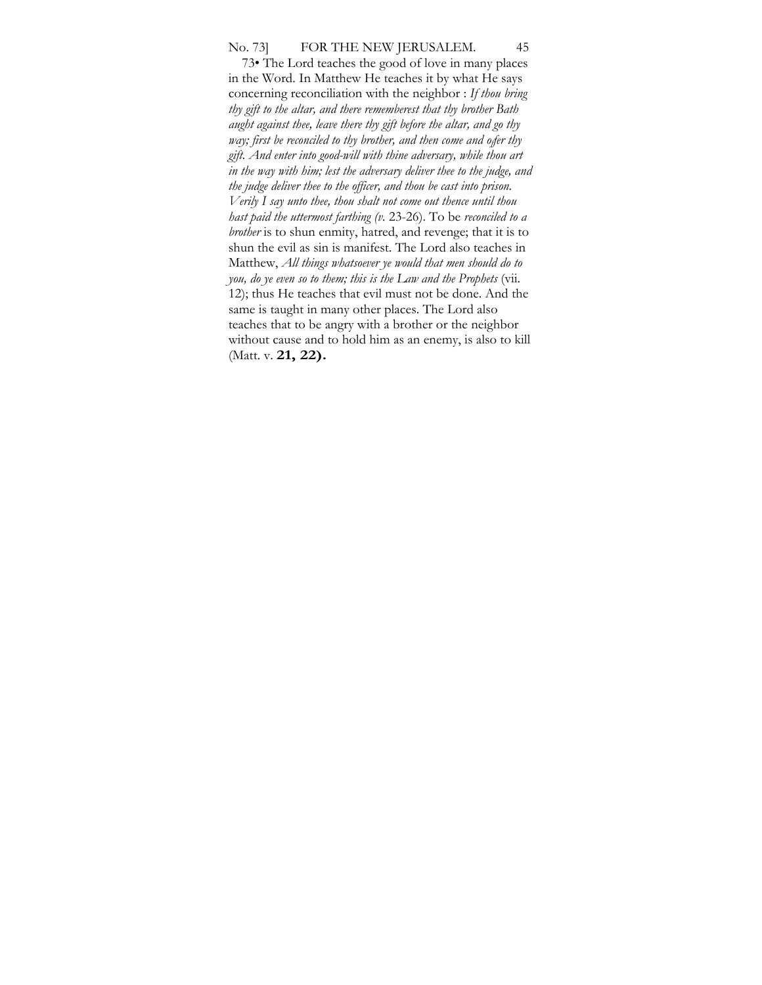# No. 73] FOR THE NEW JERUSALEM. 45

73• The Lord teaches the good of love in many places in the Word. In Matthew He teaches it by what He says concerning reconciliation with the neighbor : *If thou bring thy gift to the altar, and there rememberest that thy brother Bath aught against thee, leave there thy gift before the altar, and go thy way; first be reconciled to thy brother, and then come and offer thy gift. And enter into good-will with thine adversary, while thou art in the way with him; lest the adversary deliver thee to the judge, and the judge deliver thee to the officer, and thou be cast into prison. Verily I say unto thee, thou shalt not come out thence until thou hast paid the uttermost farthing (v.* 23-26). To be *reconciled to a brother* is to shun enmity, hatred, and revenge; that it is to shun the evil as sin is manifest. The Lord also teaches in Matthew, *All things whatsoever ye would that men should do to you, do ye even so to them; this is the Law and the Prophets* (vii. 12); thus He teaches that evil must not be done. And the same is taught in many other places. The Lord also teaches that to be angry with a brother or the neighbor without cause and to hold him as an enemy, is also to kill (Matt. v. **21, 22).**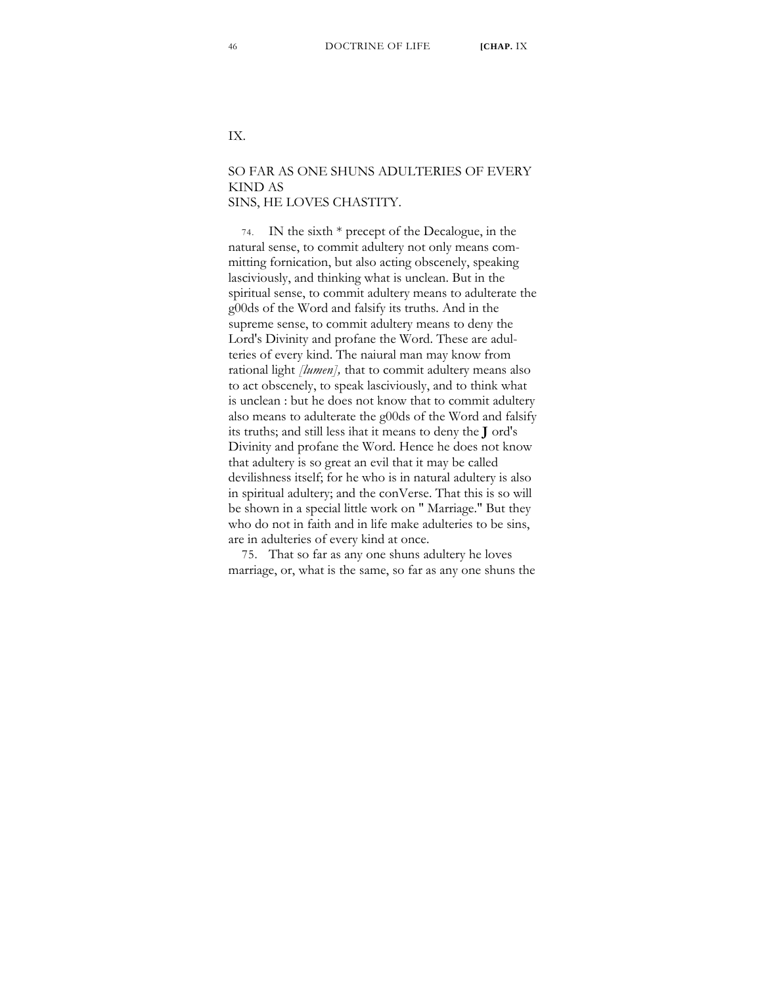IX.

# SO FAR AS ONE SHUNS ADULTERIES OF EVERY KIND AS SINS, HE LOVES CHASTITY.

74. IN the sixth \* precept of the Decalogue, in the natural sense, to commit adultery not only means committing fornication, but also acting obscenely, speaking lasciviously, and thinking what is unclean. But in the spiritual sense, to commit adultery means to adulterate the g00ds of the Word and falsify its truths. And in the supreme sense, to commit adultery means to deny the Lord's Divinity and profane the Word. These are adulteries of every kind. The naiural man may know from rational light *[lumen],* that to commit adultery means also to act obscenely, to speak lasciviously, and to think what is unclean : but he does not know that to commit adultery also means to adulterate the g00ds of the Word and falsify its truths; and still less ihat it means to deny the **J** ord's Divinity and profane the Word. Hence he does not know that adultery is so great an evil that it may be called devilishness itself; for he who is in natural adultery is also in spiritual adultery; and the conVerse. That this is so will be shown in a special little work on " Marriage." But they who do not in faith and in life make adulteries to be sins, are in adulteries of every kind at once.

75. That so far as any one shuns adultery he loves marriage, or, what is the same, so far as any one shuns the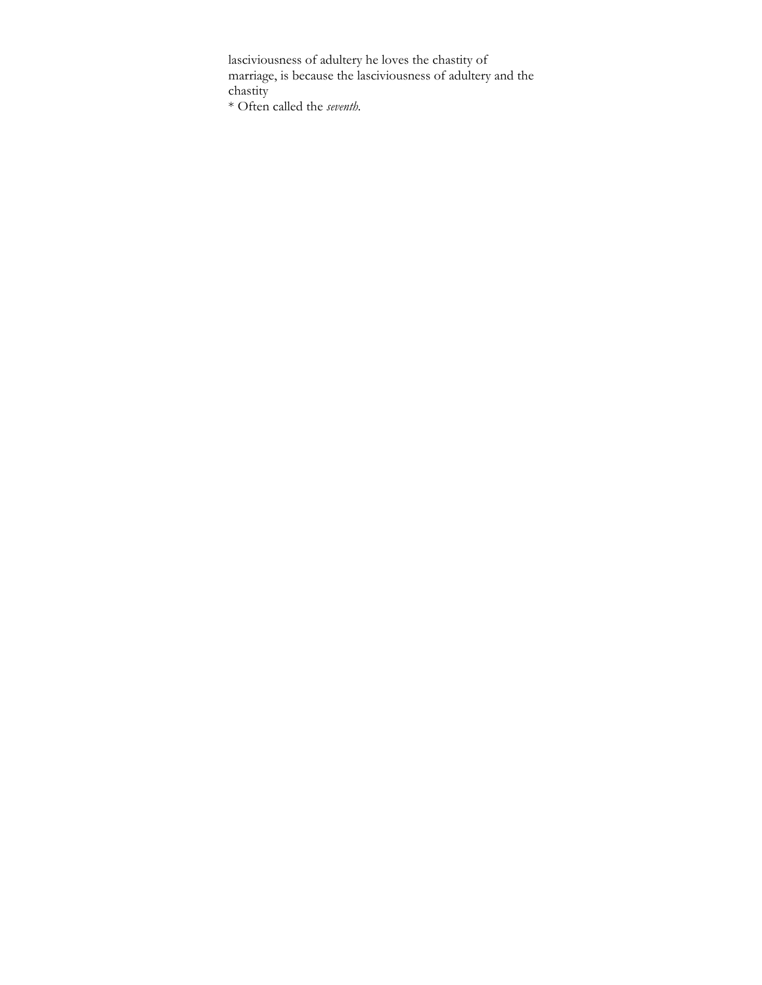lasciviousness of adultery he loves the chastity of marriage, is because the lasciviousness of adultery and the chastity

\* Often called the *seventh.*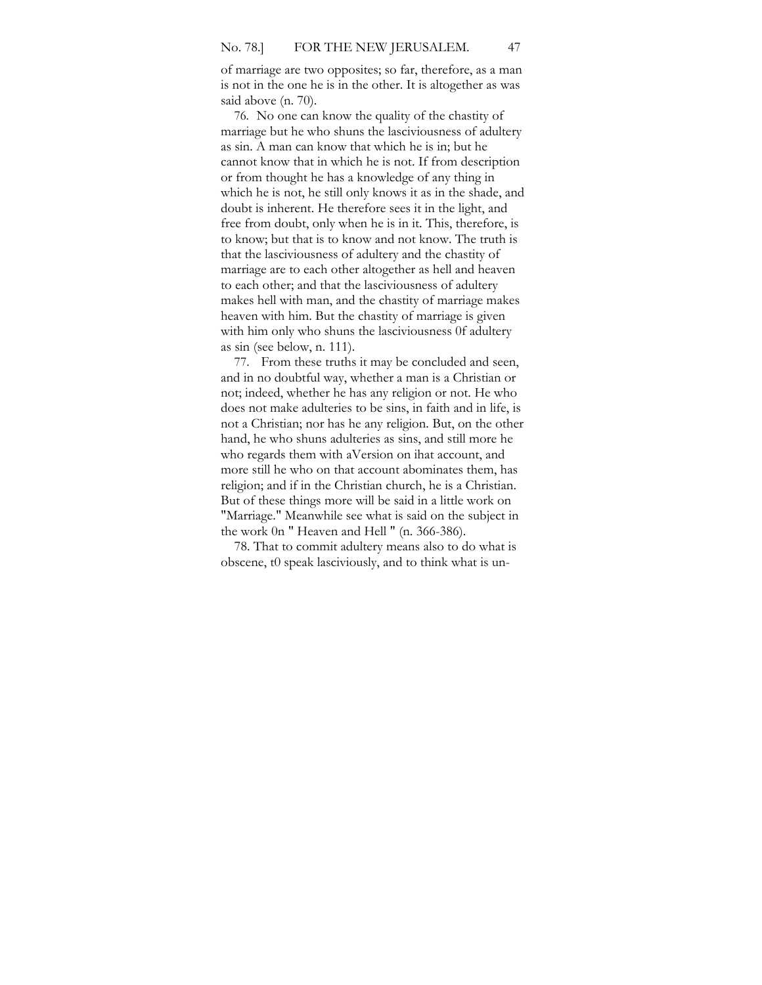of marriage are two opposites; so far, therefore, as a man is not in the one he is in the other. It is altogether as was said above (n. 70).

76. No one can know the quality of the chastity of marriage but he who shuns the lasciviousness of adultery as sin. A man can know that which he is in; but he cannot know that in which he is not. If from description or from thought he has a knowledge of any thing in which he is not, he still only knows it as in the shade, and doubt is inherent. He therefore sees it in the light, and free from doubt, only when he is in it. This, therefore, is to know; but that is to know and not know. The truth is that the lasciviousness of adultery and the chastity of marriage are to each other altogether as hell and heaven to each other; and that the lasciviousness of adultery makes hell with man, and the chastity of marriage makes heaven with him. But the chastity of marriage is given with him only who shuns the lasciviousness 0f adultery as sin (see below, n. 111).

77. From these truths it may be concluded and seen, and in no doubtful way, whether a man is a Christian or not; indeed, whether he has any religion or not. He who does not make adulteries to be sins, in faith and in life, is not a Christian; nor has he any religion. But, on the other hand, he who shuns adulteries as sins, and still more he who regards them with aVersion on ihat account, and more still he who on that account abominates them, has religion; and if in the Christian church, he is a Christian. But of these things more will be said in a little work on "Marriage." Meanwhile see what is said on the subject in the work 0n " Heaven and Hell " (n. 366-386).

78. That to commit adultery means also to do what is obscene, t0 speak lasciviously, and to think what is un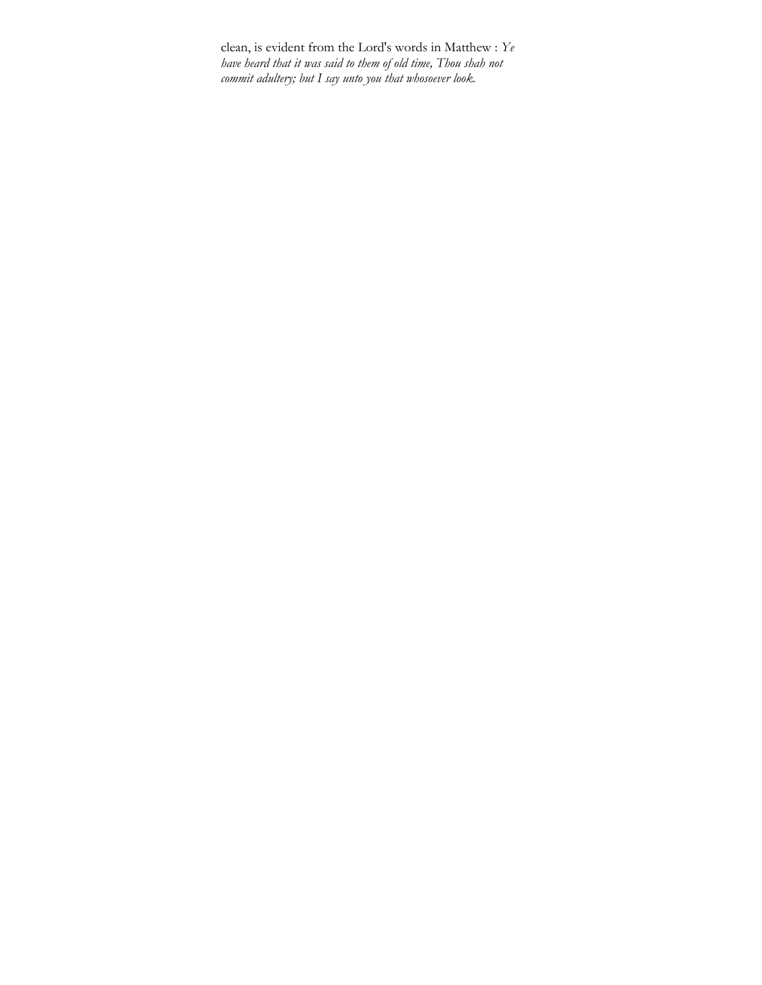clean, is evident from the Lord's words in Matthew : *Ye have heard that it was said to them of old time, Thou shah not commit adultery; but I say unto you that whosoever look.*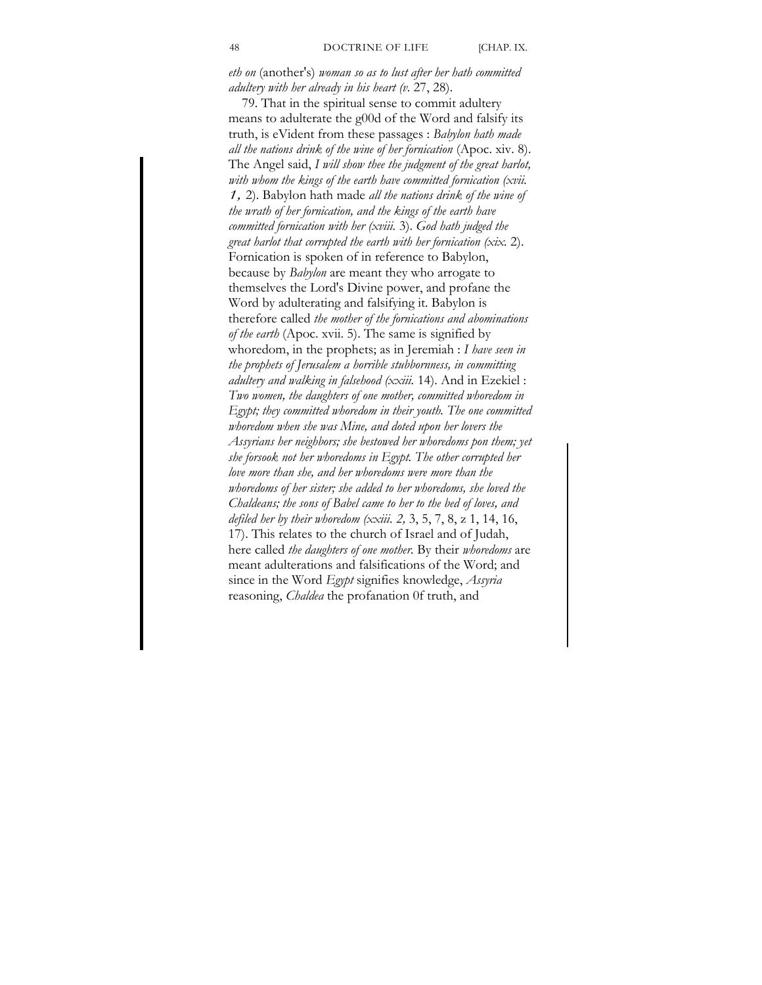*eth on* (another's) *woman so as to lust after her hath committed adultery with her already in his heart (v.* 27, 28).

79. That in the spiritual sense to commit adultery means to adulterate the g00d of the Word and falsify its truth, is eVident from these passages : *Babylon hath made all the nations drink of the wine of her fornication* (Apoc. xiv. 8). The Angel said, *I will show thee the judgment of the great harlot, with whom the kings of the earth have committed fornication (xvii. 1,* 2). Babylon hath made *all the nations drink of the wine of the wrath of her fornication, and the kings of the earth have committed fornication with her (xviii.* 3). *God hath judged the great harlot that corrupted the earth with her fornication (xix.* 2). Fornication is spoken of in reference to Babylon, because by *Babylon* are meant they who arrogate to themselves the Lord's Divine power, and profane the Word by adulterating and falsifying it. Babylon is therefore called *the mother of the fornications and abominations of the earth* (Apoc. xvii. 5). The same is signified by whoredom, in the prophets; as in Jeremiah : *I have seen in the prophets of Jerusalem a horrible stubbornness, in committing adultery and walking in falsehood (xxiii.* 14). And in Ezekiel : *Two women, the daughters of one mother, committed whoredom in Egypt; they committed whoredom in their youth. The one committed whoredom when she was Mine, and doted upon her lovers the Assyrians her neighbors; she bestowed her whoredoms pon them; yet she forsook not her whoredoms in Egypt. The other corrupted her love more than she, and her whoredoms were more than the whoredoms of her sister; she added to her whoredoms, she loved the Chaldeans; the sons of Babel came to her to the bed of loves, and defiled her by their whoredom (xxiii. 2,* 3, 5, 7, 8, z 1, 14, 16, 17). This relates to the church of Israel and of Judah, here called *the daughters of one mother.* By their *whoredoms* are meant adulterations and falsifications of the Word; and since in the Word *Egypt* signifies knowledge, *Assyria*  reasoning, *Chaldea* the profanation 0f truth, and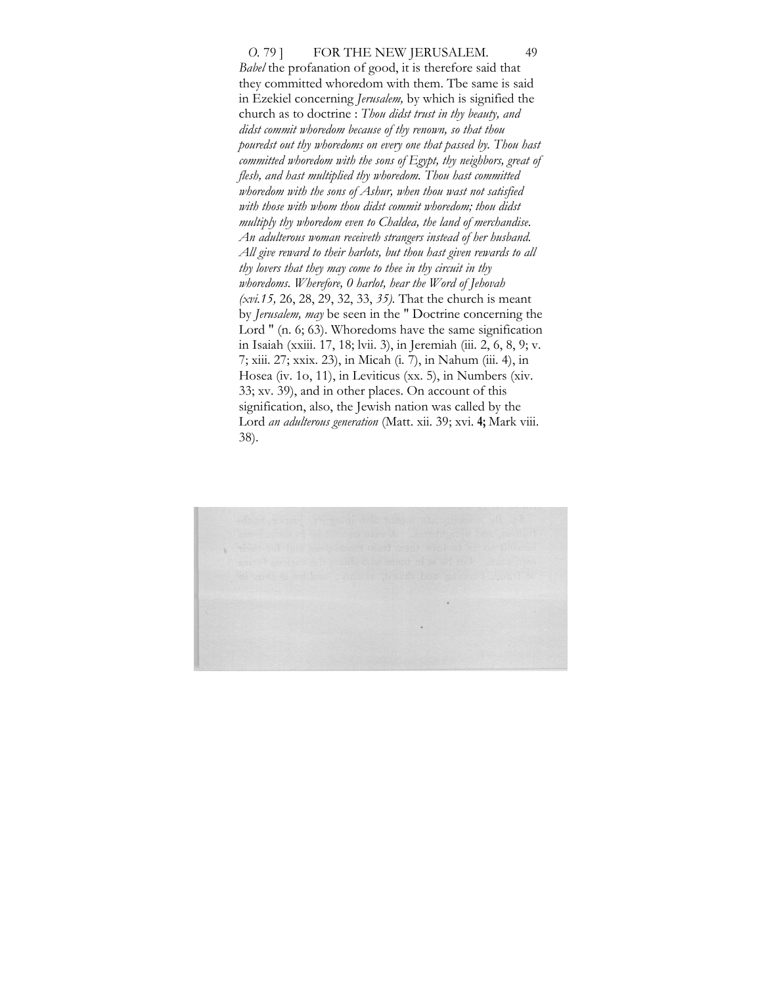## *O.* 79 ] FOR THE NEW JERUSALEM. 49

*Babel* the profanation of good, it is therefore said that they committed whoredom with them. Tbe same is said in Ezekiel concerning *Jerusalem,* by which is signified the church as to doctrine : *Thou didst trust in thy beauty, and didst commit whoredom because of thy renown, so that thou pouredst out thy whoredoms on every one that passed by. Thou hast committed whoredom with the sons of Egypt, thy neighbors, great of flesh, and hast multiplied thy whoredom. Thou hast committed whoredom with the sons of Ashur, when thou wast not satisfied with those with whom thou didst commit whoredom; thou didst multiply thy whoredom even to Chaldea, the land of merchandise. An adulterous woman receiveth strangers instead of her husband. All give reward to their harlots, but thou hast given rewards to all thy lovers that they may come to thee in thy circuit in thy whoredoms. Wherefore, 0 harlot, hear the Word of Jehovah (xvi.15,* 26, 28, 29, 32, 33, *35).* That the church is meant by *Jerusalem, may* be seen in the " Doctrine concerning the Lord " (n. 6; 63). Whoredoms have the same signification in Isaiah (xxiii. 17, 18; lvii. 3), in Jeremiah (iii. 2, 6, 8, 9; v. 7; xiii. 27; xxix. 23), in Micah (i. 7), in Nahum (iii. 4), in Hosea (iv. 1o, 11), in Leviticus (xx. 5), in Numbers (xiv. 33; xv. 39), and in other places. On account of this signification, also, the Jewish nation was called by the Lord *an adulterous generation* (Matt. xii. 39; xvi. **4;** Mark viii. 38).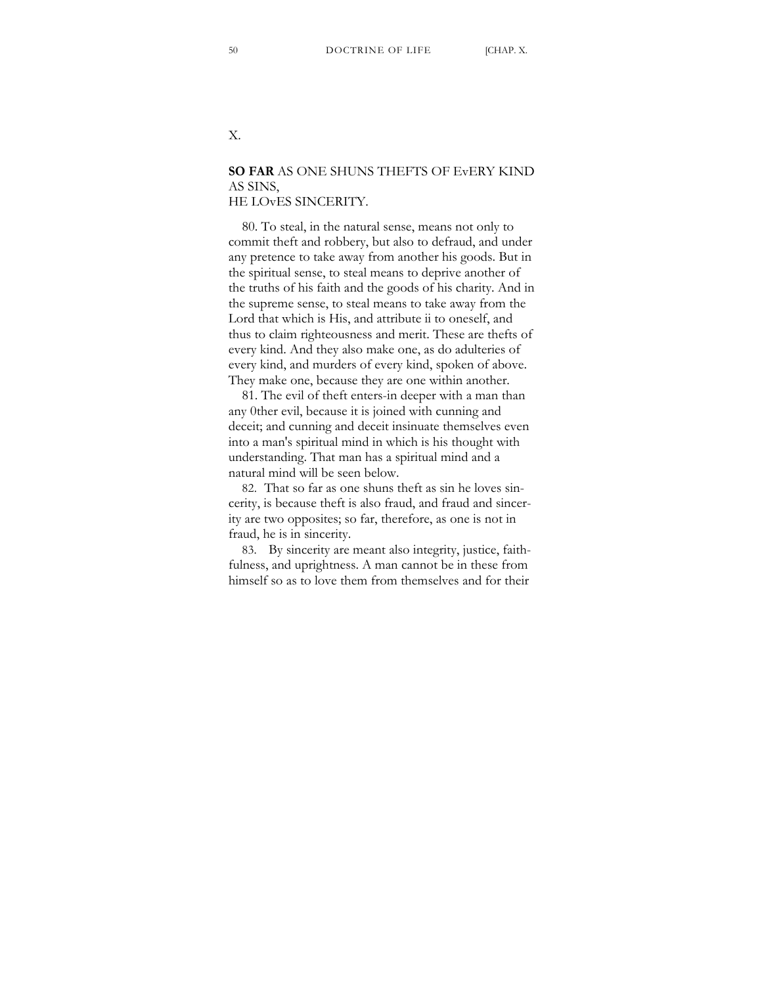X.

## **SO FAR** AS ONE SHUNS THEFTS OF EvERY KIND AS SINS, HE LOvES SINCERITY.

80. To steal, in the natural sense, means not only to commit theft and robbery, but also to defraud, and under any pretence to take away from another his goods. But in the spiritual sense, to steal means to deprive another of the truths of his faith and the goods of his charity. And in the supreme sense, to steal means to take away from the Lord that which is His, and attribute ii to oneself, and thus to claim righteousness and merit. These are thefts of every kind. And they also make one, as do adulteries of every kind, and murders of every kind, spoken of above. They make one, because they are one within another.

81. The evil of theft enters-in deeper with a man than any 0ther evil, because it is joined with cunning and deceit; and cunning and deceit insinuate themselves even into a man's spiritual mind in which is his thought with understanding. That man has a spiritual mind and a natural mind will be seen below.

82. That so far as one shuns theft as sin he loves sincerity, is because theft is also fraud, and fraud and sincerity are two opposites; so far, therefore, as one is not in fraud, he is in sincerity.

83. By sincerity are meant also integrity, justice, faithfulness, and uprightness. A man cannot be in these from himself so as to love them from themselves and for their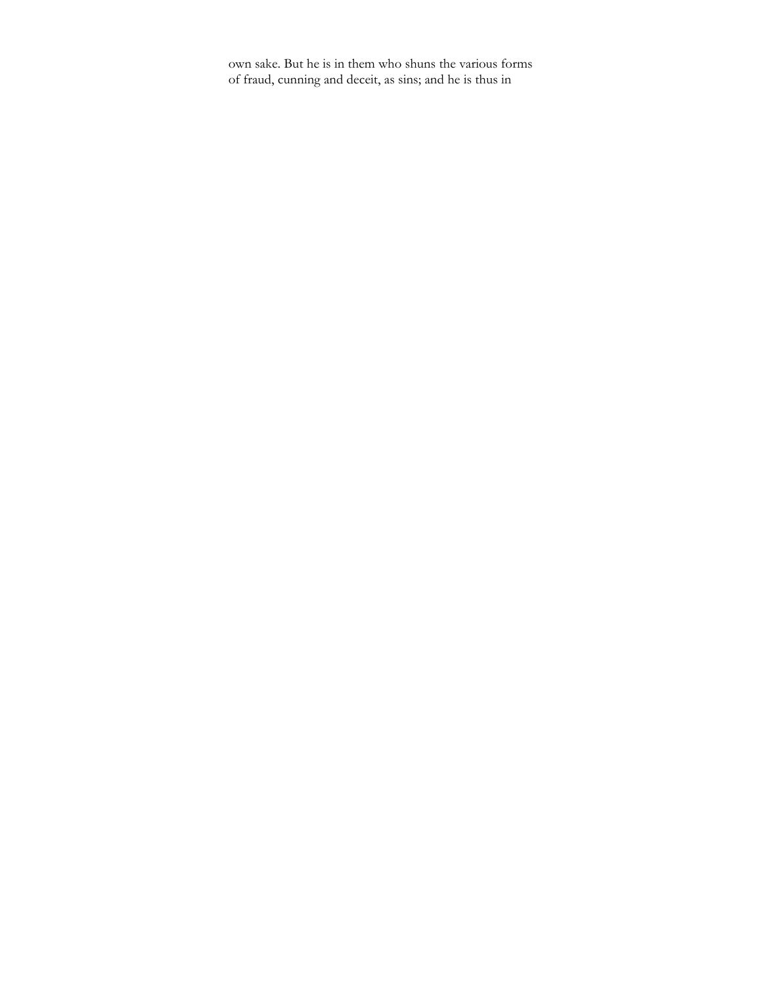own sake. But he is in them who shuns the various forms of fraud, cunning and deceit, as sins; and he is thus in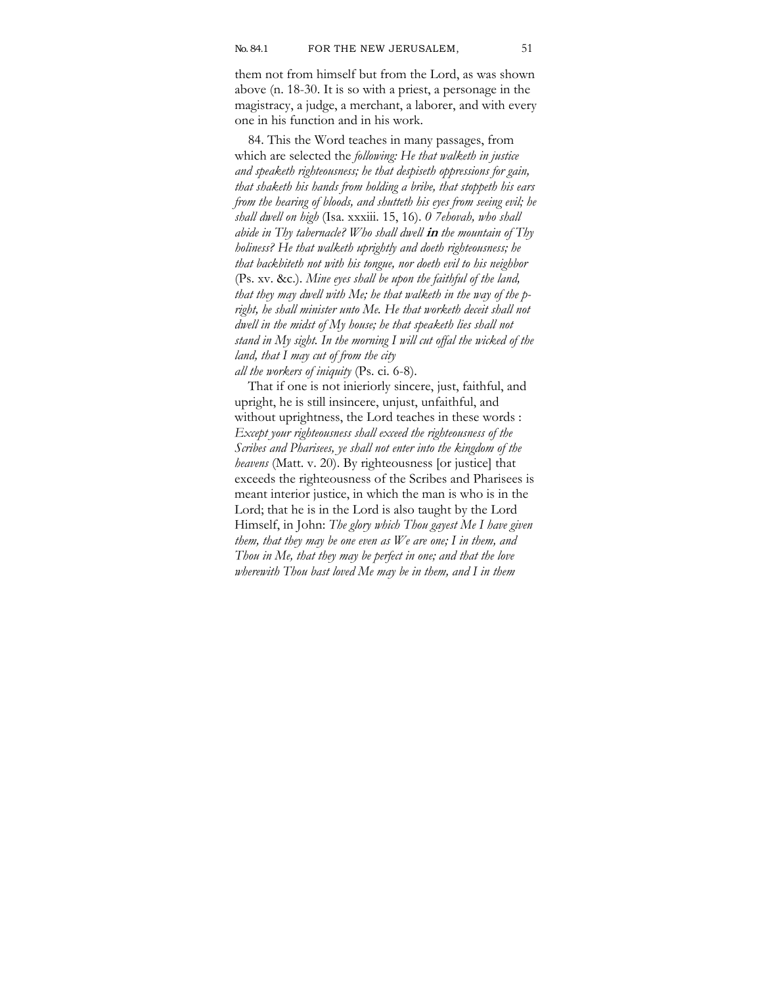them not from himself but from the Lord, as was shown above (n. 18-30. It is so with a priest, a personage in the magistracy, a judge, a merchant, a laborer, and with every one in his function and in his work.

84. This the Word teaches in many passages, from which are selected the *following: He that walketh in justice and speaketh righteousness; he that despiseth oppressions for gain, that shaketh his hands from holding a bribe, that stoppeth his ears from the hearing of bloods, and shutteth his eyes from seeing evil; he shall dwell on high* (Isa. xxxiii. 15, 16). *0 7ehovah, who shall abide in Thy tabernacle? Who shall dwell* **in** *the mountain of Thy holiness? He that walketh uprightly and doeth righteousness; he that backbiteth not with his tongue, nor doeth evil to his neighbor*  (Ps. xv. &c.). *Mine eyes shall be upon the faithful of the land, that they may dwell with Me; he that walketh in the way of the pright, he shall minister unto Me. He that worketh deceit shall not dwell in the midst of My house; he that speaketh lies shall not stand in My sight. In the morning I will cut offal the wicked of the land, that I may cut of from the city all the workers of iniquity* (Ps. ci. 6-8).

That if one is not inieriorly sincere, just, faithful, and upright, he is still insincere, unjust, unfaithful, and without uprightness, the Lord teaches in these words : *Except your righteousness shall exceed the righteousness of the Scribes and Pharisees, ye shall not enter into the kingdom of the heavens* (Matt. v. 20). By righteousness [or justice] that exceeds the righteousness of the Scribes and Pharisees is meant interior justice, in which the man is who is in the Lord; that he is in the Lord is also taught by the Lord Himself, in John: *The glory which Thou gayest Me I have given them, that they may be one even as We are one; I in them, and Thou in Me, that they may be perfect in one; and that the love wherewith Thou bast loved Me may be in them, and I in them*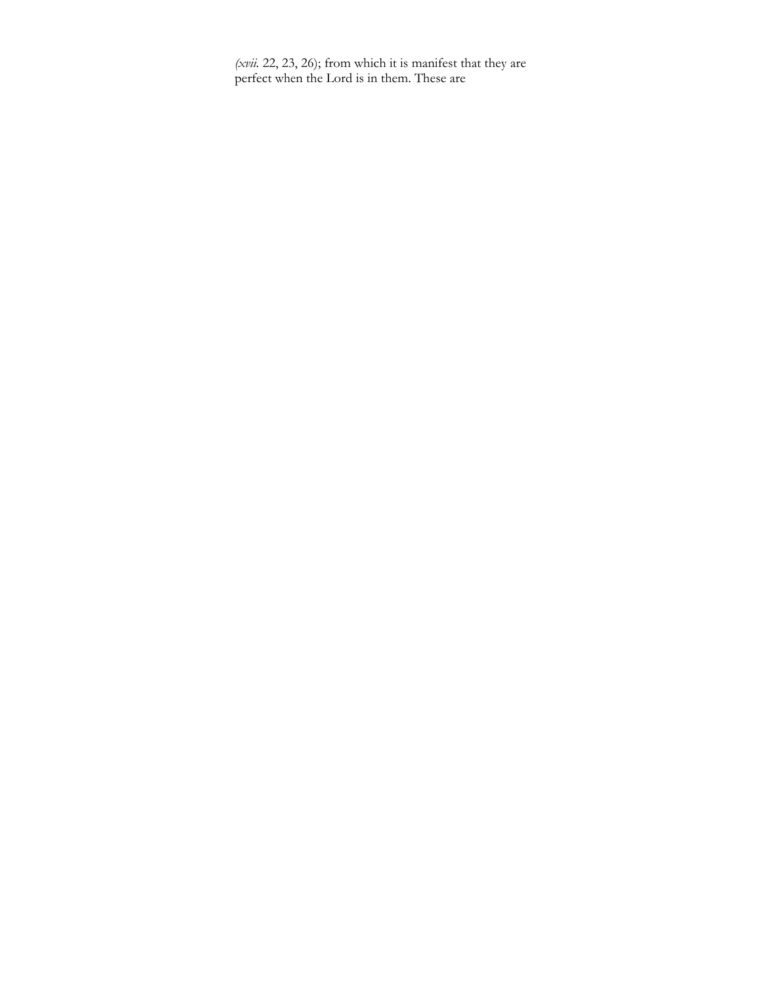*(xvii.* 22, 23, 26); from which it is manifest that they are perfect when the Lord is in them. These are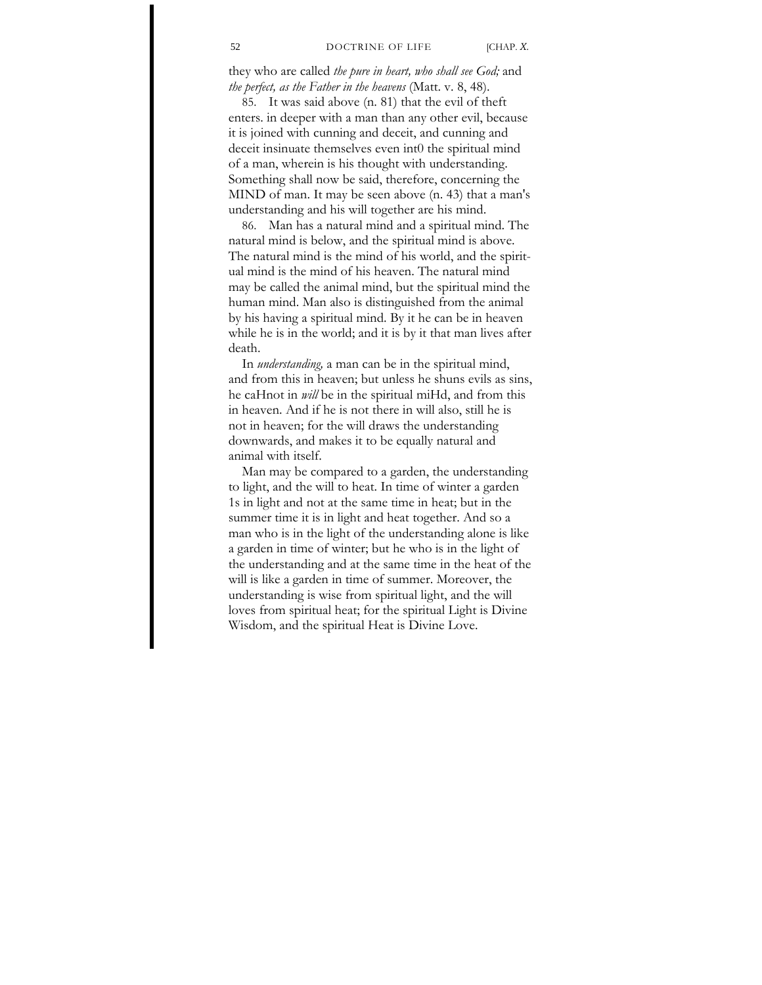they who are called *the pure in heart, who shall see God;* and *the perfect, as the Father in the heavens* (Matt. v. 8, 48).

85. It was said above (n. 81) that the evil of theft enters. in deeper with a man than any other evil, because it is joined with cunning and deceit, and cunning and deceit insinuate themselves even int0 the spiritual mind of a man, wherein is his thought with understanding. Something shall now be said, therefore, concerning the MIND of man. It may be seen above (n. 43) that a man's understanding and his will together are his mind.

86. Man has a natural mind and a spiritual mind. The natural mind is below, and the spiritual mind is above. The natural mind is the mind of his world, and the spiritual mind is the mind of his heaven. The natural mind may be called the animal mind, but the spiritual mind the human mind. Man also is distinguished from the animal by his having a spiritual mind. By it he can be in heaven while he is in the world; and it is by it that man lives after death.

In *understanding,* a man can be in the spiritual mind, and from this in heaven; but unless he shuns evils as sins, he caHnot in *will* be in the spiritual miHd, and from this in heaven. And if he is not there in will also, still he is not in heaven; for the will draws the understanding downwards, and makes it to be equally natural and animal with itself.

Man may be compared to a garden, the understanding to light, and the will to heat. In time of winter a garden 1s in light and not at the same time in heat; but in the summer time it is in light and heat together. And so a man who is in the light of the understanding alone is like a garden in time of winter; but he who is in the light of the understanding and at the same time in the heat of the will is like a garden in time of summer. Moreover, the understanding is wise from spiritual light, and the will loves from spiritual heat; for the spiritual Light is Divine Wisdom, and the spiritual Heat is Divine Love.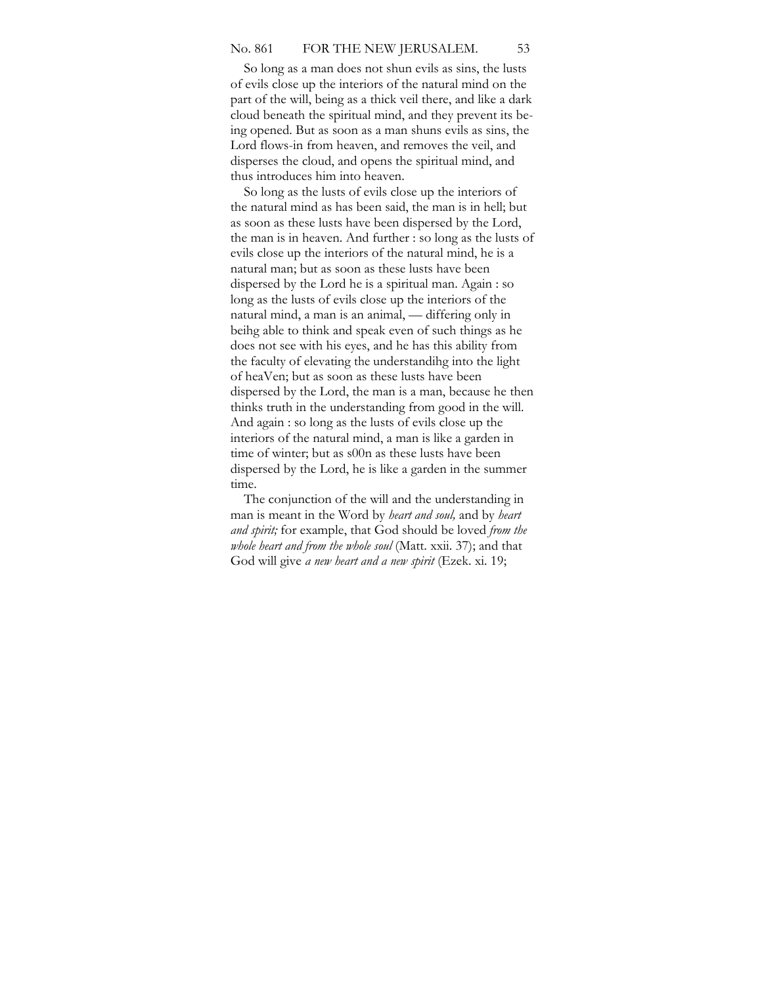#### No. 861 FOR THE NEW JERUSALEM. 53

So long as a man does not shun evils as sins, the lusts of evils close up the interiors of the natural mind on the part of the will, being as a thick veil there, and like a dark cloud beneath the spiritual mind, and they prevent its being opened. But as soon as a man shuns evils as sins, the Lord flows-in from heaven, and removes the veil, and disperses the cloud, and opens the spiritual mind, and thus introduces him into heaven.

So long as the lusts of evils close up the interiors of the natural mind as has been said, the man is in hell; but as soon as these lusts have been dispersed by the Lord, the man is in heaven. And further : so long as the lusts of evils close up the interiors of the natural mind, he is a natural man; but as soon as these lusts have been dispersed by the Lord he is a spiritual man. Again : so long as the lusts of evils close up the interiors of the natural mind, a man is an animal, — differing only in beihg able to think and speak even of such things as he does not see with his eyes, and he has this ability from the faculty of elevating the understandihg into the light of heaVen; but as soon as these lusts have been dispersed by the Lord, the man is a man, because he then thinks truth in the understanding from good in the will. And again : so long as the lusts of evils close up the interiors of the natural mind, a man is like a garden in time of winter; but as s00n as these lusts have been dispersed by the Lord, he is like a garden in the summer time.

The conjunction of the will and the understanding in man is meant in the Word by *heart and soul,* and by *heart and spirit;* for example, that God should be loved *from the whole heart and from the whole soul* (Matt. xxii. 37); and that God will give *a new heart and a new spirit* (Ezek. xi. 19;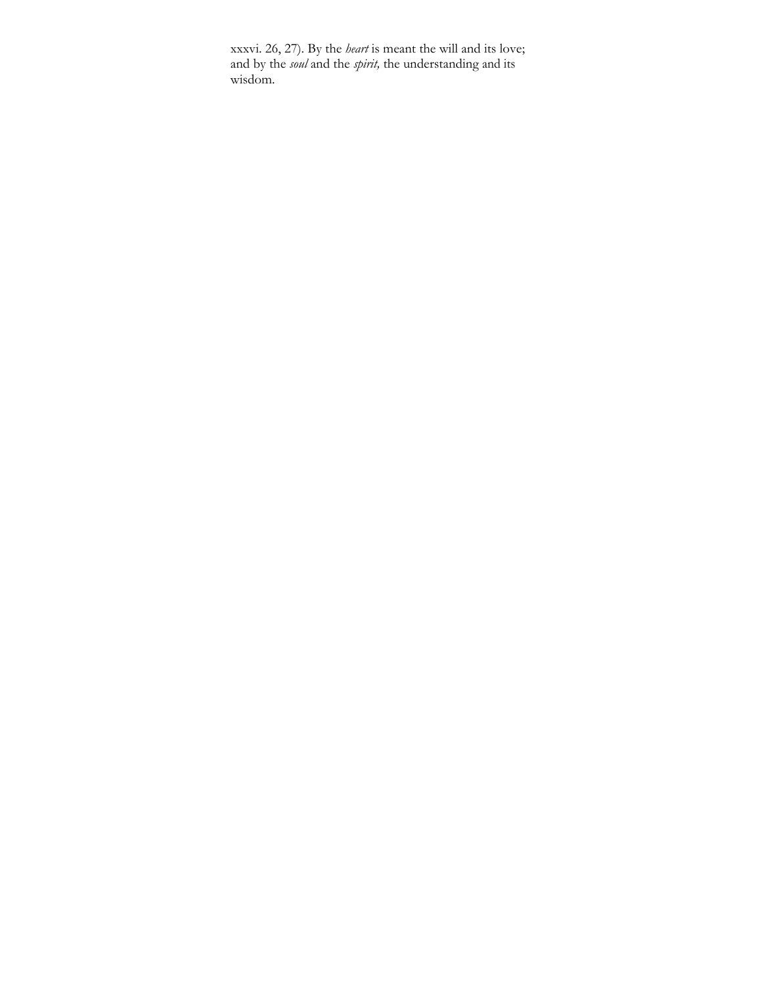xxxvi. 26, 27). By the *heart* is meant the will and its love; and by the *soul* and the *spirit,* the understanding and its wisdom.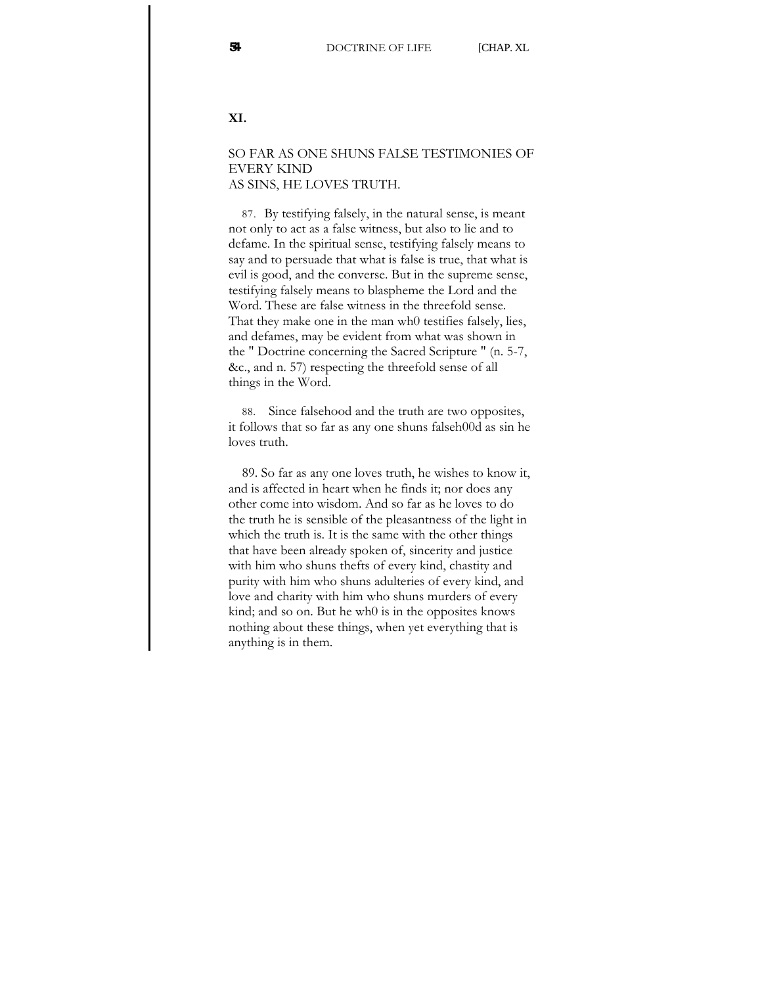# **XI.**

# SO FAR AS ONE SHUNS FALSE TESTIMONIES OF EVERY KIND AS SINS, HE LOVES TRUTH.

87. By testifying falsely, in the natural sense, is meant not only to act as a false witness, but also to lie and to defame. In the spiritual sense, testifying falsely means to say and to persuade that what is false is true, that what is evil is good, and the converse. But in the supreme sense, testifying falsely means to blaspheme the Lord and the Word. These are false witness in the threefold sense. That they make one in the man wh0 testifies falsely, lies, and defames, may be evident from what was shown in the " Doctrine concerning the Sacred Scripture " (n. 5-7, &c., and n. 57) respecting the threefold sense of all things in the Word.

88. Since falsehood and the truth are two opposites, it follows that so far as any one shuns falseh00d as sin he loves truth.

89. So far as any one loves truth, he wishes to know it, and is affected in heart when he finds it; nor does any other come into wisdom. And so far as he loves to do the truth he is sensible of the pleasantness of the light in which the truth is. It is the same with the other things that have been already spoken of, sincerity and justice with him who shuns thefts of every kind, chastity and purity with him who shuns adulteries of every kind, and love and charity with him who shuns murders of every kind; and so on. But he wh0 is in the opposites knows nothing about these things, when yet everything that is anything is in them.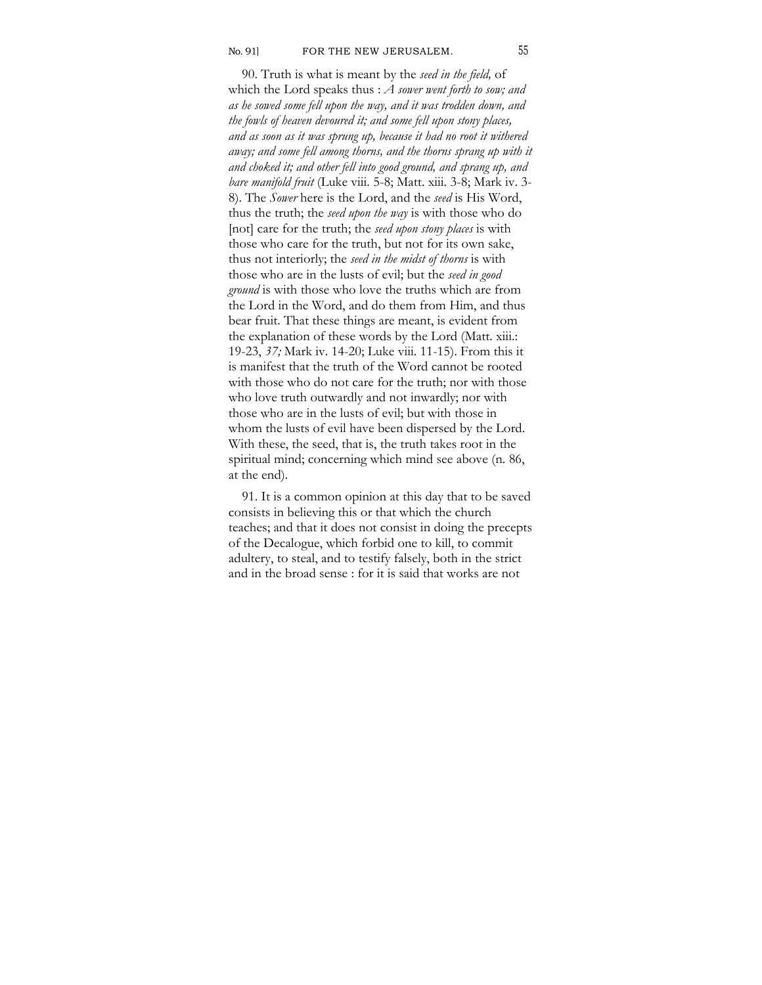90. Truth is what is meant by the *seed in the field,* of which the Lord speaks thus : *A sower went forth to sow; and as he sowed some fell upon the way, and it was trodden down, and the fowls of heaven devoured it; and some fell upon stony places, and as soon as it was sprung up, because it had no root it withered away; and some fell among thorns, and the thorns sprang up with it and choked it; and other fell into good ground, and sprang up, and bare manifold fruit* (Luke viii. 5-8; Matt. xiii. 3-8; Mark iv. 3- 8). The *Sower* here is the Lord, and the *seed* is His Word, thus the truth; the *seed upon the way* is with those who do [not] care for the truth; the *seed upon stony places* is with those who care for the truth, but not for its own sake, thus not interiorly; the *seed in the midst of thorns* is with those who are in the lusts of evil; but the *seed in good ground* is with those who love the truths which are from the Lord in the Word, and do them from Him, and thus bear fruit. That these things are meant, is evident from the explanation of these words by the Lord (Matt. xiii.: 19-23, *37;* Mark iv. 14-20; Luke viii. 11-15). From this it is manifest that the truth of the Word cannot be rooted with those who do not care for the truth; nor with those who love truth outwardly and not inwardly; nor with those who are in the lusts of evil; but with those in whom the lusts of evil have been dispersed by the Lord. With these, the seed, that is, the truth takes root in the spiritual mind; concerning which mind see above (n. 86, at the end).

91. It is a common opinion at this day that to be saved consists in believing this or that which the church teaches; and that it does not consist in doing the precepts of the Decalogue, which forbid one to kill, to commit adultery, to steal, and to testify falsely, both in the strict and in the broad sense : for it is said that works are not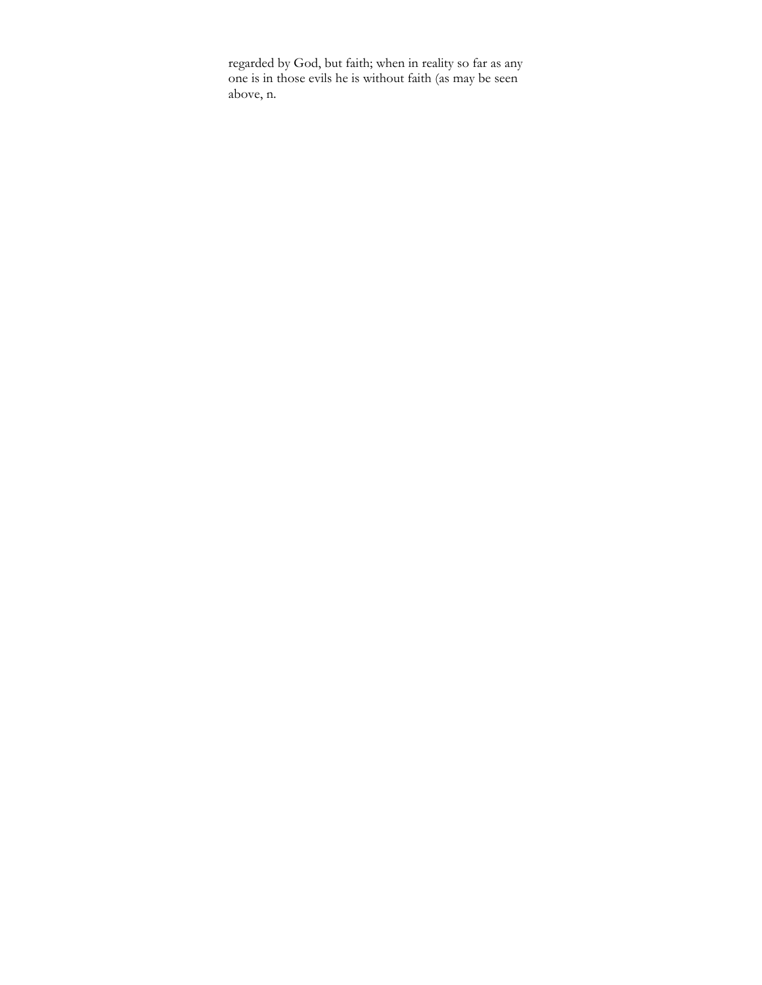regarded by God, but faith; when in reality so far as any one is in those evils he is without faith (as may be seen above, n.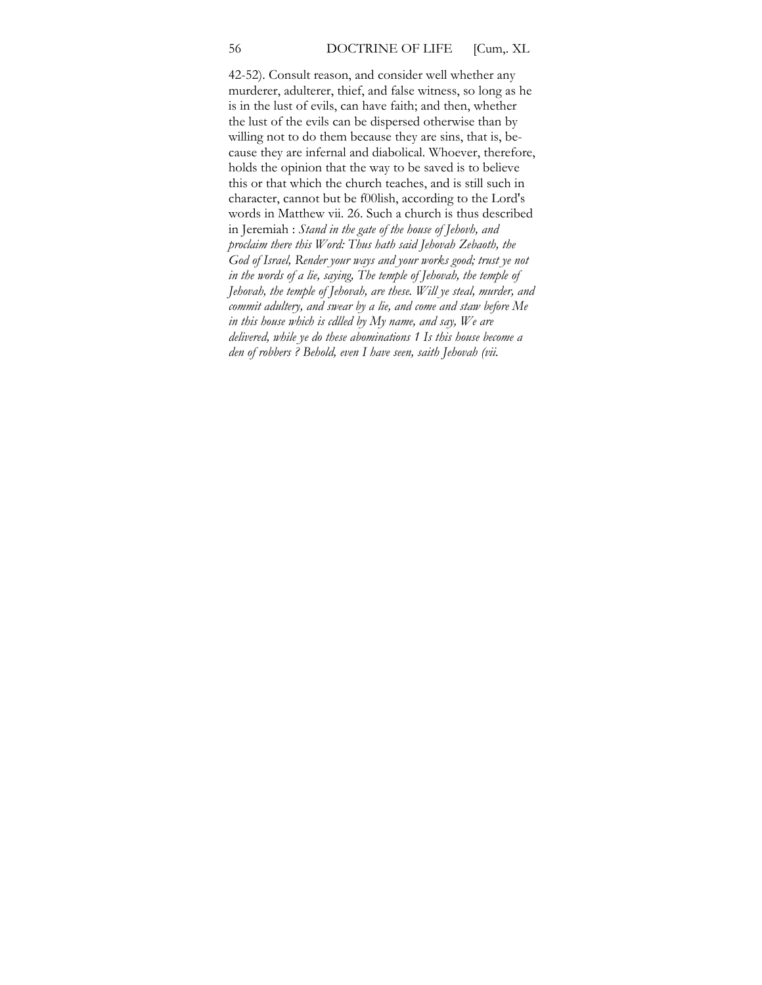42-52). Consult reason, and consider well whether any murderer, adulterer, thief, and false witness, so long as he is in the lust of evils, can have faith; and then, whether the lust of the evils can be dispersed otherwise than by willing not to do them because they are sins, that is, because they are infernal and diabolical. Whoever, therefore, holds the opinion that the way to be saved is to believe this or that which the church teaches, and is still such in character, cannot but be f00lish, according to the Lord's words in Matthew vii. 26. Such a church is thus described in Jeremiah : *Stand in the gate of the house of Jehovh, and proclaim there this Word: Thus hath said Jehovah Zebaoth, the*  God of Israel, Render your ways and your works good; trust ye not *in the words of a lie, saying, The temple of Jehovah, the temple of Jehovah, the temple of Jehovah, are these. Will ye steal, murder, and commit adultery, and swear by a lie, and come and staw before Me in this house which is cdlled by My name, and say, We are delivered, while ye do these abominations 1 Is this house become a den of robbers ? Behold, even I have seen, saith Jehovah (vii.*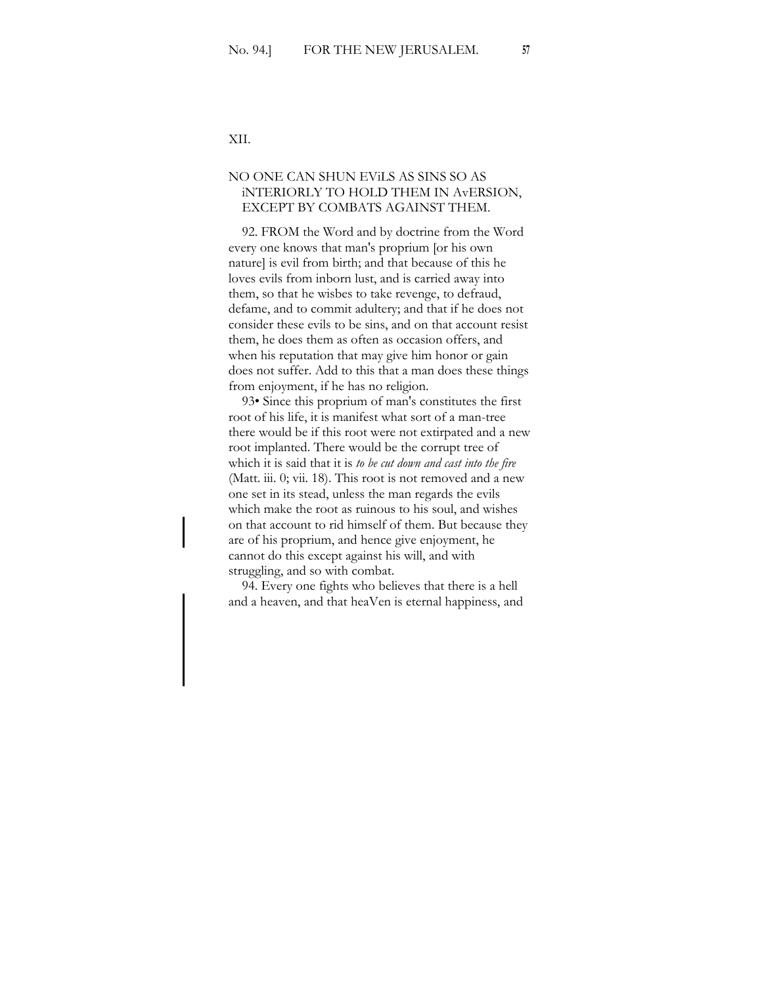# XII.

# NO ONE CAN SHUN EViLS AS SINS SO AS iNTERIORLY TO HOLD THEM IN AvERSION, EXCEPT BY COMBATS AGAINST THEM.

92. FROM the Word and by doctrine from the Word every one knows that man's proprium [or his own nature] is evil from birth; and that because of this he loves evils from inborn lust, and is carried away into them, so that he wisbes to take revenge, to defraud, defame, and to commit adultery; and that if he does not consider these evils to be sins, and on that account resist them, he does them as often as occasion offers, and when his reputation that may give him honor or gain does not suffer. Add to this that a man does these things from enjoyment, if he has no religion.

93• Since this proprium of man's constitutes the first root of his life, it is manifest what sort of a man-tree there would be if this root were not extirpated and a new root implanted. There would be the corrupt tree of which it is said that it is *to be cut down and cast into the fire*  (Matt. iii. 0; vii. 18). This root is not removed and a new one set in its stead, unless the man regards the evils which make the root as ruinous to his soul, and wishes on that account to rid himself of them. But because they are of his proprium, and hence give enjoyment, he cannot do this except against his will, and with struggling, and so with combat.

94. Every one fights who believes that there is a hell and a heaven, and that heaVen is eternal happiness, and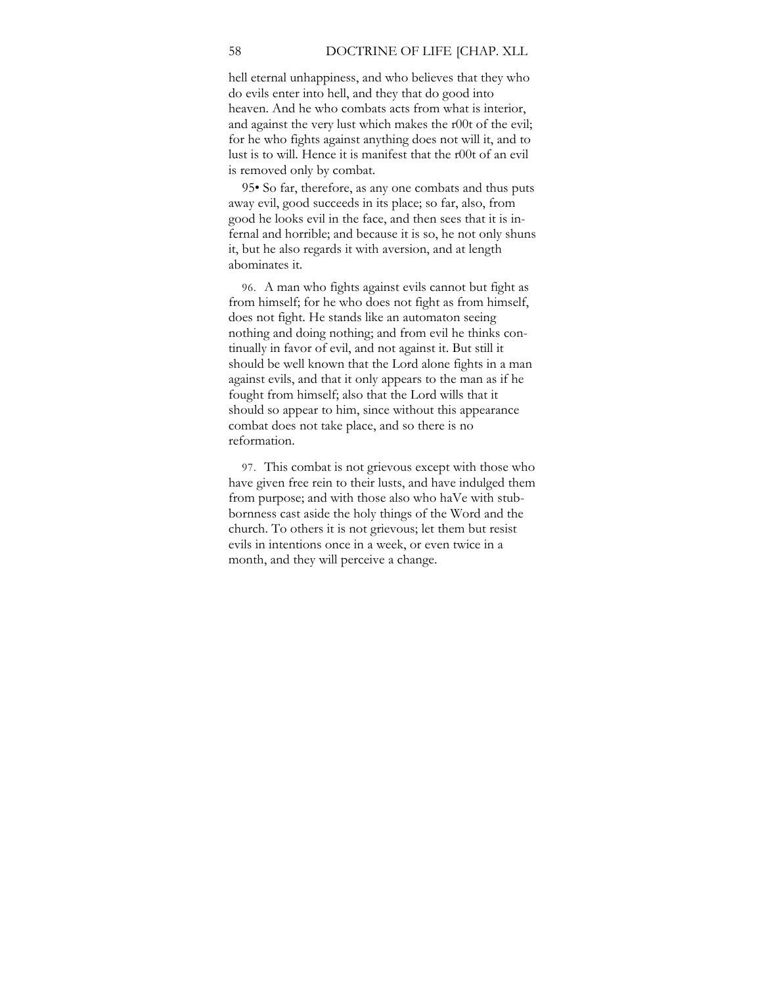hell eternal unhappiness, and who believes that they who do evils enter into hell, and they that do good into heaven. And he who combats acts from what is interior, and against the very lust which makes the r00t of the evil; for he who fights against anything does not will it, and to lust is to will. Hence it is manifest that the r00t of an evil is removed only by combat.

95• So far, therefore, as any one combats and thus puts away evil, good succeeds in its place; so far, also, from good he looks evil in the face, and then sees that it is infernal and horrible; and because it is so, he not only shuns it, but he also regards it with aversion, and at length abominates it.

96. A man who fights against evils cannot but fight as from himself; for he who does not fight as from himself, does not fight. He stands like an automaton seeing nothing and doing nothing; and from evil he thinks continually in favor of evil, and not against it. But still it should be well known that the Lord alone fights in a man against evils, and that it only appears to the man as if he fought from himself; also that the Lord wills that it should so appear to him, since without this appearance combat does not take place, and so there is no reformation.

97. This combat is not grievous except with those who have given free rein to their lusts, and have indulged them from purpose; and with those also who haVe with stubbornness cast aside the holy things of the Word and the church. To others it is not grievous; let them but resist evils in intentions once in a week, or even twice in a month, and they will perceive a change.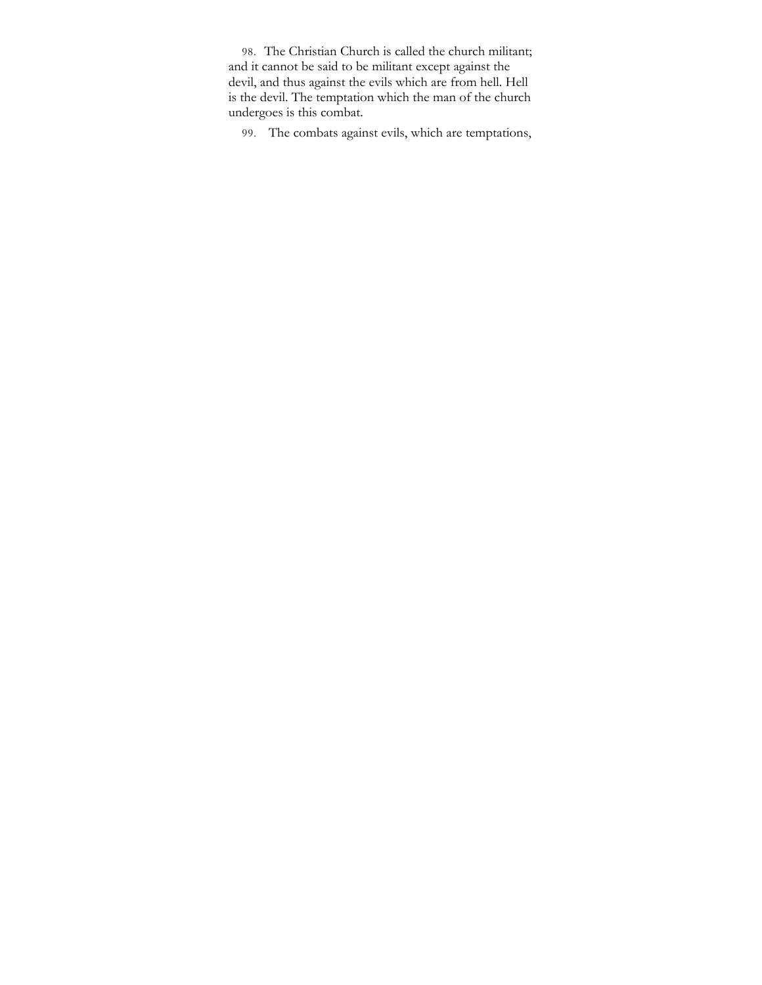98. The Christian Church is called the church militant; and it cannot be said to be militant except against the devil, and thus against the evils which are from hell. Hell is the devil. The temptation which the man of the church undergoes is this combat.

99. The combats against evils, which are temptations,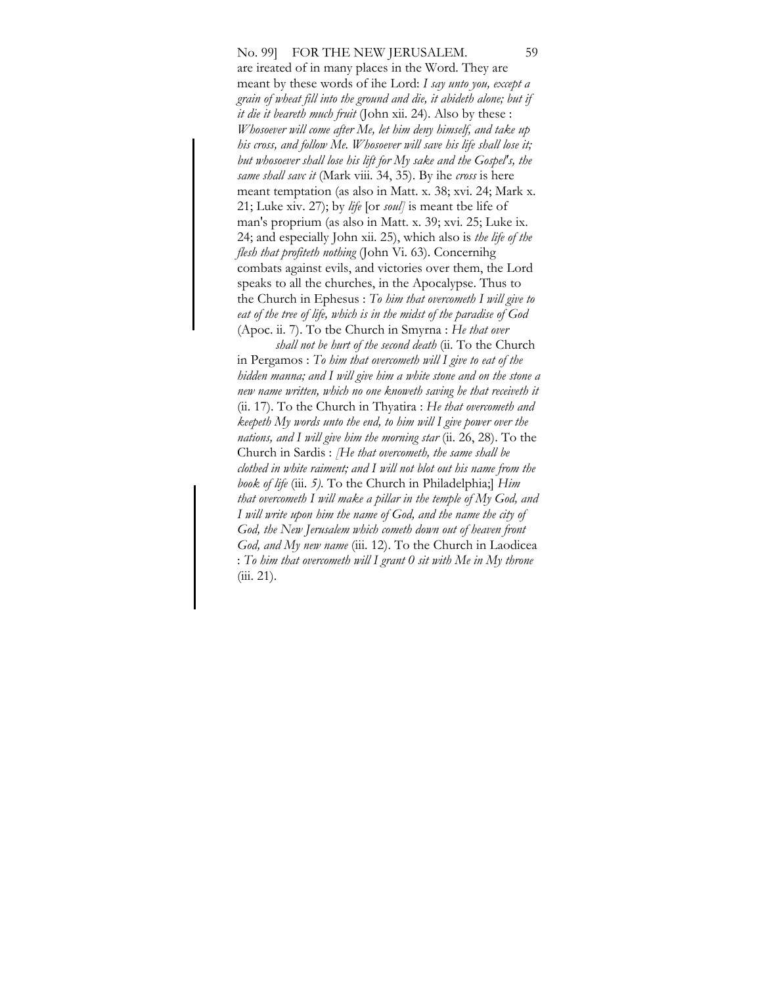### No. 99] FOR THE NEW JERUSALEM. 59

are ireated of in many places in the Word. They are meant by these words of ihe Lord: *I say unto you, except a grain of wheat fill into the ground and die, it abideth alone; but if it die it beareth much fruit* (John xii. 24). Also by these : *Whosoever will come after Me, let him deny himself, and take up his cross, and follow Me. Whosoever will save his life shall lose it; but whosoever shall lose his lift for My sake and the Gospel's, the same shall savc it* (Mark viii. 34, 35). By ihe *cross* is here meant temptation (as also in Matt. x. 38; xvi. 24; Mark x. 21; Luke xiv. 27); by *life* [or *soul]* is meant tbe life of man's proprium (as also in Matt. x. 39; xvi. 25; Luke ix. 24; and especially John xii. 25), which also is *the life of the flesh that profiteth nothing* (John Vi. 63). Concernihg combats against evils, and victories over them, the Lord speaks to all the churches, in the Apocalypse. Thus to the Church in Ephesus : *To him that overcometh I will give to eat of the tree of life, which is in the midst of the paradise of God*  (Apoc. ii. 7). To tbe Church in Smyrna : *He that over* 

 *shall not be hurt of the second death* (ii. To the Church in Pergamos : *To him that overcometh will I give to eat of the hidden manna; and I will give him a white stone and on the stone a new name written, which no one knoweth saving he that receiveth it*  (ii. 17). To the Church in Thyatira : *He that overcometh and keepeth My words unto the end, to him will I give power over the nations, and I will give him the morning star* (ii. 26, 28). To the Church in Sardis : *[He that overcometh, the same shall be clothed in white raiment; and I will not blot out his name from the book of life* (iii. *5).* To the Church in Philadelphia;] *Him that overcometh I will make a pillar in the temple of My God, and I will write upon him the name of God, and the name the city of God, the New Jerusalem which cometh down out of heaven front God, and My new name* (iii. 12). To the Church in Laodicea : *To him that overcometh will I grant 0 sit with Me in My throne*  (iii. 21).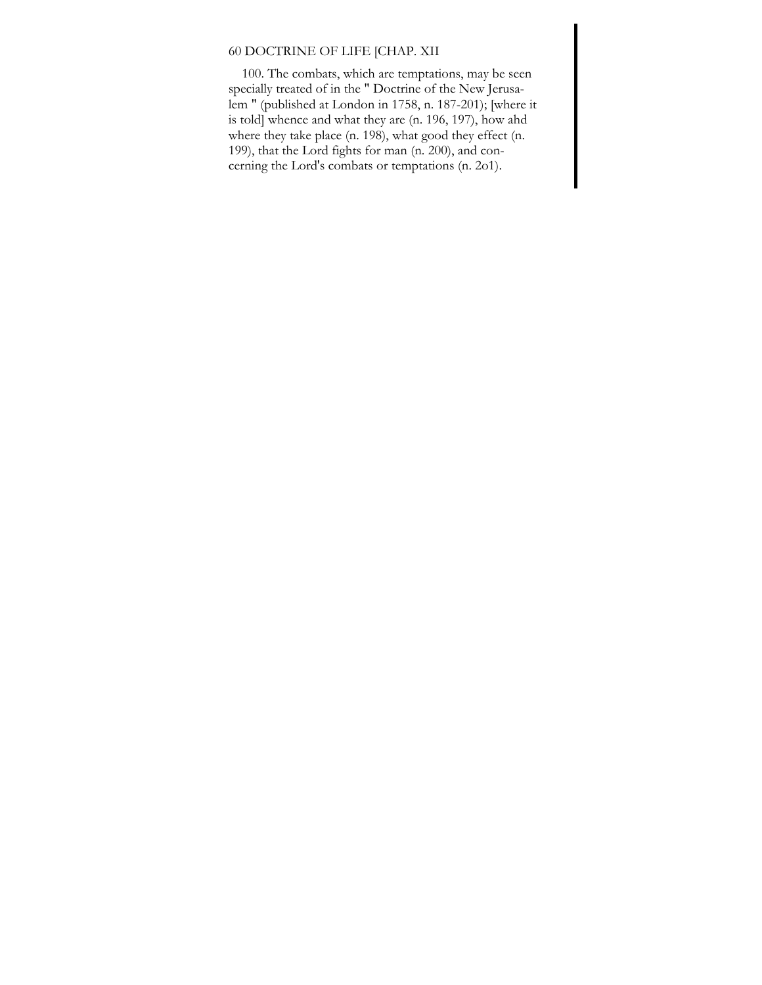# 60 DOCTRINE OF LIFE [CHAP. XII

100. The combats, which are temptations, may be seen specially treated of in the " Doctrine of the New Jerusalem " (published at London in 1758, n. 187-201); [where it is told] whence and what they are (n. 196, 197), how ahd where they take place (n. 198), what good they effect (n. 199), that the Lord fights for man (n. 200), and concerning the Lord's combats or temptations (n. 2o1).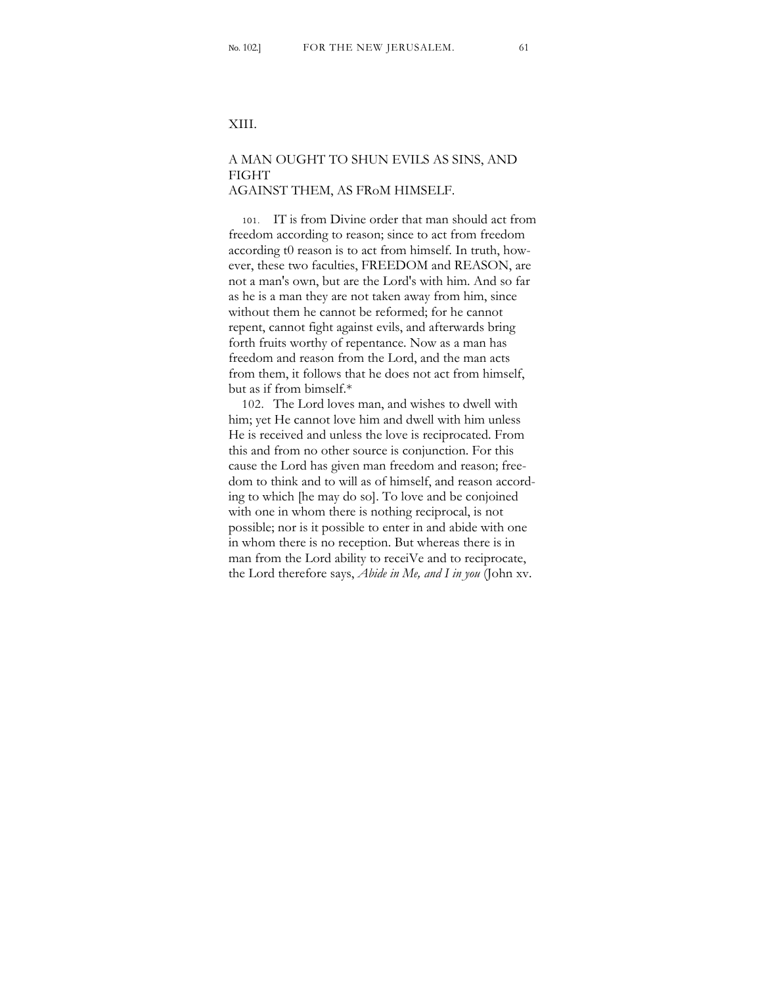### XIII.

## A MAN OUGHT TO SHUN EVILS AS SINS, AND FIGHT AGAINST THEM, AS FRoM HIMSELF.

101. IT is from Divine order that man should act from freedom according to reason; since to act from freedom according t0 reason is to act from himself. In truth, however, these two faculties, FREEDOM and REASON, are not a man's own, but are the Lord's with him. And so far as he is a man they are not taken away from him, since without them he cannot be reformed; for he cannot repent, cannot fight against evils, and afterwards bring forth fruits worthy of repentance. Now as a man has freedom and reason from the Lord, and the man acts from them, it follows that he does not act from himself, but as if from bimself.\*

102. The Lord loves man, and wishes to dwell with him; yet He cannot love him and dwell with him unless He is received and unless the love is reciprocated. From this and from no other source is conjunction. For this cause the Lord has given man freedom and reason; freedom to think and to will as of himself, and reason according to which [he may do so]. To love and be conjoined with one in whom there is nothing reciprocal, is not possible; nor is it possible to enter in and abide with one in whom there is no reception. But whereas there is in man from the Lord ability to receiVe and to reciprocate, the Lord therefore says, *Abide in Me, and I in you* (John xv.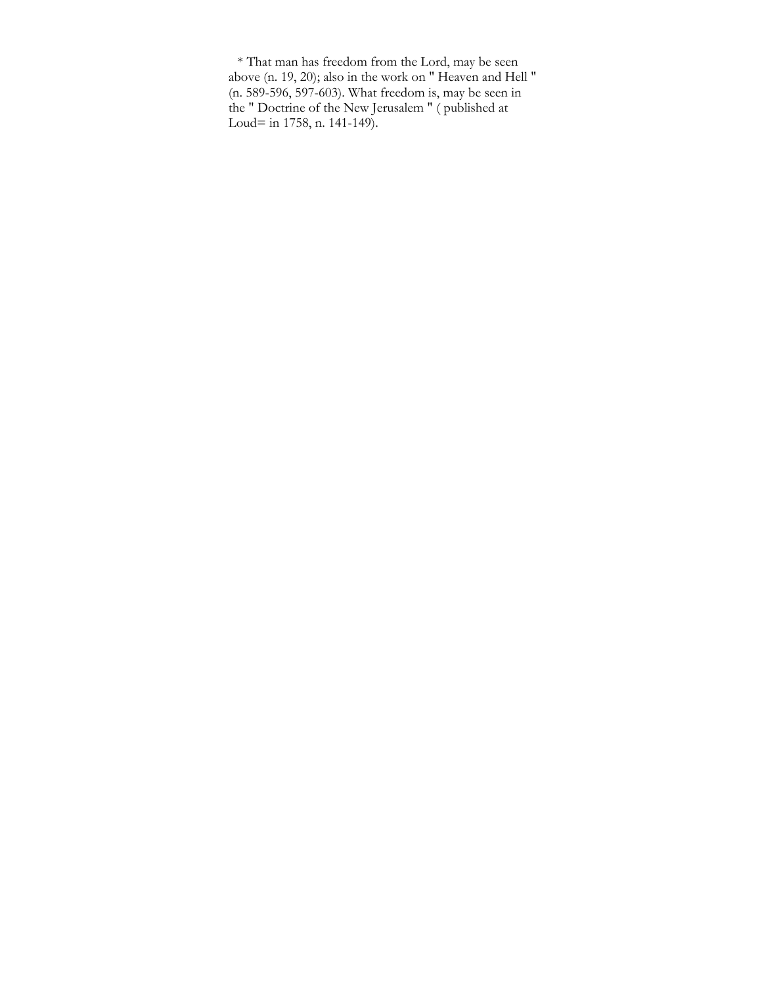\* That man has freedom from the Lord, may be seen above (n. 19, 20); also in the work on " Heaven and Hell " (n. 589-596, 597-603). What freedom is, may be seen in the " Doctrine of the New Jerusalem " ( published at Loud= in 1758, n. 141-149).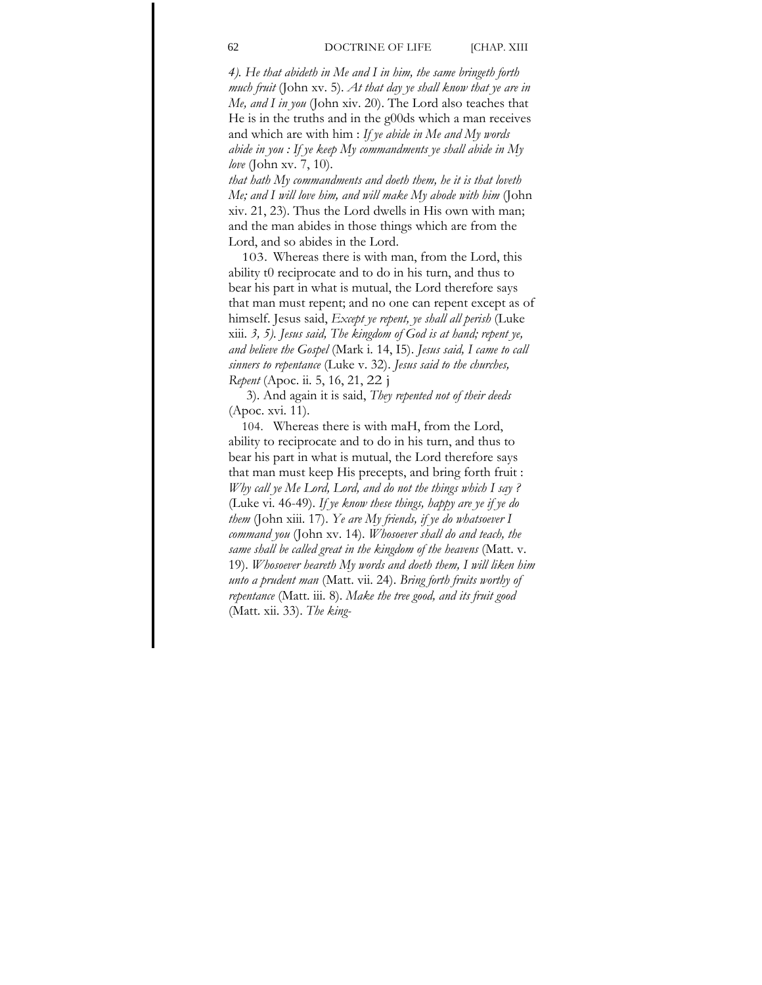*4). He that abideth in Me and I in him, the same bringeth forth much fruit* (John xv. 5). *At that day ye shall know that ye are in Me, and I in you* (John xiv. 20). The Lord also teaches that He is in the truths and in the g00ds which a man receives and which are with him : *If ye abide in Me and My words abide in you : If ye keep My commandments ye shall abide in My love* (John xv. 7, 10).

*that hath My commandments and doeth them, he it is that loveth Me; and I will love him, and will make My abode with him* (John xiv. 21, 23). Thus the Lord dwells in His own with man; and the man abides in those things which are from the Lord, and so abides in the Lord.

103. Whereas there is with man, from the Lord, this ability t0 reciprocate and to do in his turn, and thus to bear his part in what is mutual, the Lord therefore says that man must repent; and no one can repent except as of himself. Jesus said, *Except ye repent, ye shall all perish* (Luke xiii. *3, 5). Jesus said, The kingdom of God is at hand; repent ye, and believe the Gospel* (Mark i. 14, I5). *Jesus said, I came to call sinners to repentance* (Luke v. 32). *Jesus said to the churches, Repent* (Apoc. ii. 5, 16, 21, 22 j

3). And again it is said, *They repented not of their deeds*  (Apoc. xvi. 11).

104. Whereas there is with maH, from the Lord, ability to reciprocate and to do in his turn, and thus to bear his part in what is mutual, the Lord therefore says that man must keep His precepts, and bring forth fruit : *Why call ye Me Lord, Lord, and do not the things which I say ?*  (Luke vi. 46-49). *If ye know these things, happy are ye if ye do them* (John xiii. 17). *Ye are My friends, if ye do whatsoever I command you* (John xv. 14). *Whosoever shall do and teach, the same shall be called great in the kingdom of the heavens* (Matt. v. 19). *Whosoever heareth My words and doeth them, I will liken him unto a prudent man* (Matt. vii. 24). *Bring forth fruits worthy of repentance* (Matt. iii. 8). *Make the tree good, and its fruit good*  (Matt. xii. 33). *The king-*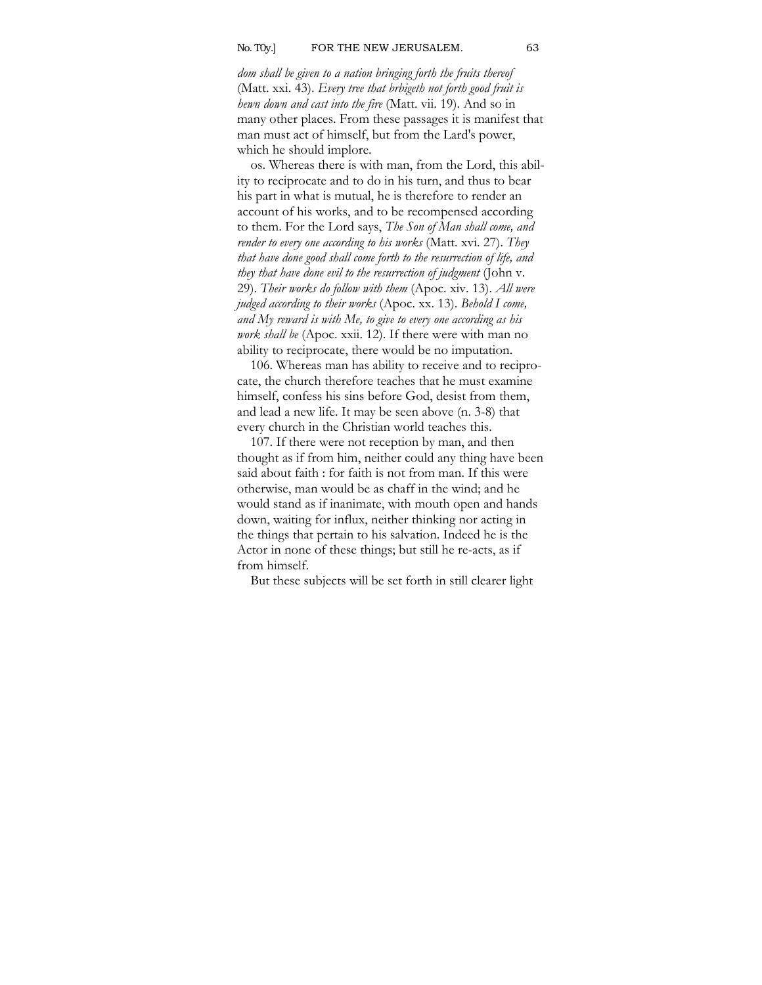*dom shall be given to a nation bringing forth the fruits thereof*  (Matt. xxi. 43). *Every tree that brbigeth not forth good fruit is hewn down and cast into the fire* (Matt. vii. 19). And so in many other places. From these passages it is manifest that man must act of himself, but from the Lard's power, which he should implore.

os. Whereas there is with man, from the Lord, this ability to reciprocate and to do in his turn, and thus to bear his part in what is mutual, he is therefore to render an account of his works, and to be recompensed according to them. For the Lord says, *The Son of Man shall come, and render to every one according to his works* (Matt. xvi. 27). *They that have done good shall come forth to the resurrection of life, and they that have done evil to the resurrection of judgment* (John v. 29). *Their works do follow with them* (Apoc. xiv. 13). *All were judged according to their works* (Apoc. xx. 13). *Behold I come, and My reward is with Me, to give to every one according as his work shall be* (Apoc. xxii. 12). If there were with man no ability to reciprocate, there would be no imputation.

106. Whereas man has ability to receive and to reciprocate, the church therefore teaches that he must examine himself, confess his sins before God, desist from them, and lead a new life. It may be seen above (n. 3-8) that every church in the Christian world teaches this.

107. If there were not reception by man, and then thought as if from him, neither could any thing have been said about faith : for faith is not from man. If this were otherwise, man would be as chaff in the wind; and he would stand as if inanimate, with mouth open and hands down, waiting for influx, neither thinking nor acting in the things that pertain to his salvation. Indeed he is the Actor in none of these things; but still he re-acts, as if from himself.

But these subjects will be set forth in still clearer light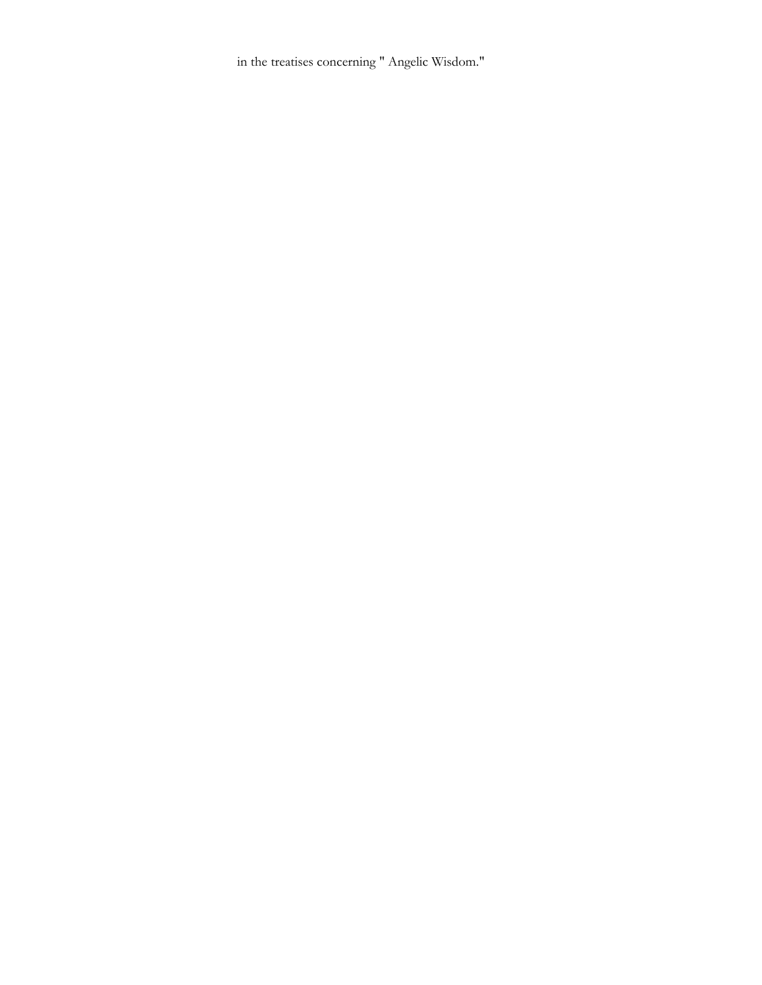in the treatises concerning " Angelic Wisdom."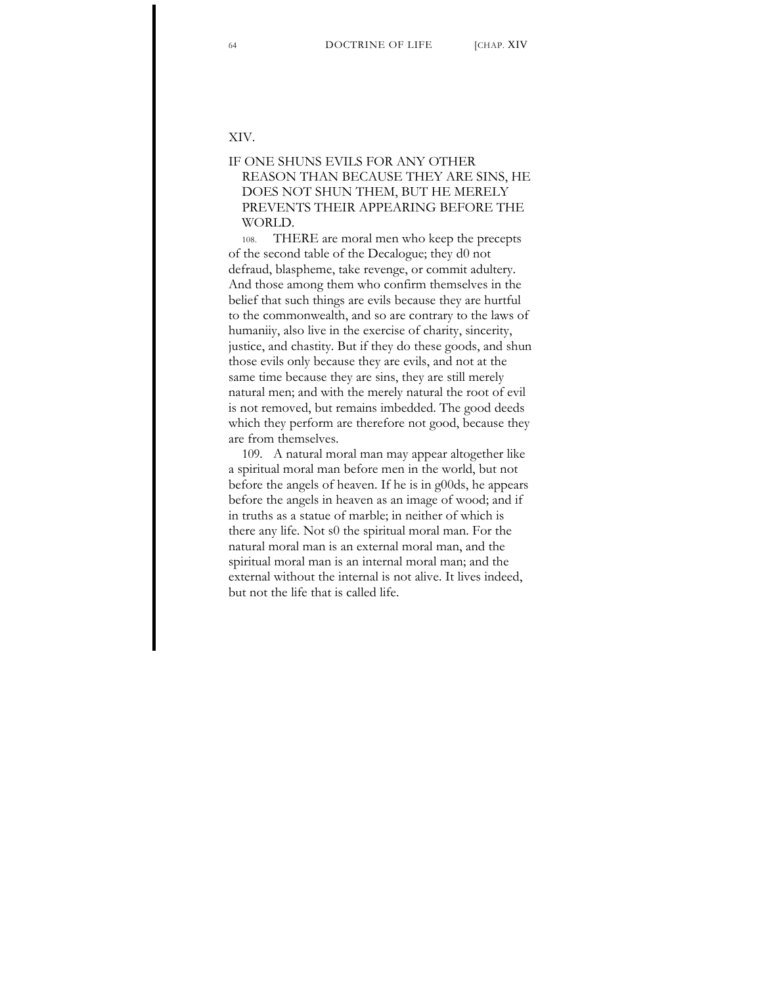### XIV.

# IF ONE SHUNS EVILS FOR ANY OTHER REASON THAN BECAUSE THEY ARE SINS, HE DOES NOT SHUN THEM, BUT HE MERELY PREVENTS THEIR APPEARING BEFORE THE WORLD.

108. THERE are moral men who keep the precepts of the second table of the Decalogue; they d0 not defraud, blaspheme, take revenge, or commit adultery. And those among them who confirm themselves in the belief that such things are evils because they are hurtful to the commonwealth, and so are contrary to the laws of humaniiy, also live in the exercise of charity, sincerity, justice, and chastity. But if they do these goods, and shun those evils only because they are evils, and not at the same time because they are sins, they are still merely natural men; and with the merely natural the root of evil is not removed, but remains imbedded. The good deeds which they perform are therefore not good, because they are from themselves.

109. A natural moral man may appear altogether like a spiritual moral man before men in the world, but not before the angels of heaven. If he is in g00ds, he appears before the angels in heaven as an image of wood; and if in truths as a statue of marble; in neither of which is there any life. Not s0 the spiritual moral man. For the natural moral man is an external moral man, and the spiritual moral man is an internal moral man; and the external without the internal is not alive. It lives indeed, but not the life that is called life.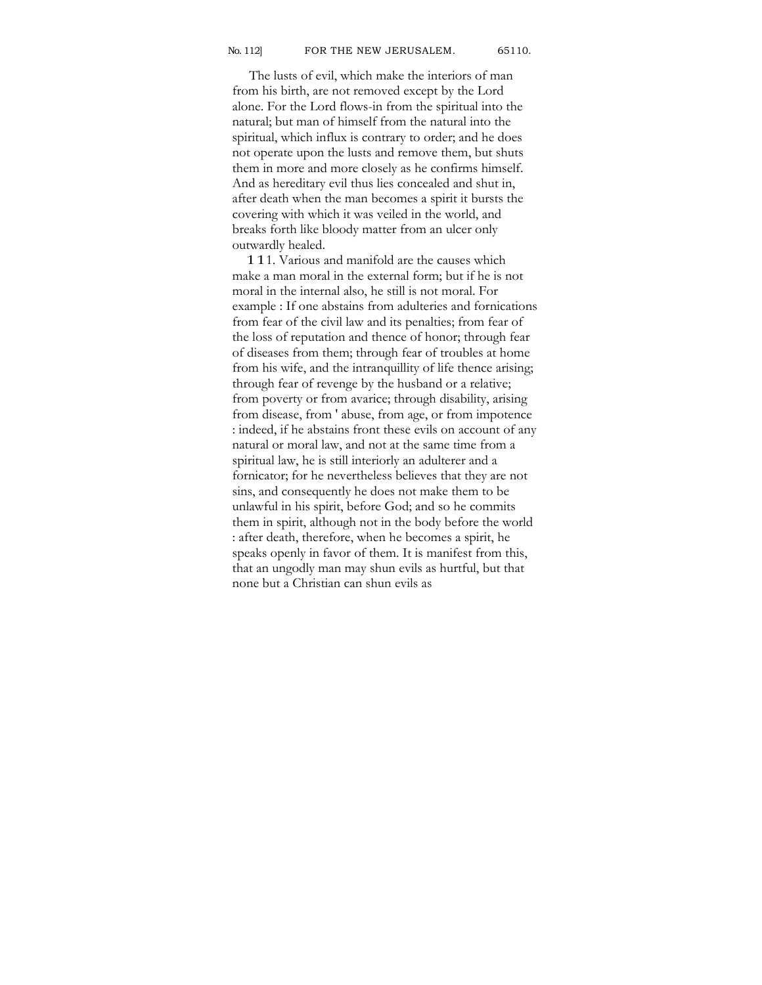#### No. 112 FOR THE NEW JERUSALEM. 65110.

 The lusts of evil, which make the interiors of man from his birth, are not removed except by the Lord alone. For the Lord flows-in from the spiritual into the natural; but man of himself from the natural into the spiritual, which influx is contrary to order; and he does not operate upon the lusts and remove them, but shuts them in more and more closely as he confirms himself. And as hereditary evil thus lies concealed and shut in, after death when the man becomes a spirit it bursts the covering with which it was veiled in the world, and breaks forth like bloody matter from an ulcer only outwardly healed.

111. Various and manifold are the causes which make a man moral in the external form; but if he is not moral in the internal also, he still is not moral. For example : If one abstains from adulteries and fornications from fear of the civil law and its penalties; from fear of the loss of reputation and thence of honor; through fear of diseases from them; through fear of troubles at home from his wife, and the intranquillity of life thence arising; through fear of revenge by the husband or a relative; from poverty or from avarice; through disability, arising from disease, from ' abuse, from age, or from impotence : indeed, if he abstains front these evils on account of any natural or moral law, and not at the same time from a spiritual law, he is still interiorly an adulterer and a fornicator; for he nevertheless believes that they are not sins, and consequently he does not make them to be unlawful in his spirit, before God; and so he commits them in spirit, although not in the body before the world : after death, therefore, when he becomes a spirit, he speaks openly in favor of them. It is manifest from this, that an ungodly man may shun evils as hurtful, but that none but a Christian can shun evils as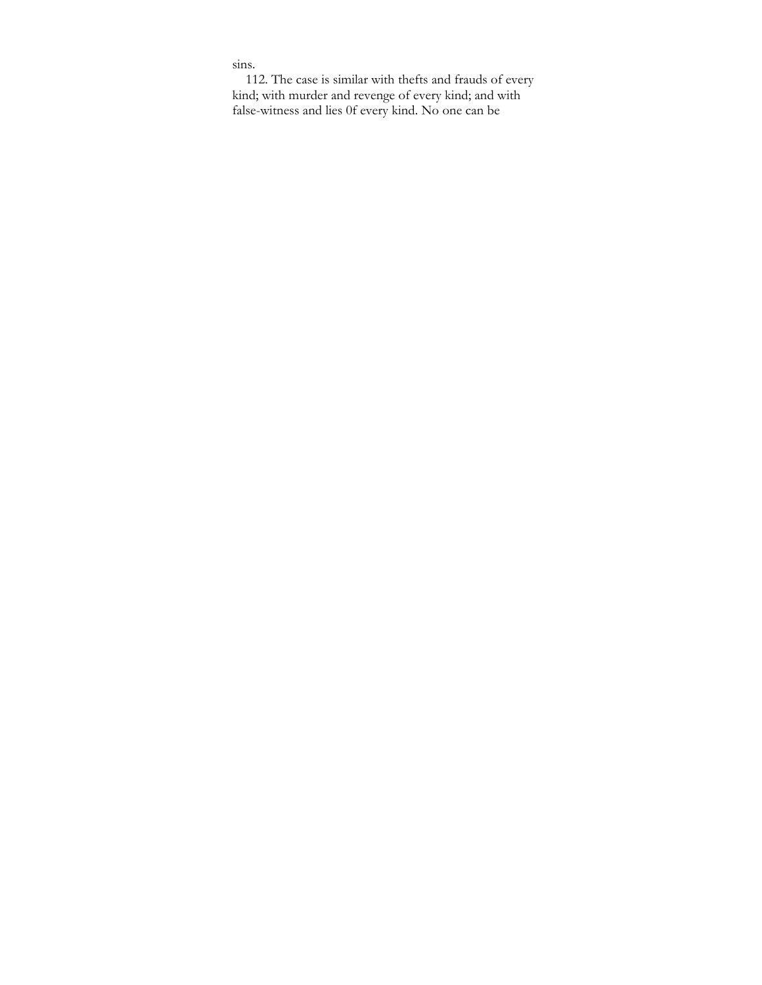sins.

112. The case is similar with thefts and frauds of every kind; with murder and revenge of every kind; and with false-witness and lies 0f every kind. No one can be